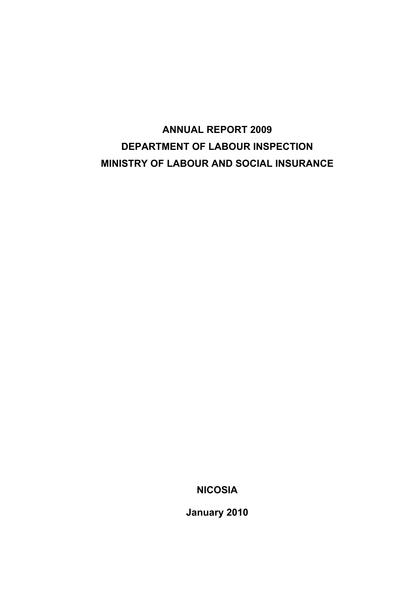# **ANNUAL REPORT 2009 DEPARTMENT OF LABOUR INSPECTION MINISTRY OF LABOUR AND SOCIAL INSURANCE**

**NICOSIA** 

**January 2010**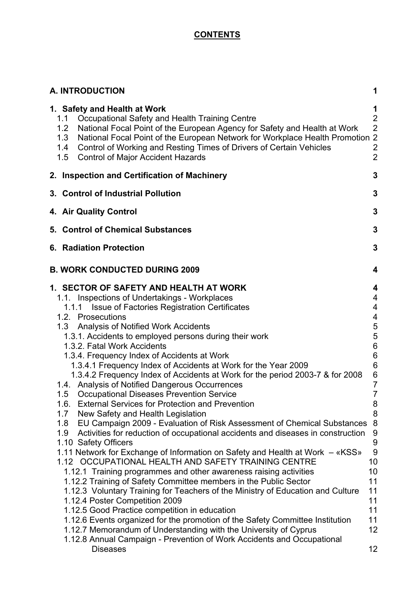# **CONTENTS**

| <b>A. INTRODUCTION</b>                                                                                                                                                                                                                                                                                                                                                                                                                                                                                                                                                                                                                                                                                                                                                                                                                                                                                                                                                                                                                                                                                                                                                                                                                                                                                                                                                                                                                                                                    | 1                                                                                                                                                                                                                   |
|-------------------------------------------------------------------------------------------------------------------------------------------------------------------------------------------------------------------------------------------------------------------------------------------------------------------------------------------------------------------------------------------------------------------------------------------------------------------------------------------------------------------------------------------------------------------------------------------------------------------------------------------------------------------------------------------------------------------------------------------------------------------------------------------------------------------------------------------------------------------------------------------------------------------------------------------------------------------------------------------------------------------------------------------------------------------------------------------------------------------------------------------------------------------------------------------------------------------------------------------------------------------------------------------------------------------------------------------------------------------------------------------------------------------------------------------------------------------------------------------|---------------------------------------------------------------------------------------------------------------------------------------------------------------------------------------------------------------------|
| 1. Safety and Health at Work<br>Occupational Safety and Health Training Centre<br>1.1<br>National Focal Point of the European Agency for Safety and Health at Work<br>1.2<br>National Focal Point of the European Network for Workplace Health Promotion 2<br>1.3<br>Control of Working and Resting Times of Drivers of Certain Vehicles<br>1.4<br><b>Control of Major Accident Hazards</b><br>1.5                                                                                                                                                                                                                                                                                                                                                                                                                                                                                                                                                                                                                                                                                                                                                                                                                                                                                                                                                                                                                                                                                        | 1<br>$\overline{2}$<br>$\overline{2}$<br>$\overline{c}$<br>$\overline{2}$                                                                                                                                           |
| 2. Inspection and Certification of Machinery                                                                                                                                                                                                                                                                                                                                                                                                                                                                                                                                                                                                                                                                                                                                                                                                                                                                                                                                                                                                                                                                                                                                                                                                                                                                                                                                                                                                                                              | 3                                                                                                                                                                                                                   |
| 3. Control of Industrial Pollution                                                                                                                                                                                                                                                                                                                                                                                                                                                                                                                                                                                                                                                                                                                                                                                                                                                                                                                                                                                                                                                                                                                                                                                                                                                                                                                                                                                                                                                        | 3                                                                                                                                                                                                                   |
| 4. Air Quality Control                                                                                                                                                                                                                                                                                                                                                                                                                                                                                                                                                                                                                                                                                                                                                                                                                                                                                                                                                                                                                                                                                                                                                                                                                                                                                                                                                                                                                                                                    | 3                                                                                                                                                                                                                   |
| 5. Control of Chemical Substances                                                                                                                                                                                                                                                                                                                                                                                                                                                                                                                                                                                                                                                                                                                                                                                                                                                                                                                                                                                                                                                                                                                                                                                                                                                                                                                                                                                                                                                         | 3                                                                                                                                                                                                                   |
| <b>6. Radiation Protection</b>                                                                                                                                                                                                                                                                                                                                                                                                                                                                                                                                                                                                                                                                                                                                                                                                                                                                                                                                                                                                                                                                                                                                                                                                                                                                                                                                                                                                                                                            | 3                                                                                                                                                                                                                   |
| <b>B. WORK CONDUCTED DURING 2009</b>                                                                                                                                                                                                                                                                                                                                                                                                                                                                                                                                                                                                                                                                                                                                                                                                                                                                                                                                                                                                                                                                                                                                                                                                                                                                                                                                                                                                                                                      | 4                                                                                                                                                                                                                   |
| 1. SECTOR OF SAFETY AND HEALTH AT WORK<br>1.1. Inspections of Undertakings - Workplaces<br>1.1.1 Issue of Factories Registration Certificates<br>1.2. Prosecutions<br><b>Analysis of Notified Work Accidents</b><br>1.3<br>1.3.1. Accidents to employed persons during their work<br>1.3.2. Fatal Work Accidents<br>1.3.4. Frequency Index of Accidents at Work<br>1.3.4.1 Frequency Index of Accidents at Work for the Year 2009<br>1.3.4.2 Frequency Index of Accidents at Work for the period 2003-7 & for 2008<br>1.4. Analysis of Notified Dangerous Occurrences<br><b>Occupational Diseases Prevention Service</b><br>1.5<br><b>External Services for Protection and Prevention</b><br>1.6.<br>1.7<br>New Safety and Health Legislation<br>EU Campaign 2009 - Evaluation of Risk Assessment of Chemical Substances<br>1.8<br>Activities for reduction of occupational accidents and diseases in construction<br>1.9<br>1.10 Safety Officers<br>1.11 Network for Exchange of Information on Safety and Health at Work – «KSS»<br>1.12 OCCUPATIONAL HEALTH AND SAFETY TRAINING CENTRE<br>1.12.1 Training programmes and other awareness raising activities<br>1.12.2 Training of Safety Committee members in the Public Sector<br>1.12.3 Voluntary Training for Teachers of the Ministry of Education and Culture<br>1.12.4 Poster Competition 2009<br>1.12.5 Good Practice competition in education<br>1.12.6 Events organized for the promotion of the Safety Committee Institution | 4<br>4<br>4<br>4<br>5<br>5<br>$\,6$<br>$\,6$<br>$\,6$<br>$\boldsymbol{6}$<br>$\overline{7}$<br>$\overline{7}$<br>8<br>8<br>8<br>$\boldsymbol{9}$<br>$\boldsymbol{9}$<br>9<br>10<br>10<br>11<br>11<br>11<br>11<br>11 |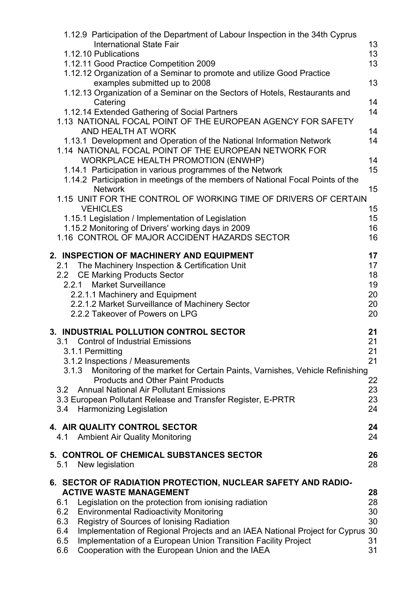|                                 | 1.12.9 Participation of the Department of Labour Inspection in the 34th Cyprus<br><b>International State Fair</b><br>1.12.10 Publications                                                                                                                                                                                                                                                                            | 13<br>13                                     |
|---------------------------------|----------------------------------------------------------------------------------------------------------------------------------------------------------------------------------------------------------------------------------------------------------------------------------------------------------------------------------------------------------------------------------------------------------------------|----------------------------------------------|
|                                 | 1.12.11 Good Practice Competition 2009                                                                                                                                                                                                                                                                                                                                                                               | 13                                           |
|                                 | 1.12.12 Organization of a Seminar to promote and utilize Good Practice<br>examples submitted up to 2008                                                                                                                                                                                                                                                                                                              | 13                                           |
|                                 | 1.12.13 Organization of a Seminar on the Sectors of Hotels, Restaurants and<br>Catering                                                                                                                                                                                                                                                                                                                              | 14                                           |
|                                 | 1.12.14 Extended Gathering of Social Partners<br>1.13 NATIONAL FOCAL POINT OF THE EUROPEAN AGENCY FOR SAFETY<br>AND HEALTH AT WORK                                                                                                                                                                                                                                                                                   | 14<br>14                                     |
|                                 | 1.13.1 Development and Operation of the National Information Network<br>1.14 NATIONAL FOCAL POINT OF THE EUROPEAN NETWORK FOR<br><b>WORKPLACE HEALTH PROMOTION (ENWHP)</b>                                                                                                                                                                                                                                           | 14<br>14                                     |
|                                 | 1.14.1 Participation in various programmes of the Network<br>1.14.2 Participation in meetings of the members of National Focal Points of the                                                                                                                                                                                                                                                                         | 15                                           |
|                                 | <b>Network</b><br>1.15 UNIT FOR THE CONTROL OF WORKING TIME OF DRIVERS OF CERTAIN                                                                                                                                                                                                                                                                                                                                    | 15                                           |
|                                 | <b>VEHICLES</b><br>1.15.1 Legislation / Implementation of Legislation                                                                                                                                                                                                                                                                                                                                                | 15<br>15                                     |
|                                 | 1.15.2 Monitoring of Drivers' working days in 2009<br>1.16 CONTROL OF MAJOR ACCIDENT HAZARDS SECTOR                                                                                                                                                                                                                                                                                                                  | 16<br>16                                     |
|                                 | 2. INSPECTION OF MACHINERY AND EQUIPMENT                                                                                                                                                                                                                                                                                                                                                                             | 17                                           |
| 2.1<br>2.2                      | The Machinery Inspection & Certification Unit<br><b>CE Marking Products Sector</b><br>2.2.1 Market Surveillance<br>2.2.1.1 Machinery and Equipment<br>2.2.1.2 Market Surveillance of Machinery Sector<br>2.2.2 Takeover of Powers on LPG                                                                                                                                                                             | 17<br>18<br>19<br>20<br>20<br>20             |
| 3.1.3<br>3.2<br>3.4             | 3. INDUSTRIAL POLLUTION CONTROL SECTOR<br>3.1 Control of Industrial Emissions<br>3.1.1 Permitting<br>3.1.2 Inspections / Measurements<br>Monitoring of the market for Certain Paints, Varnishes, Vehicle Refinishing<br><b>Products and Other Paint Products</b><br><b>Annual National Air Pollutant Emissions</b><br>3.3 European Pollutant Release and Transfer Register, E-PRTR<br><b>Harmonizing Legislation</b> | 21<br>21<br>21<br>21<br>22<br>23<br>23<br>24 |
| 4.1                             | 4. AIR QUALITY CONTROL SECTOR<br><b>Ambient Air Quality Monitoring</b>                                                                                                                                                                                                                                                                                                                                               | 24<br>24                                     |
| 5.1                             | 5. CONTROL OF CHEMICAL SUBSTANCES SECTOR<br>New legislation                                                                                                                                                                                                                                                                                                                                                          | 26<br>28                                     |
|                                 | 6. SECTOR OF RADIATION PROTECTION, NUCLEAR SAFETY AND RADIO-<br><b>ACTIVE WASTE MANAGEMENT</b>                                                                                                                                                                                                                                                                                                                       | 28                                           |
| 6.1<br>6.2<br>6.3<br>6.4<br>6.5 | Legislation on the protection from ionising radiation<br><b>Environmental Radioactivity Monitoring</b><br>Registry of Sources of Ionising Radiation<br>Implementation of Regional Projects and an IAEA National Project for Cyprus<br>Implementation of a European Union Transition Facility Project                                                                                                                 | 28<br>30<br>30<br>30<br>31                   |
| 6.6                             | Cooperation with the European Union and the IAEA                                                                                                                                                                                                                                                                                                                                                                     | 31                                           |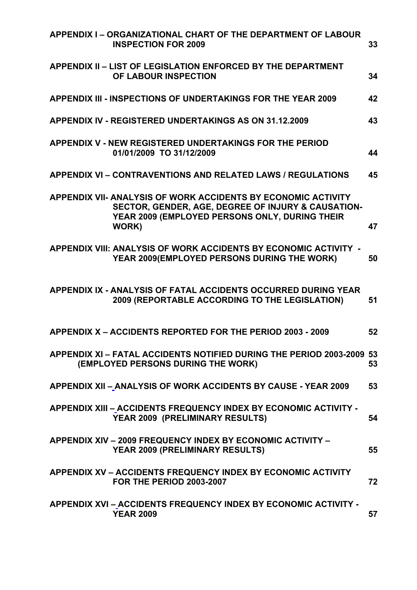| APPENDIX I - ORGANIZATIONAL CHART OF THE DEPARTMENT OF LABOUR<br><b>INSPECTION FOR 2009</b>                                                                                    | 33 |
|--------------------------------------------------------------------------------------------------------------------------------------------------------------------------------|----|
| <b>APPENDIX II - LIST OF LEGISLATION ENFORCED BY THE DEPARTMENT</b><br>OF LABOUR INSPECTION                                                                                    | 34 |
| APPENDIX III - INSPECTIONS OF UNDERTAKINGS FOR THE YEAR 2009                                                                                                                   | 42 |
| <b>APPENDIX IV - REGISTERED UNDERTAKINGS AS ON 31.12.2009</b>                                                                                                                  | 43 |
| <b>APPENDIX V - NEW REGISTERED UNDERTAKINGS FOR THE PERIOD</b><br>01/01/2009 TO 31/12/2009                                                                                     | 44 |
| <b>APPENDIX VI - CONTRAVENTIONS AND RELATED LAWS / REGULATIONS</b>                                                                                                             | 45 |
| APPENDIX VII- ANALYSIS OF WORK ACCIDENTS BY ECONOMIC ACTIVITY<br>SECTOR, GENDER, AGE, DEGREE OF INJURY & CAUSATION-<br>YEAR 2009 (EMPLOYED PERSONS ONLY, DURING THEIR<br>WORK) | 47 |
| APPENDIX VIII: ANALYSIS OF WORK ACCIDENTS BY ECONOMIC ACTIVITY -<br>YEAR 2009(EMPLOYED PERSONS DURING THE WORK)                                                                | 50 |
| APPENDIX IX - ANALYSIS OF FATAL ACCIDENTS OCCURRED DURING YEAR<br>2009 (REPORTABLE ACCORDING TO THE LEGISLATION)                                                               | 51 |
| APPENDIX X - ACCIDENTS REPORTED FOR THE PERIOD 2003 - 2009                                                                                                                     | 52 |
| APPENDIX XI - FATAL ACCIDENTS NOTIFIED DURING THE PERIOD 2003-2009 53<br>(EMPLOYED PERSONS DURING THE WORK)                                                                    | 53 |
| APPENDIX XII - ANALYSIS OF WORK ACCIDENTS BY CAUSE - YEAR 2009                                                                                                                 | 53 |
| APPENDIX XIII – ACCIDENTS FREQUENCY INDEX BY ECONOMIC ACTIVITY -<br>YEAR 2009 (PRELIMINARY RESULTS)                                                                            | 54 |
| <b>APPENDIX XIV - 2009 FREQUENCY INDEX BY ECONOMIC ACTIVITY -</b><br>YEAR 2009 (PRELIMINARY RESULTS)                                                                           | 55 |
| <b>APPENDIX XV - ACCIDENTS FREQUENCY INDEX BY ECONOMIC ACTIVITY</b><br><b>FOR THE PERIOD 2003-2007</b>                                                                         | 72 |
| APPENDIX XVI - ACCIDENTS FREQUENCY INDEX BY ECONOMIC ACTIVITY -<br><b>YEAR 2009</b>                                                                                            | 57 |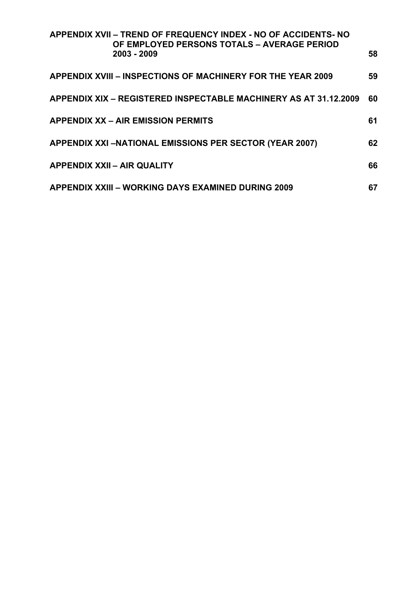| APPENDIX XVII - TREND OF FREQUENCY INDEX - NO OF ACCIDENTS- NO<br>OF EMPLOYED PERSONS TOTALS - AVERAGE PERIOD |    |
|---------------------------------------------------------------------------------------------------------------|----|
| 2003 - 2009                                                                                                   | 58 |
| <b>APPENDIX XVIII – INSPECTIONS OF MACHINERY FOR THE YEAR 2009</b>                                            | 59 |
| APPENDIX XIX – REGISTERED INSPECTABLE MACHINERY AS AT 31.12.2009                                              | 60 |
| <b>APPENDIX XX – AIR EMISSION PERMITS</b>                                                                     | 61 |
| <b>APPENDIX XXI-NATIONAL EMISSIONS PER SECTOR (YEAR 2007)</b>                                                 | 62 |
| <b>APPENDIX XXII - AIR QUALITY</b>                                                                            | 66 |
| <b>APPENDIX XXIII - WORKING DAYS EXAMINED DURING 2009</b>                                                     | 67 |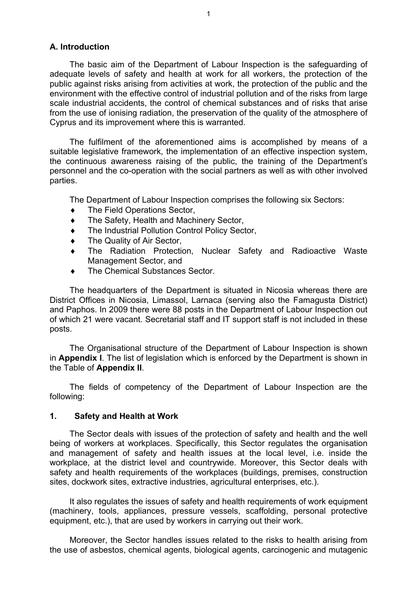## **Α. Introduction**

The basic aim of the Department of Labour Inspection is the safeguarding of adequate levels of safety and health at work for all workers, the protection of the public against risks arising from activities at work, the protection of the public and the environment with the effective control of industrial pollution and of the risks from large scale industrial accidents, the control of chemical substances and of risks that arise from the use of ionising radiation, the preservation of the quality of the atmosphere of Cyprus and its improvement where this is warranted.

The fulfilment of the aforementioned aims is accomplished by means of a suitable legislative framework, the implementation of an effective inspection system, the continuous awareness raising of the public, the training of the Department's personnel and the co-operation with the social partners as well as with other involved parties.

The Department of Labour Inspection comprises the following six Sectors:

- $\bullet$  The Field Operations Sector,
- ♦ The Safety, Ηealth and Machinery Sector,
- The Industrial Pollution Control Policy Sector,
- ♦ The Quality of Air Sector,
- ♦ The Radiation Protection, Nuclear Safety and Radioactive Waste Management Sector, and
- ♦ The Chemical Substances Sector.

The headquarters of the Department is situated in Nicosia whereas there are District Offices in Nicosia, Limassol, Larnaca (serving also the Famagusta District) and Paphos. In 2009 there were 88 posts in the Department of Labour Inspection out of which 21 were vacant. Secretarial staff and IT support staff is not included in these posts.

The Organisational structure of the Department of Labour Inspection is shown in **Appendix I**. The list of legislation which is enforced by the Department is shown in the Table of **Appendix II**.

The fields of competency of the Department of Labour Inspection are the following:

#### **1. Safety and Health at Work**

The Sector deals with issues of the protection of safety and health and the well being of workers at workplaces. Specifically, this Sector regulates the organisation and management of safety and health issues at the local level, i.e. inside the workplace, at the district level and countrywide. Moreover, this Sector deals with safety and health requirements of the workplaces (buildings, premises, construction sites, dockwork sites, extractive industries, agricultural enterprises, etc.).

It also regulates the issues of safety and health requirements of work equipment (machinery, tools, appliances, pressure vessels, scaffolding, personal protective equipment, etc.), that are used by workers in carrying out their work.

Moreover, the Sector handles issues related to the risks to health arising from the use of asbestos, chemical agents, biological agents, carcinogenic and mutagenic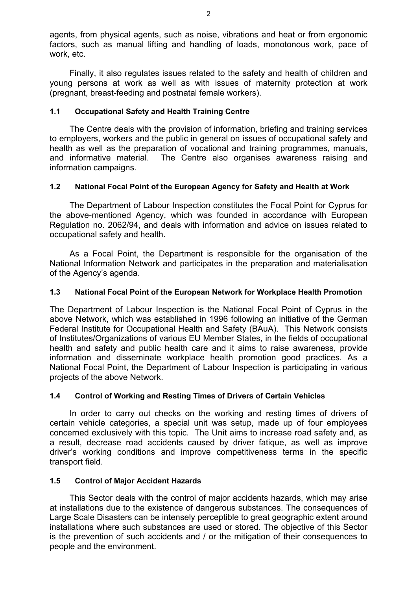agents, from physical agents, such as noise, vibrations and heat or from ergonomic factors, such as manual lifting and handling of loads, monotonous work, pace of work, etc.

Finally, it also regulates issues related to the safety and health of children and young persons at work as well as with issues of maternity protection at work (pregnant, breast-feeding and postnatal female workers).

## **1.1 Occupational Safety and Health Training Centre**

The Centre deals with the provision of information, briefing and training services to employers, workers and the public in general on issues of occupational safety and health as well as the preparation of vocational and training programmes, manuals, and informative material. The Centre also organises awareness raising and information campaigns.

## **1.2 National Focal Point of the European Agency for Safety and Health at Work**

The Department of Labour Inspection constitutes the Focal Point for Cyprus for the above-mentioned Agency, which was founded in accordance with European Regulation no. 2062/94, and deals with information and advice on issues related to occupational safety and health.

As a Focal Point, the Department is responsible for the organisation of the National Information Network and participates in the preparation and materialisation of the Agency's agenda.

# **1.3 National Focal Point of the European Network for Workplace Health Promotion**

The Department of Labour Inspection is the National Focal Point of Cyprus in the above Network, which was established in 1996 following an initiative of the German Federal Institute for Occupational Health and Safety (BAuA). This Network consists of Institutes/Organizations of various EU Member States, in the fields of occupational health and safety and public health care and it aims to raise awareness, provide information and disseminate workplace health promotion good practices. As a National Focal Point, the Department of Labour Inspection is participating in various projects of the above Network.

## **1.4 Control of Working and Resting Times of Drivers of Certain Vehicles**

In order to carry out checks on the working and resting times of drivers of certain vehicle categories, a special unit was setup, made up of four employees concerned exclusively with this topic. The Unit aims to increase road safety and, as a result, decrease road accidents caused by driver fatique, as well as improve driver's working conditions and improve competitiveness terms in the specific transport field.

## **1.5 Control of Major Accident Hazards**

This Sector deals with the control of major accidents hazards, which may arise at installations due to the existence of dangerous substances. The consequences of Large Scale Disasters can be intensely perceptible to great geographic extent around installations where such substances are used or stored. The objective of this Sector is the prevention of such accidents and / or the mitigation of their consequences to people and the environment.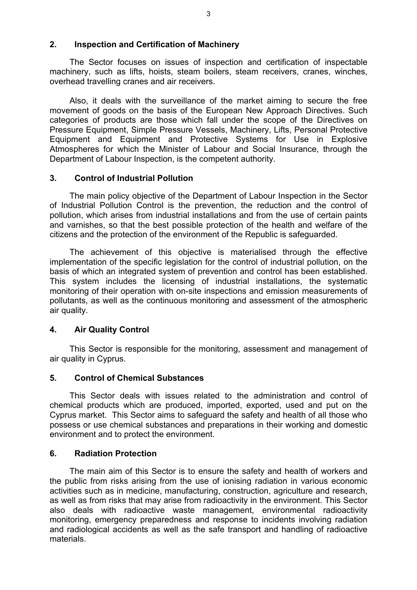## **2. Inspection and Certification of Machinery**

The Sector focuses on issues of inspection and certification of inspectable machinery, such as lifts, hoists, steam boilers, steam receivers, cranes, winches, overhead travelling cranes and air receivers.

Also, it deals with the surveillance of the market aiming to secure the free movement of goods on the basis of the European New Approach Directives. Such categories of products are those which fall under the scope of the Directives on Pressure Equipment, Simple Pressure Vessels, Machinery, Lifts, Personal Protective Equipment and Equipment and Protective Systems for Use in Explosive Atmospheres for which the Minister of Labour and Social Insurance, through the Department of Labour Inspection, is the competent authority.

## **3. Control of Industrial Pollution**

The main policy objective of the Department of Labour Inspection in the Sector of Industrial Pollution Control is the prevention, the reduction and the control of pollution, which arises from industrial installations and from the use of certain paints and varnishes, so that the best possible protection of the health and welfare of the citizens and the protection of the environment of the Republic is safeguarded.

The achievement of this objective is materialised through the effective implementation of the specific legislation for the control of industrial pollution, on the basis of which an integrated system of prevention and control has been established. This system includes the licensing of industrial installations, the systematic monitoring of their operation with on-site inspections and emission measurements of pollutants, as well as the continuous monitoring and assessment of the atmospheric air quality.

# **4. Air Quality Control**

This Sector is responsible for the monitoring, assessment and management of air quality in Cyprus.

# **5. Control of Chemical Substances**

This Sector deals with issues related to the administration and control of chemical products which are produced, imported, exported, used and put on the Cyprus market. This Sector aims to safeguard the safety and health of all those who possess or use chemical substances and preparations in their working and domestic environment and to protect the environment.

# **6. Radiation Protection**

The main aim of this Sector is to ensure the safety and health of workers and the public from risks arising from the use of ionising radiation in various economic activities such as in medicine, manufacturing, construction, agriculture and research, as well as from risks that may arise from radioactivity in the environment. This Sector also deals with radioactive waste management, environmental radioactivity monitoring, emergency preparedness and response to incidents involving radiation and radiological accidents as well as the safe transport and handling of radioactive materials.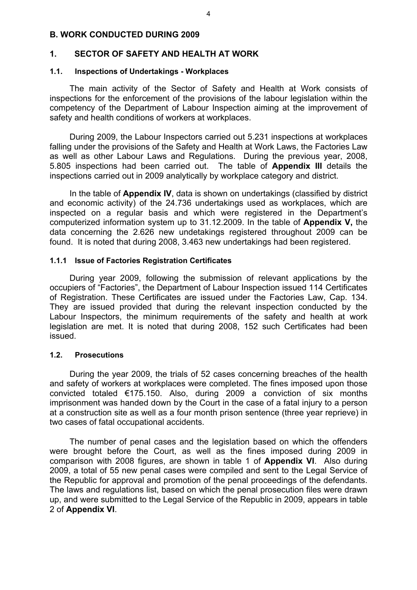## **Β. WORK CONDUCTED DURING 2009**

## **1. SECTOR OF SAFETY AND HEALTH AT WORK**

#### **1.1. Inspections of Undertakings - Workplaces**

The main activity of the Sector of Safety and Health at Work consists of inspections for the enforcement of the provisions of the labour legislation within the competency of the Department of Labour Inspection aiming at the improvement of safety and health conditions of workers at workplaces.

During 2009, the Labour Inspectors carried out 5.231 inspections at workplaces falling under the provisions of the Safety and Health at Work Laws, the Factories Law as well as other Labour Laws and Regulations. During the previous year, 2008, 5.805 inspections had been carried out. The table of **Appendix III** details the inspections carried out in 2009 analytically by workplace category and district.

In the table of **Appendix IV**, data is shown on undertakings (classified by district and economic activity) of the 24.736 undertakings used as workplaces, which are inspected on a regular basis and which were registered in the Department's computerized information system up to 31.12.2009. In the table of **Appendix V,** the data concerning the 2.626 new undetakings registered throughout 2009 can be found. It is noted that during 2008, 3.463 new undertakings had been registered.

#### **1.1.1 Issue of Factories Registration Certificates**

During year 2009, following the submission of relevant applications by the occupiers of "Factories", the Department of Labour Inspection issued 114 Certificates of Registration. These Certificates are issued under the Factories Law, Cap. 134. They are issued provided that during the relevant inspection conducted by the Labour Inspectors, the minimum requirements of the safety and health at work legislation are met. It is noted that during 2008, 152 such Certificates had been issued.

#### **1.2. Prosecutions**

 During the year 2009, the trials of 52 cases concerning breaches of the health and safety of workers at workplaces were completed. The fines imposed upon those convicted totaled €175.150. Also, during 2009 a conviction of six months imprisonment was handed down by the Court in the case of a fatal injury to a person at a construction site as well as a four month prison sentence (three year reprieve) in two cases of fatal occupational accidents.

 The number of penal cases and the legislation based on which the offenders were brought before the Court, as well as the fines imposed during 2009 in comparison with 2008 figures, are shown in table 1 of **Appendix VI**. Also during 2009, a total of 55 new penal cases were compiled and sent to the Legal Service of the Republic for approval and promotion of the penal proceedings of the defendants. The laws and regulations list, based on which the penal prosecution files were drawn up, and were submitted to the Legal Service of the Republic in 2009, appears in table 2 of **Appendix VI**.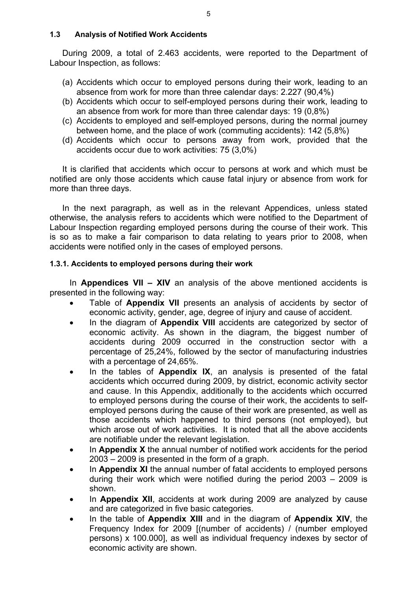## **1.3 Analysis of Notified Work Accidents**

During 2009, a total of 2.463 accidents, were reported to the Department of Labour Inspection, as follows:

- (a) Accidents which occur to employed persons during their work, leading to an absence from work for more than three calendar days: 2.227 (90,4%)
- (b) Accidents which occur to self-employed persons during their work, leading to an absence from work for more than three calendar days: 19 (0,8%)
- (c) Accidents to employed and self-employed persons, during the normal journey between home, and the place of work (commuting accidents): 142 (5,8%)
- (d) Accidents which occur to persons away from work, provided that the accidents occur due to work activities: 75 (3,0%)

It is clarified that accidents which occur to persons at work and which must be notified are only those accidents which cause fatal injury or absence from work for more than three days.

In the next paragraph, as well as in the relevant Appendices, unless stated otherwise, the analysis refers to accidents which were notified to the Department of Labour Inspection regarding employed persons during the course of their work. This is so as to make a fair comparison to data relating to years prior to 2008, when accidents were notified only in the cases of employed persons.

## **1.3.1. Accidents to employed persons during their work**

In **Appendices VII – XIV** an analysis of the above mentioned accidents is presented in the following way:

- Table of **Appendix VII** presents an analysis of accidents by sector of economic activity, gender, age, degree of injury and cause of accident.
- In the diagram of **Appendix VIII** accidents are categorized by sector of economic activity. As shown in the diagram, the biggest number of accidents during 2009 occurred in the construction sector with a percentage of 25,24%, followed by the sector of manufacturing industries with a percentage of 24,65%.
- In the tables of **Appendix IX**, an analysis is presented of the fatal accidents which occurred during 2009, by district, economic activity sector and cause. In this Appendix, additionally to the accidents which occurred to employed persons during the course of their work, the accidents to selfemployed persons during the cause of their work are presented, as well as those accidents which happened to third persons (not employed), but which arose out of work activities. It is noted that all the above accidents are notifiable under the relevant legislation.
- In **Appendix X** the annual number of notified work accidents for the period 2003 – 2009 is presented in the form of a graph.
- In **Appendix XI** the annual number of fatal accidents to employed persons during their work which were notified during the period 2003 – 2009 is shown.
- In **Appendix XII**, accidents at work during 2009 are analyzed by cause and are categorized in five basic categories.
- In the table of **Appendix XIII** and in the diagram of **Appendix XIV**, the Frequency Index for 2009 [(number of accidents) / (number employed persons) x 100.000], as well as individual frequency indexes by sector of economic activity are shown.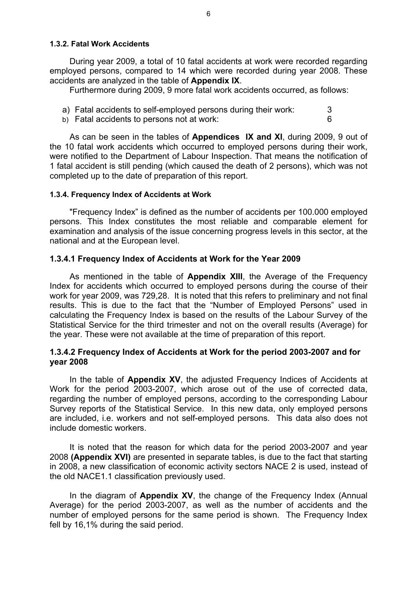## **1.3.2. Fatal Work Accidents**

During year 2009, a total of 10 fatal accidents at work were recorded regarding employed persons, compared to 14 which were recorded during year 2008. These accidents are analyzed in the table of **Appendix IX**.

Furthermore during 2009, 9 more fatal work accidents occurred, as follows:

- a) Fatal accidents to self-employed persons during their work: 3
- b) Fatal accidents to persons not at work: 6

As can be seen in the tables of **Appendices IX and XI**, during 2009, 9 out of the 10 fatal work accidents which occurred to employed persons during their work, were notified to the Department of Labour Inspection. That means the notification of 1 fatal accident is still pending (which caused the death of 2 persons), which was not completed up to the date of preparation of this report.

#### **1.3.4. Frequency Index of Accidents at Work**

"Frequency Index" is defined as the number of accidents per 100.000 employed persons. This Index constitutes the most reliable and comparable element for examination and analysis of the issue concerning progress levels in this sector, at the national and at the European level.

## **1.3.4.1 Frequency Index of Accidents at Work for the Year 2009**

As mentioned in the table of **Appendix XIII**, the Average of the Frequency Index for accidents which occurred to employed persons during the course of their work for year 2009, was 729,28. It is noted that this refers to preliminary and not final results. This is due to the fact that the "Number of Employed Persons" used in calculating the Frequency Index is based on the results of the Labour Survey of the Statistical Service for the third trimester and not on the overall results (Average) for the year. These were not available at the time of preparation of this report.

## **1.3.4.2 Frequency Index of Accidents at Work for the period 2003-2007 and for year 2008**

In the table of **Appendix XV**, the adjusted Frequency Indices of Accidents at Work for the period 2003-2007, which arose out of the use of corrected data, regarding the number of employed persons, according to the corresponding Labour Survey reports of the Statistical Service. In this new data, only employed persons are included, i.e. workers and not self-employed persons. This data also does not include domestic workers.

It is noted that the reason for which data for the period 2003-2007 and year 2008 **(Appendix XVI)** are presented in separate tables, is due to the fact that starting in 2008, a new classification of economic activity sectors NACE 2 is used, instead of the old NACE1.1 classification previously used.

In the diagram of **Appendix XV**, the change of the Frequency Index (Annual Average) for the period 2003-2007, as well as the number of accidents and the number of employed persons for the same period is shown. The Frequency Index fell by 16,1% during the said period.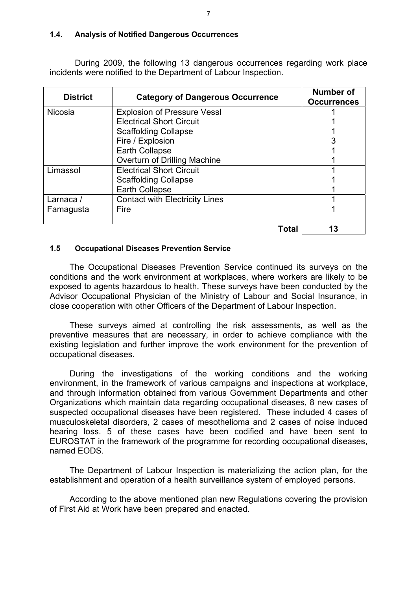## **1.4. Analysis of Notified Dangerous Occurrences**

During 2009, the following 13 dangerous occurrences regarding work place incidents were notified to the Department of Labour Inspection.

| <b>District</b> | <b>Category of Dangerous Occurrence</b> | Number of<br><b>Occurrences</b> |
|-----------------|-----------------------------------------|---------------------------------|
| <b>Nicosia</b>  | <b>Explosion of Pressure Vessl</b>      |                                 |
|                 | <b>Electrical Short Circuit</b>         |                                 |
|                 | <b>Scaffolding Collapse</b>             |                                 |
|                 | Fire / Explosion                        |                                 |
|                 | Earth Collapse                          |                                 |
|                 | Overturn of Drilling Machine            |                                 |
| Limassol        | <b>Electrical Short Circuit</b>         |                                 |
|                 | <b>Scaffolding Collapse</b>             |                                 |
|                 | Earth Collapse                          |                                 |
| Larnaca /       | <b>Contact with Electricity Lines</b>   |                                 |
| Famagusta       | Fire                                    |                                 |
|                 |                                         |                                 |
|                 | Total                                   | 13                              |

#### **1.5 Occupational Diseases Prevention Service**

The Occupational Diseases Prevention Service continued its surveys on the conditions and the work environment at workplaces, where workers are likely to be exposed to agents hazardous to health. These surveys have been conducted by the Advisor Occupational Physician of the Ministry of Labour and Social Insurance, in close cooperation with other Officers of the Department of Labour Inspection.

These surveys aimed at controlling the risk assessments, as well as the preventive measures that are necessary, in order to achieve compliance with the existing legislation and further improve the work environment for the prevention of occupational diseases.

During the investigations of the working conditions and the working environment, in the framework of various campaigns and inspections at workplace, and through information obtained from various Government Departments and other Organizations which maintain data regarding occupational diseases, 8 new cases of suspected occupational diseases have been registered. These included 4 cases of musculoskeletal disorders, 2 cases of mesothelioma and 2 cases of noise induced hearing loss. 5 of these cases have been codified and have been sent to EUROSTAT in the framework of the programme for recording occupational diseases, named EODS.

The Department of Labour Inspection is materializing the action plan, for the establishment and operation of a health surveillance system of employed persons.

According to the above mentioned plan new Regulations covering the provision of First Aid at Work have been prepared and enacted.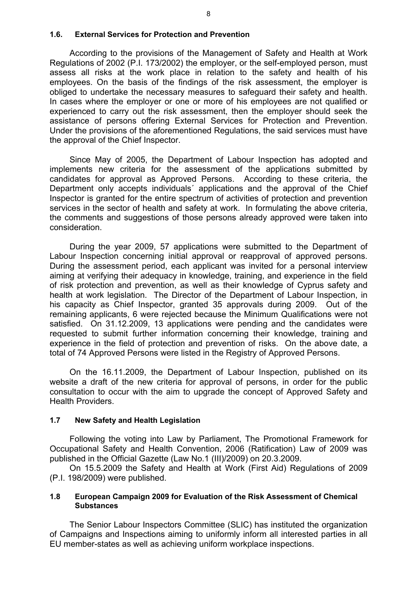#### **1.6. External Services for Protection and Prevention**

According to the provisions of the Management of Safety and Health at Work Regulations of 2002 (P.I. 173/2002) the employer, or the self-employed person, must assess all risks at the work place in relation to the safety and health of his employees. On the basis of the findings of the risk assessment, the employer is obliged to undertake the necessary measures to safeguard their safety and health. In cases where the employer or one or more of his employees are not qualified or experienced to carry out the risk assessment, then the employer should seek the assistance of persons offering External Services for Protection and Prevention. Under the provisions of the aforementioned Regulations, the said services must have the approval of the Chief Inspector.

Since May of 2005, the Department of Labour Inspection has adopted and implements new criteria for the assessment of the applications submitted by candidates for approval as Approved Persons. According to these criteria, the Department only accepts individuals´ applications and the approval of the Chief Inspector is granted for the entire spectrum of activities of protection and prevention services in the sector of health and safety at work. In formulating the above criteria, the comments and suggestions of those persons already approved were taken into consideration.

During the year 2009, 57 applications were submitted to the Department of Labour Inspection concerning initial approval or reapproval of approved persons. During the assessment period, each applicant was invited for a personal interview aiming at verifying their adequacy in knowledge, training, and experience in the field of risk protection and prevention, as well as their knowledge of Cyprus safety and health at work legislation. The Director of the Department of Labour Inspection, in his capacity as Chief Inspector, granted 35 approvals during 2009. Out of the remaining applicants, 6 were rejected because the Minimum Qualifications were not satisfied. On 31.12.2009, 13 applications were pending and the candidates were requested to submit further information concerning their knowledge, training and experience in the field of protection and prevention of risks. On the above date, a total of 74 Approved Persons were listed in the Registry of Approved Persons.

On the 16.11.2009, the Department of Labour Inspection, published on its website a draft of the new criteria for approval of persons, in order for the public consultation to occur with the aim to upgrade the concept of Approved Safety and Health Providers.

#### **1.7 New Safety and Health Legislation**

Following the voting into Law by Parliament, The Promotional Framework for Occupational Safety and Health Convention, 2006 (Ratification) Law of 2009 was published in the Official Gazette (Law No.1 (III)/2009) on 20.3.2009.

On 15.5.2009 the Safety and Health at Work (First Aid) Regulations of 2009 (P.I. 198/2009) were published.

#### **1.8 European Campaign 2009 for Evaluation of the Risk Assessment of Chemical Substances**

The Senior Labour Inspectors Committee (SLIC) has instituted the organization of Campaigns and Inspections aiming to uniformly inform all interested parties in all EU member-states as well as achieving uniform workplace inspections.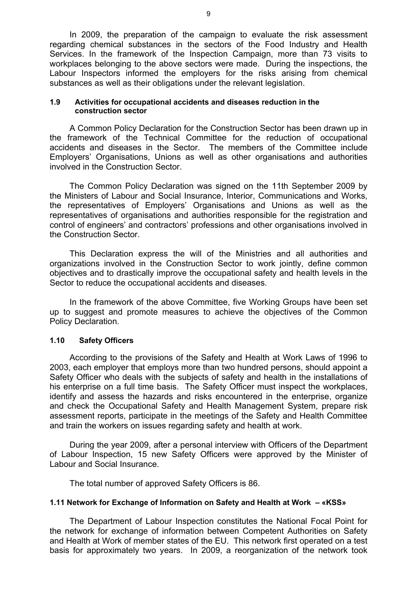In 2009, the preparation of the campaign to evaluate the risk assessment regarding chemical substances in the sectors of the Food Industry and Health Services. In the framework of the Inspection Campaign, more than 73 visits to workplaces belonging to the above sectors were made. During the inspections, the Labour Inspectors informed the employers for the risks arising from chemical substances as well as their obligations under the relevant legislation.

#### **1.9 Activities for occupational accidents and diseases reduction in the construction sector**

A Common Policy Declaration for the Construction Sector has been drawn up in the framework of the Technical Committee for the reduction of occupational accidents and diseases in the Sector. The members of the Committee include Employers' Organisations, Unions as well as other organisations and authorities involved in the Construction Sector.

The Common Policy Declaration was signed on the 11th September 2009 by the Ministers of Labour and Social Insurance, Interior, Communications and Works, the representatives of Employers' Organisations and Unions as well as the representatives of organisations and authorities responsible for the registration and control of engineers' and contractors' professions and other organisations involved in the Construction Sector.

This Declaration express the will of the Ministries and all authorities and organizations involved in the Construction Sector to work jointly, define common objectives and to drastically improve the occupational safety and health levels in the Sector to reduce the occupational accidents and diseases.

In the framework of the above Committee, five Working Groups have been set up to suggest and promote measures to achieve the objectives of the Common Policy Declaration.

#### **1.10 Safety Officers**

 According to the provisions of the Safety and Health at Work Laws of 1996 to 2003, each employer that employs more than two hundred persons, should appoint a Safety Officer who deals with the subjects of safety and health in the installations of his enterprise on a full time basis. The Safety Officer must inspect the workplaces, identify and assess the hazards and risks encountered in the enterprise, organize and check the Occupational Safety and Health Management System, prepare risk assessment reports, participate in the meetings of the Safety and Health Committee and train the workers on issues regarding safety and health at work.

 During the year 2009, after a personal interview with Officers of the Department of Labour Inspection, 15 new Safety Officers were approved by the Minister of Labour and Social Insurance.

The total number of approved Safety Officers is 86.

#### **1.11 Network for Exchange of Information on Safety and Health at Work – «KSS»**

The Department of Labour Inspection constitutes the National Focal Point for the network for exchange of information between Competent Authorities on Safety and Health at Work of member states of the EU. This network first operated on a test basis for approximately two years. In 2009, a reorganization of the network took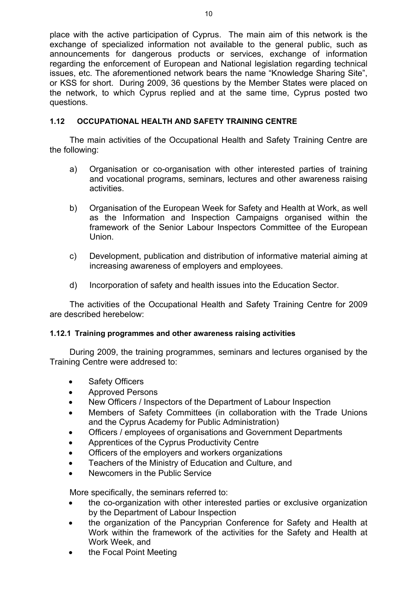place with the active participation of Cyprus. The main aim of this network is the exchange of specialized information not available to the general public, such as announcements for dangerous products or services, exchange of information regarding the enforcement of European and National legislation regarding technical issues, etc. The aforementioned network bears the name "Knowledge Sharing Site", or KSS for short. During 2009, 36 questions by the Member States were placed on the network, to which Cyprus replied and at the same time, Cyprus posted two questions.

# **1.12 OCCUPATIONAL HEALTH AND SAFETY TRAINING CENTRE**

The main activities of the Occupational Health and Safety Training Centre are the following:

- a) Organisation or co-organisation with other interested parties of training and vocational programs, seminars, lectures and other awareness raising activities.
- b) Organisation of the European Week for Safety and Health at Work, as well as the Information and Inspection Campaigns organised within the framework of the Senior Labour Inspectors Committee of the European Union.
- c) Development, publication and distribution of informative material aiming at increasing awareness of employers and employees.
- d) Incorporation of safety and health issues into the Education Sector.

The activities of the Occupational Health and Safety Training Centre for 2009 are described herebelow:

## **1.12.1 Training programmes and other awareness raising activities**

During 2009, the training programmes, seminars and lectures organised by the Training Centre were addresed to:

- Safety Officers
- Approved Persons
- New Officers / Inspectors of the Department of Labour Inspection
- Members of Safety Committees (in collaboration with the Trade Unions and the Cyprus Academy for Public Administration)
- Officers / employees of organisations and Government Departments
- Apprentices of the Cyprus Productivity Centre
- Officers of the employers and workers organizations
- Teachers of the Ministry of Education and Culture, and
- Newcomers in the Public Service

More specifically, the seminars referred to:

- the co-organization with other interested parties or exclusive organization by the Department of Labour Inspection
- the organization of the Pancyprian Conference for Safety and Health at Work within the framework of the activities for the Safety and Health at Work Week, and
- the Focal Point Meeting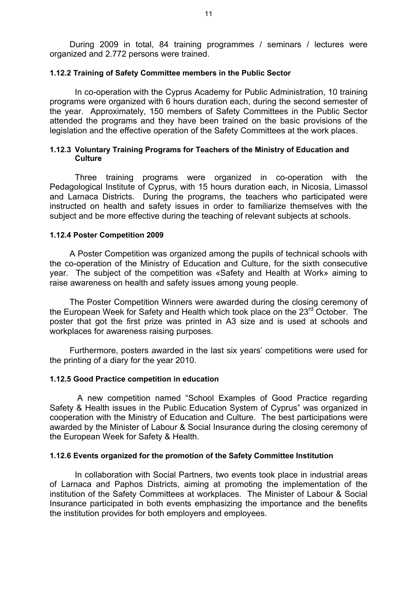During 2009 in total, 84 training programmes / seminars / lectures were organized and 2.772 persons were trained.

#### **1.12.2 Training of Safety Committee members in the Public Sector**

In co-operation with the Cyprus Academy for Public Administration, 10 training programs were organized with 6 hours duration each, during the second semester of the year. Approximately, 150 members of Safety Committees in the Public Sector attended the programs and they have been trained on the basic provisions of the legislation and the effective operation of the Safety Committees at the work places.

#### **1.12.3 Voluntary Training Programs for Teachers of the Ministry of Education and Culture**

Three training programs were organized in co-operation with the Pedagological Institute of Cyprus, with 15 hours duration each, in Nicosia, Limassol and Larnaca Districts. During the programs, the teachers who participated were instructed on health and safety issues in order to familiarize themselves with the subject and be more effective during the teaching of relevant subjects at schools.

#### **1.12.4 Poster Competition 2009**

A Poster Competition was organized among the pupils of technical schools with the co-operation of the Ministry of Education and Culture, for the sixth consecutive year. The subject of the competition was «Safety and Health at Work» aiming to raise awareness on health and safety issues among young people.

The Poster Competition Winners were awarded during the closing ceremony of the European Week for Safety and Health which took place on the 23<sup>rd</sup> October. The poster that got the first prize was printed in A3 size and is used at schools and workplaces for awareness raising purposes.

Furthermore, posters awarded in the last six years' competitions were used for the printing of a diary for the year 2010.

#### **1.12.5 Good Practice competition in education**

 A new competition named "School Examples of Good Practice regarding Safety & Health issues in the Public Education System of Cyprus" was organized in cooperation with the Ministry of Education and Culture. The best participations were awarded by the Minister of Labour & Social Insurance during the closing ceremony of the European Week for Safety & Health.

#### **1.12.6 Events organized for the promotion of the Safety Committee Institution**

 In collaboration with Social Partners, two events took place in industrial areas of Larnaca and Paphos Districts, aiming at promoting the implementation of the institution of the Safety Committees at workplaces. The Minister of Labour & Social Insurance participated in both events emphasizing the importance and the benefits the institution provides for both employers and employees.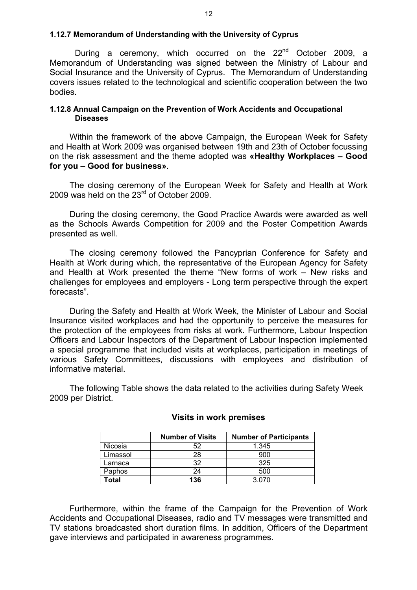#### **1.12.7 Memorandum of Understanding with the University of Cyprus**

During a ceremony, which occurred on the 22<sup>nd</sup> October 2009, a Memorandum of Understanding was signed between the Ministry of Labour and Social Insurance and the University of Cyprus. The Memorandum of Understanding covers issues related to the technological and scientific cooperation between the two bodies.

#### **1.12.8 Annual Campaign on the Prevention of Work Accidents and Occupational Diseases**

Within the framework of the above Campaign, the European Week for Safety and Health at Work 2009 was organised between 19th and 23th of October focussing on the risk assessment and the theme adopted was **«Healthy Workplaces – Good for you – Good for business»**.

The closing ceremony of the European Week for Safety and Health at Work 2009 was held on the 23rd of October 2009.

During the closing ceremony, the Good Practice Awards were awarded as well as the Schools Awards Competition for 2009 and the Poster Competition Awards presented as well.

The closing ceremony followed the Pancyprian Conference for Safety and Health at Work during which, the representative of the European Agency for Safety and Health at Work presented the theme "New forms of work – New risks and challenges for employees and employers - Long term perspective through the expert forecasts".

During the Safety and Health at Work Week, the Minister of Labour and Social Insurance visited workplaces and had the opportunity to perceive the measures for the protection of the employees from risks at work. Furthermore, Labour Inspection Officers and Labour Inspectors of the Department of Labour Inspection implemented a special programme that included visits at workplaces, participation in meetings of various Safety Committees, discussions with employees and distribution of informative material.

The following Table shows the data related to the activities during Safety Week 2009 per District.

|          | <b>Number of Visits</b> | <b>Number of Participants</b> |
|----------|-------------------------|-------------------------------|
| Nicosia  |                         | 1.345                         |
| Limassol | 28                      | 900                           |
| Larnaca  | 32                      | 325                           |
| Paphos   | 24                      | 500                           |
| Гоtal    | 136                     | 3.070                         |

### **Visits in work premises**

Furthermore, within the frame of the Campaign for the Prevention of Work Accidents and Occupational Diseases, radio and TV messages were transmitted and TV stations broadcasted short duration films. In addition, Officers of the Department gave interviews and participated in awareness programmes.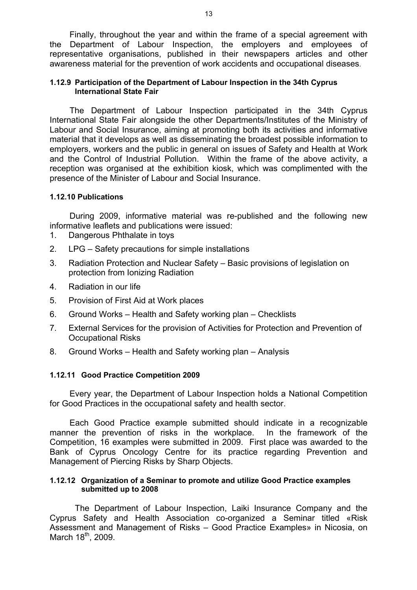Finally, throughout the year and within the frame of a special agreement with the Department of Labour Inspection, the employers and employees of representative organisations, published in their newspapers articles and other awareness material for the prevention of work accidents and occupational diseases.

#### **1.12.9 Participation of the Department of Labour Inspection in the 34th Cyprus International State Fair**

The Department of Labour Inspection participated in the 34th Cyprus International State Fair alongside the other Departments/Institutes of the Ministry of Labour and Social Insurance, aiming at promoting both its activities and informative material that it develops as well as disseminating the broadest possible information to employers, workers and the public in general on issues of Safety and Health at Work and the Control of Industrial Pollution. Within the frame of the above activity, a reception was organised at the exhibition kiosk, which was complimented with the presence of the Minister of Labour and Social Insurance.

## **1.12.10 Publications**

During 2009, informative material was re-published and the following new informative leaflets and publications were issued:

- 1. Dangerous Phthalate in toys
- 2. LPG Safety precautions for simple installations
- 3. Radiation Protection and Nuclear Safety Basic provisions of legislation on protection from Ionizing Radiation
- 4. Radiation in our life
- 5. Provision of First Aid at Work places
- 6. Ground Works Health and Safety working plan Checklists
- 7. External Services for the provision of Activities for Protection and Prevention of Occupational Risks
- 8. Ground Works Health and Safety working plan Analysis

## **1.12.11 Good Practice Competition 2009**

Every year, the Department of Labour Inspection holds a National Competition for Good Practices in the occupational safety and health sector.

Each Good Practice example submitted should indicate in a recognizable manner the prevention of risks in the workplace. In the framework of the Competition, 16 examples were submitted in 2009. First place was awarded to the Bank of Cyprus Oncology Centre for its practice regarding Prevention and Management of Piercing Risks by Sharp Objects.

#### **1.12.12 Organization of a Seminar to promote and utilize Good Practice examples submitted up to 2008**

The Department of Labour Inspection, Laiki Insurance Company and the Cyprus Safety and Health Association co-organized a Seminar titled «Risk Assessment and Management of Risks – Good Practice Examples» in Nicosia, on March 18<sup>th</sup>, 2009.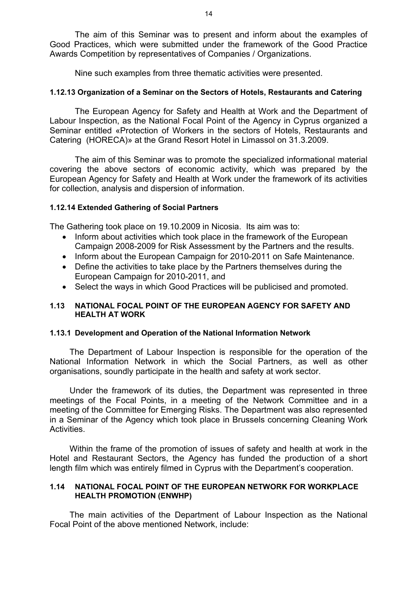The aim of this Seminar was to present and inform about the examples of Good Practices, which were submitted under the framework of the Good Practice Awards Competition by representatives of Companies / Organizations.

Nine such examples from three thematic activities were presented.

## **1.12.13 Organization of a Seminar on the Sectors of Hotels, Restaurants and Catering**

The European Agency for Safety and Health at Work and the Department of Labour Inspection, as the National Focal Point of the Agency in Cyprus organized a Seminar entitled «Protection of Workers in the sectors of Hotels, Restaurants and Catering (HORECA)» at the Grand Resort Hotel in Limassol on 31.3.2009.

The aim of this Seminar was to promote the specialized informational material covering the above sectors of economic activity, which was prepared by the European Agency for Safety and Health at Work under the framework of its activities for collection, analysis and dispersion of information.

## **1.12.14 Extended Gathering of Social Partners**

The Gathering took place on 19.10.2009 in Nicosia. Its aim was to:

- Inform about activities which took place in the framework of the European Campaign 2008-2009 for Risk Assessment by the Partners and the results.
- Inform about the European Campaign for 2010-2011 on Safe Maintenance.
- Define the activities to take place by the Partners themselves during the European Campaign for 2010-2011, and
- Select the ways in which Good Practices will be publicised and promoted.

## **1.13 NATIONAL FOCAL POINT OF THE EUROPEAN AGENCY FOR SAFETY AND HEALTH AT WORK**

## **1.13.1 Development and Operation of the National Information Network**

The Department of Labour Inspection is responsible for the operation of the National Information Network in which the Social Partners, as well as other organisations, soundly participate in the health and safety at work sector.

Under the framework of its duties, the Department was represented in three meetings of the Focal Points, in a meeting of the Network Committee and in a meeting of the Committee for Emerging Risks. The Department was also represented in a Seminar of the Agency which took place in Brussels concerning Cleaning Work Activities.

Within the frame of the promotion of issues of safety and health at work in the Hotel and Restaurant Sectors, the Agency has funded the production of a short length film which was entirely filmed in Cyprus with the Department's cooperation.

## **1.14 NATIONAL FOCAL POINT OF THE EUROPEAN NETWORK FOR WORKPLACE HEALTH PROMOTION (ENWHP)**

The main activities of the Department of Labour Inspection as the National Focal Point of the above mentioned Network, include: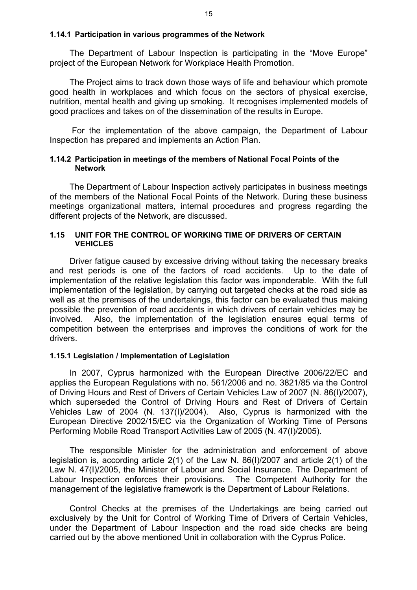#### **1.14.1 Participation in various programmes of the Network**

The Department of Labour Inspection is participating in the "Move Europe" project of the European Network for Workplace Health Promotion.

The Project aims to track down those ways of life and behaviour which promote good health in workplaces and which focus on the sectors of physical exercise, nutrition, mental health and giving up smoking. It recognises implemented models of good practices and takes on of the dissemination of the results in Europe.

 For the implementation of the above campaign, the Department of Labour Inspection has prepared and implements an Action Plan.

#### **1.14.2 Participation in meetings of the members of National Focal Points of the Network**

The Department of Labour Inspection actively participates in business meetings of the members of the National Focal Points of the Network. During these business meetings organizational matters, internal procedures and progress regarding the different projects of the Network, are discussed.

#### **1.15 UNIT FOR THE CONTROL OF WORKING TIME OF DRIVERS OF CERTAIN VEHICLES**

Driver fatigue caused by excessive driving without taking the necessary breaks and rest periods is one of the factors of road accidents. Up to the date of implementation of the relative legislation this factor was imponderable. With the full implementation of the legislation, by carrying out targeted checks at the road side as well as at the premises of the undertakings, this factor can be evaluated thus making possible the prevention of road accidents in which drivers of certain vehicles may be involved. Also, the implementation of the legislation ensures equal terms of competition between the enterprises and improves the conditions of work for the drivers.

#### **1.15.1 Legislation / Implementation of Legislation**

In 2007, Cyprus harmonized with the European Directive 2006/22/EC and applies the European Regulations with no. 561/2006 and no. 3821/85 via the Control of Driving Hours and Rest of Drivers of Certain Vehicles Law of 2007 (N. 86(I)/2007), which superseded the Control of Driving Hours and Rest of Drivers of Certain Vehicles Law of 2004 (N. 137(I)/2004). Also, Cyprus is harmonized with the European Directive 2002/15/EC via the Organization of Working Time of Persons Performing Mobile Road Transport Activities Law of 2005 (N. 47(I)/2005).

The responsible Minister for the administration and enforcement of above legislation is, according article 2(1) of the Law N. 86(I)/2007 and article 2(1) of the Law N. 47(I)/2005, the Minister of Labour and Social Insurance. The Department of Labour Inspection enforces their provisions. The Competent Authority for the management of the legislative framework is the Department of Labour Relations.

Control Checks at the premises of the Undertakings are being carried out exclusively by the Unit for Control of Working Time of Drivers of Certain Vehicles, under the Department of Labour Inspection and the road side checks are being carried out by the above mentioned Unit in collaboration with the Cyprus Police.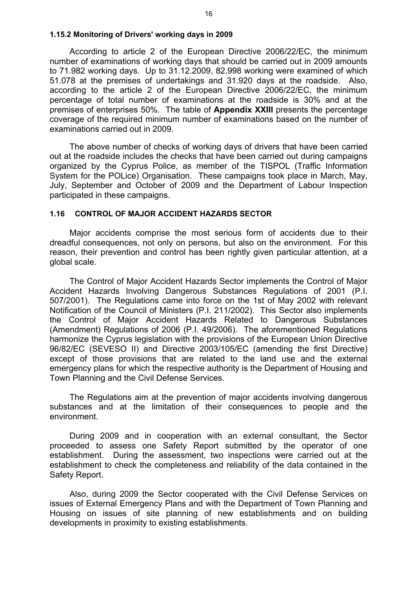#### **1.15.2 Monitoring of Drivers' working days in 2009**

According to article 2 of the European Directive 2006/22/EC, the minimum number of examinations of working days that should be carried out in 2009 amounts to 71.982 working days. Up to 31.12.2009, 82.998 working were examined of which 51.078 at the premises of undertakings and 31.920 days at the roadside. Also, according to the article 2 of the European Directive 2006/22/EC, the minimum percentage of total number of examinations at the roadside is 30% and at the premises of enterprises 50%. The table of **Appendix XXΙΙI** presents the percentage coverage of the required minimum number of examinations based on the number of examinations carried out in 2009.

The above number of checks of working days of drivers that have been carried out at the roadside includes the checks that have been carried out during campaigns organized by the Cyprus Police, as member of the TISPOL (Traffic Information System for the POLice) Organisation. These campaigns took place in March, May, July, September and October of 2009 and the Department of Labour Inspection participated in these campaigns.

#### **1.16 CONTROL OF MAJOR ACCIDENT HAZARDS SECTOR**

Major accidents comprise the most serious form of accidents due to their dreadful consequences, not only on persons, but also on the environment. For this reason, their prevention and control has been rightly given particular attention, at a global scale.

The Control of Major Accident Hazards Sector implements the Control of Major Accident Hazards Involving Dangerous Substances Regulations of 2001 (P.I. 507/2001). The Regulations came into force on the 1st of May 2002 with relevant Notification of the Council of Ministers (P.I. 211/2002). This Sector also implements the Control of Major Accident Hazards Related to Dangerous Substances (Amendment) Regulations of 2006 (P.I. 49/2006). The aforementioned Regulations harmonize the Cyprus legislation with the provisions of the European Union Directive 96/82/EC (SEVESO II) and Directive 2003/105/EC (amending the first Directive) except of those provisions that are related to the land use and the external emergency plans for which the respective authority is the Department of Housing and Town Planning and the Civil Defense Services.

The Regulations aim at the prevention of major accidents involving dangerous substances and at the limitation of their consequences to people and the environment.

During 2009 and in cooperation with an external consultant, the Sector proceeded to assess one Safety Report submitted by the operator of one establishment. During the assessment, two inspections were carried out at the establishment to check the completeness and reliability of the data contained in the Safety Report.

Also, during 2009 the Sector cooperated with the Civil Defense Services on issues of External Emergency Plans and with the Department of Town Planning and Housing on issues of site planning of new establishments and on building developments in proximity to existing establishments.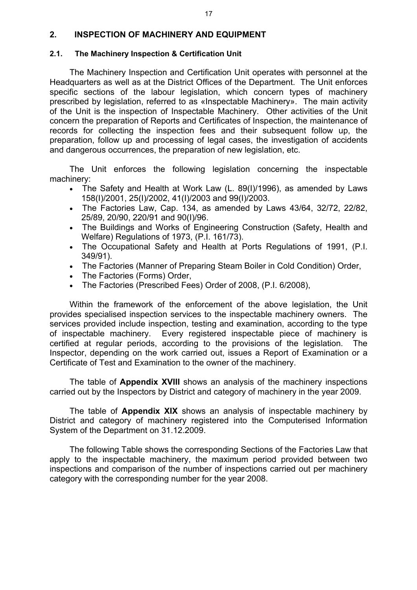## **2. INSPECTION OF MACHINERY AND EQUIPMENT**

## **2.1. The Machinery Inspection & Certification Unit**

The Machinery Inspection and Certification Unit operates with personnel at the Headquarters as well as at the District Offices of the Department. The Unit enforces specific sections of the labour legislation, which concern types of machinery prescribed by legislation, referred to as «Inspectable Machinery». The main activity of the Unit is the inspection of Inspectable Machinery. Other activities of the Unit concern the preparation of Reports and Certificates of Inspection, the maintenance of records for collecting the inspection fees and their subsequent follow up, the preparation, follow up and processing of legal cases, the investigation of accidents and dangerous occurrences, the preparation of new legislation, etc.

The Unit enforces the following legislation concerning the inspectable machinery:

- The Safety and Health at Work Law (L. 89(I)/1996), as amended by Laws 158(I)/2001, 25(I)/2002, 41(I)/2003 and 99(I)/2003.
- The Factories Law, Cap. 134, as amended by Laws 43/64, 32/72, 22/82, 25/89, 20/90, 220/91 and 90(I)/96.
- The Buildings and Works of Engineering Construction (Safety, Health and Welfare) Regulations of 1973, (P.I. 161/73).
- The Occupational Safety and Health at Ports Regulations of 1991, (P.I. 349/91).
- The Factories (Manner of Preparing Steam Boiler in Cold Condition) Order,
- The Factories (Forms) Order,
- The Factories (Prescribed Fees) Order of 2008, (P.I. 6/2008),

Within the framework of the enforcement of the above legislation, the Unit provides specialised inspection services to the inspectable machinery owners. The services provided include inspection, testing and examination, according to the type of inspectable machinery. Every registered inspectable piece of machinery is certified at regular periods, according to the provisions of the legislation. The Inspector, depending on the work carried out, issues a Report of Examination or a Certificate of Test and Examination to the owner of the machinery.

The table of **Appendix XVIII** shows an analysis of the machinery inspections carried out by the Inspectors by District and category of machinery in the year 2009.

The table of **Appendix XIX** shows an analysis of inspectable machinery by District and category of machinery registered into the Computerised Information System of the Department on 31.12.2009.

The following Table shows the corresponding Sections of the Factories Law that apply to the inspectable machinery, the maximum period provided between two inspections and comparison of the number of inspections carried out per machinery category with the corresponding number for the year 2008.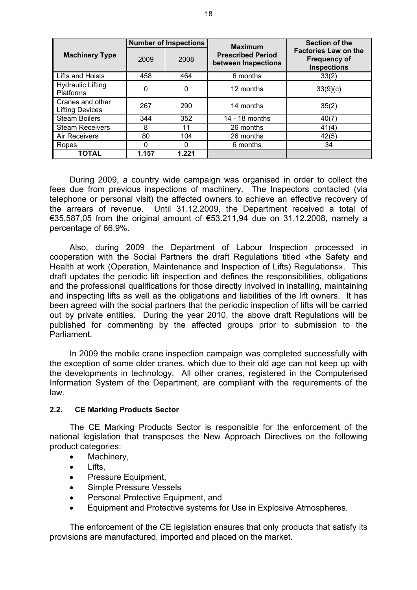|                                              | <b>Number of Inspections</b> |       | <b>Maximum</b>                                  | <b>Section of the</b>                                                    |  |
|----------------------------------------------|------------------------------|-------|-------------------------------------------------|--------------------------------------------------------------------------|--|
| <b>Machinery Type</b>                        | 2009                         | 2008  | <b>Prescribed Period</b><br>between Inspections | <b>Factories Law on the</b><br><b>Frequency of</b><br><b>Inspections</b> |  |
| Lifts and Hoists                             | 458                          | 464   | 6 months                                        | 33(2)                                                                    |  |
| <b>Hydraulic Lifting</b><br><b>Platforms</b> | $\Omega$                     | 0     | 12 months                                       | 33(9)(c)                                                                 |  |
| Cranes and other<br><b>Lifting Devices</b>   | 267                          | 290   | 14 months                                       | 35(2)                                                                    |  |
| <b>Steam Boilers</b>                         | 344                          | 352   | 14 - 18 months                                  | 40(7)                                                                    |  |
| <b>Steam Receivers</b>                       | 8                            | 11    | 26 months                                       | 41(4)                                                                    |  |
| Air Receivers                                | 80                           | 104   | 26 months                                       | 42(5)                                                                    |  |
| Ropes                                        |                              | O     | 6 months                                        | 34                                                                       |  |
| <b>TOTAL</b>                                 | 1.157                        | 1.221 |                                                 |                                                                          |  |

During 2009, a country wide campaign was organised in order to collect the fees due from previous inspections of machinery. The Inspectors contacted (via telephone or personal visit) the affected owners to achieve an effective recovery of the arrears of revenue. Until 31.12.2009, the Department received a total of €35.587,05 from the original amount of €53.211,94 due on 31.12.2008, namely a percentage of 66,9%.

Also, during 2009 the Department of Labour Inspection processed in cooperation with the Social Partners the draft Regulations titled «the Safety and Health at work (Operation, Maintenance and Inspection of Lifts) Regulations». This draft updates the periodic lift inspection and defines the responsibilities, obligations and the professional qualifications for those directly involved in installing, maintaining and inspecting lifts as well as the obligations and liabilities of the lift owners. It has been agreed with the social partners that the periodic inspection of lifts will be carried out by private entities. During the year 2010, the above draft Regulations will be published for commenting by the affected groups prior to submission to the **Parliament** 

In 2009 the mobile crane inspection campaign was completed successfully with the exception of some older cranes, which due to their old age can not keep up with the developments in technology. All other cranes, registered in the Computerised Information System of the Department, are compliant with the requirements of the law.

## **2.2. CE Marking Products Sector**

The CE Marking Products Sector is responsible for the enforcement of the national legislation that transposes the New Approach Directives on the following product categories:

- Machinery,
- Lifts.
- Pressure Equipment,
- Simple Pressure Vessels
- Personal Protective Equipment, and
- Equipment and Protective systems for Use in Explosive Atmospheres.

The enforcement of the CE legislation ensures that only products that satisfy its provisions are manufactured, imported and placed on the market.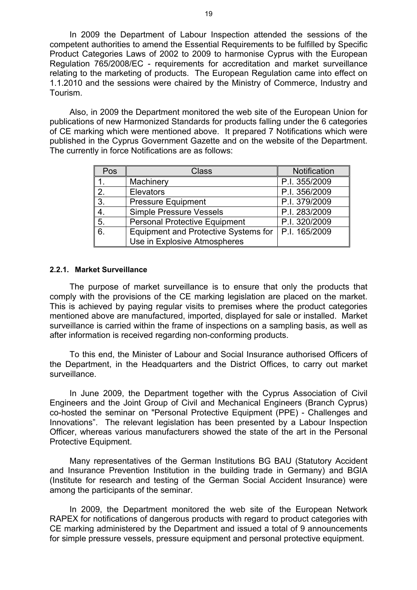In 2009 the Department of Labour Inspection attended the sessions of the competent authorities to amend the Essential Requirements to be fulfilled by Specific Product Categories Laws of 2002 to 2009 to harmonise Cyprus with the European Regulation 765/2008/EC - requirements for accreditation and market surveillance relating to the marketing of products. The European Regulation came into effect on 1.1.2010 and the sessions were chaired by the Ministry of Commerce, Industry and Tourism.

Also, in 2009 the Department monitored the web site of the European Union for publications of new Harmonized Standards for products falling under the 6 categories of CE marking which were mentioned above. It prepared 7 Notifications which were published in the Cyprus Government Gazette and on the website of the Department. The currently in force Notifications are as follows:

| Pos            | Class                                       | Notification  |
|----------------|---------------------------------------------|---------------|
|                | Machinery                                   | P.I. 355/2009 |
| 2 <sub>1</sub> | <b>Elevators</b>                            | P.I. 356/2009 |
| 3.             | <b>Pressure Equipment</b>                   | P.I. 379/2009 |
| 4.             | <b>Simple Pressure Vessels</b>              | P.I. 283/2009 |
| 5.             | <b>Personal Protective Equipment</b>        | P.I. 320/2009 |
| 6.             | <b>Equipment and Protective Systems for</b> | P.I. 165/2009 |
|                | Use in Explosive Atmospheres                |               |

#### **2.2.1. Market Surveillance**

The purpose of market surveillance is to ensure that only the products that comply with the provisions of the CE marking legislation are placed on the market. This is achieved by paying regular visits to premises where the product categories mentioned above are manufactured, imported, displayed for sale or installed. Market surveillance is carried within the frame of inspections on a sampling basis, as well as after information is received regarding non-conforming products.

To this end, the Minister of Labour and Social Insurance authorised Officers of the Department, in the Headquarters and the District Offices, to carry out market surveillance.

In June 2009, the Department together with the Cyprus Association of Civil Engineers and the Joint Group of Civil and Mechanical Engineers (Branch Cyprus) co-hosted the seminar on "Personal Protective Equipment (PPE) - Challenges and Innovations". The relevant legislation has been presented by a Labour Inspection Officer, whereas various manufacturers showed the state of the art in the Personal Protective Equipment.

Many representatives of the German Institutions BG BAU (Statutory Accident and Insurance Prevention Institution in the building trade in Germany) and BGIA (Institute for research and testing of the German Social Accident Insurance) were among the participants of the seminar.

In 2009, the Department monitored the web site of the European Network RAPEX for notifications of dangerous products with regard to product categories with CE marking administered by the Department and issued a total of 9 announcements for simple pressure vessels, pressure equipment and personal protective equipment.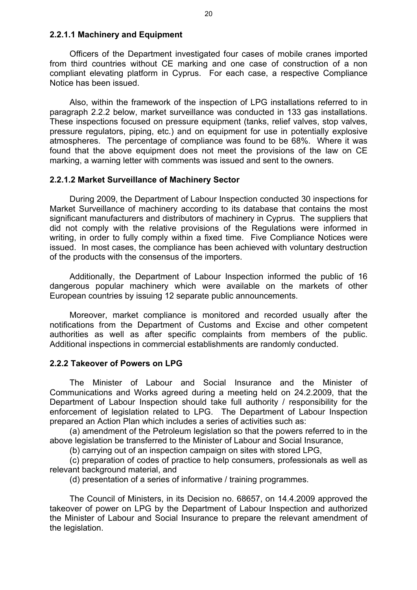## **2.2.1.1 Machinery and Equipment**

Officers of the Department investigated four cases of mobile cranes imported from third countries without CE marking and one case of construction of a non compliant elevating platform in Cyprus. For each case, a respective Compliance Notice has been issued.

Also, within the framework of the inspection of LPG installations referred to in paragraph 2.2.2 below, market surveillance was conducted in 133 gas installations. These inspections focused on pressure equipment (tanks, relief valves, stop valves, pressure regulators, piping, etc.) and on equipment for use in potentially explosive atmospheres. The percentage of compliance was found to be 68%. Where it was found that the above equipment does not meet the provisions of the law on CE marking, a warning letter with comments was issued and sent to the owners.

## **2.2.1.2 Market Surveillance of Machinery Sector**

During 2009, the Department of Labour Inspection conducted 30 inspections for Market Surveillance of machinery according to its database that contains the most significant manufacturers and distributors of machinery in Cyprus. The suppliers that did not comply with the relative provisions of the Regulations were informed in writing, in order to fully comply within a fixed time. Five Compliance Notices were issued. In most cases, the compliance has been achieved with voluntary destruction of the products with the consensus of the importers.

Additionally, the Department of Labour Inspection informed the public of 16 dangerous popular machinery which were available on the markets of other European countries by issuing 12 separate public announcements.

Moreover, market compliance is monitored and recorded usually after the notifications from the Department of Customs and Excise and other competent authorities as well as after specific complaints from members of the public. Additional inspections in commercial establishments are randomly conducted.

## **2.2.2 Takeover of Powers on LPG**

The Minister of Labour and Social Insurance and the Minister of Communications and Works agreed during a meeting held on 24.2.2009, that the Department of Labour Inspection should take full authority / responsibility for the enforcement of legislation related to LPG. The Department of Labour Inspection prepared an Action Plan which includes a series of activities such as:

(a) amendment of the Petroleum legislation so that the powers referred to in the above legislation be transferred to the Minister of Labour and Social Insurance,

(b) carrying out of an inspection campaign on sites with stored LPG,

(c) preparation of codes of practice to help consumers, professionals as well as relevant background material, and

(d) presentation of a series of informative / training programmes.

The Council of Ministers, in its Decision no. 68657, on 14.4.2009 approved the takeover of power on LPG by the Department of Labour Inspection and authorized the Minister of Labour and Social Insurance to prepare the relevant amendment of the legislation.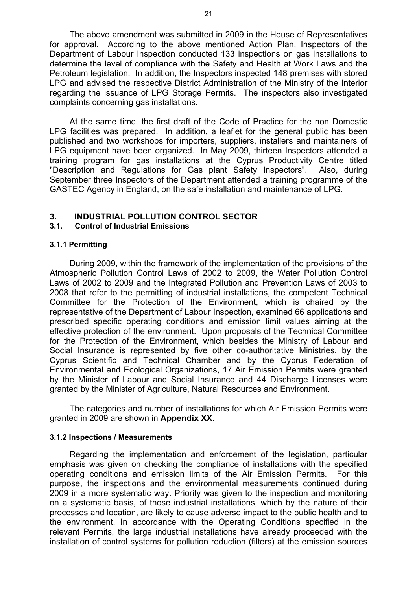The above amendment was submitted in 2009 in the House of Representatives for approval. According to the above mentioned Action Plan, Inspectors of the Department of Labour Inspection conducted 133 inspections on gas installations to determine the level of compliance with the Safety and Health at Work Laws and the Petroleum legislation. In addition, the Inspectors inspected 148 premises with stored LPG and advised the respective District Administration of the Ministry of the Interior regarding the issuance of LPG Storage Permits. The inspectors also investigated complaints concerning gas installations.

At the same time, the first draft of the Code of Practice for the non Domestic LPG facilities was prepared. In addition, a leaflet for the general public has been published and two workshops for importers, suppliers, installers and maintainers of LPG equipment have been organized. In May 2009, thirteen Inspectors attended a training program for gas installations at the Cyprus Productivity Centre titled "Description and Regulations for Gas plant Safety Inspectors". Also, during September three Inspectors of the Department attended a training programme of the GASTEC Agency in England, on the safe installation and maintenance of LPG.

# **3. INDUSTRIAL POLLUTION CONTROL SECTOR**

#### **3.1. Control of Industrial Emissions**

#### **3.1.1 Permitting**

During 2009, within the framework of the implementation of the provisions of the Atmospheric Pollution Control Laws of 2002 to 2009, the Water Pollution Control Laws of 2002 to 2009 and the Integrated Pollution and Prevention Laws of 2003 to 2008 that refer to the permitting of industrial installations, the competent Technical Committee for the Protection of the Environment, which is chaired by the representative of the Department of Labour Inspection, examined 66 applications and prescribed specific operating conditions and emission limit values aiming at the effective protection of the environment. Upon proposals of the Technical Committee for the Protection of the Environment, which besides the Ministry of Labour and Social Insurance is represented by five other co-authoritative Ministries, by the Cyprus Scientific and Technical Chamber and by the Cyprus Federation of Environmental and Ecological Organizations, 17 Air Emission Permits were granted by the Minister of Labour and Social Insurance and 44 Discharge Licenses were granted by the Minister of Agriculture, Natural Resources and Environment.

Τhe categories and number of installations for which Air Emission Permits were granted in 2009 are shown in **Appendix XΧ**.

#### **3.1.2 Inspections / Measurements**

Regarding the implementation and enforcement of the legislation, particular emphasis was given on checking the compliance of installations with the specified operating conditions and emission limits of the Air Emission Permits. For this purpose, the inspections and the environmental measurements continued during 2009 in a more systematic way. Priority was given to the inspection and monitoring on a systematic basis, of those industrial installations, which by the nature of their processes and location, are likely to cause adverse impact to the public health and to the environment. In accordance with the Operating Conditions specified in the relevant Permits, the large industrial installations have already proceeded with the installation of control systems for pollution reduction (filters) at the emission sources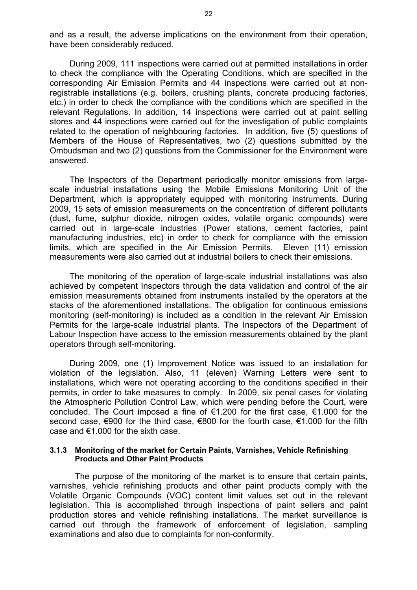and as a result, the adverse implications on the environment from their operation, have been considerably reduced.

During 2009, 111 inspections were carried out at permitted installations in order to check the compliance with the Operating Conditions, which are specified in the corresponding Air Emission Permits and 44 inspections were carried out at nonregistrable installations (e.g. boilers, crushing plants, concrete producing factories, etc.) in order to check the compliance with the conditions which are specified in the relevant Regulations. In addition, 14 inspections were carried out at paint selling stores and 44 inspections were carried out for the investigation of public complaints related to the operation of neighbouring factories. In addition, five (5) questions of Members of the House of Representatives, two (2) questions submitted by the Ombudsman and two (2) questions from the Commissioner for the Environment were answered.

The Inspectors of the Department periodically monitor emissions from largescale industrial installations using the Mobile Emissions Monitoring Unit of the Department, which is appropriately equipped with monitoring instruments. During 2009, 15 sets of emission measurements on the concentration of different pollutants (dust, fume, sulphur dioxide, nitrogen oxides, volatile organic compounds) were carried out in large-scale industries (Power stations, cement factories, paint manufacturing industries, etc) in order to check for compliance with the emission limits, which are specified in the Air Emission Permits. Eleven (11) emission measurements were also carried out at industrial boilers to check their emissions.

The monitoring of the operation of large-scale industrial installations was also achieved by competent Inspectors through the data validation and control of the air emission measurements obtained from instruments installed by the operators at the stacks of the aforementioned installations. The obligation for continuous emissions monitoring (self-monitoring) is included as a condition in the relevant Air Emission Permits for the large-scale industrial plants. The Inspectors of the Department of Labour Inspection have access to the emission measurements obtained by the plant operators through self-monitoring.

During 2009, one (1) Improvement Notice was issued to an installation for violation of the legislation. Also, 11 (eleven) Warning Letters were sent to installations, which were not operating according to the conditions specified in their permits, in order to take measures to comply. In 2009, six penal cases for violating the Atmospheric Pollution Control Law, which were pending before the Court, were concluded. The Court imposed a fine of €1.200 for the first case, €1.000 for the second case, €900 for the third case, €800 for the fourth case, €1.000 for the fifth case and  $€1.000$  for the sixth case.

#### **3.1.3 Monitoring of the market for Certain Paints, Varnishes, Vehicle Refinishing Products and Other Paint Products**

The purpose of the monitoring of the market is to ensure that certain paints, varnishes, vehicle refinishing products and other paint products comply with the Volatile Organic Compounds (VOC) content limit values set out in the relevant legislation. This is accomplished through inspections of paint sellers and paint production stores and vehicle refinishing installations. The market surveillance is carried out through the framework of enforcement of legislation, sampling examinations and also due to complaints for non-conformity.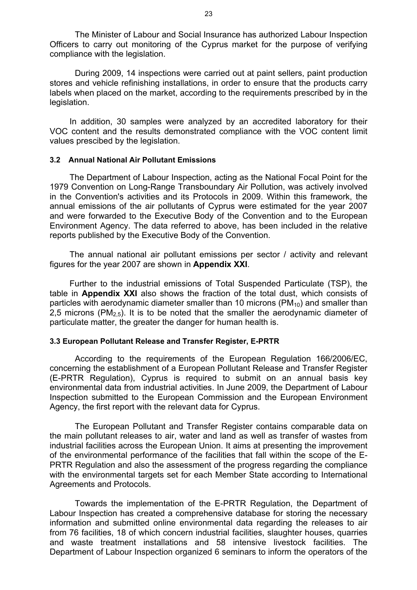The Minister of Labour and Social Insurance has authorized Labour Inspection Officers to carry out monitoring of the Cyprus market for the purpose of verifying compliance with the legislation.

During 2009, 14 inspections were carried out at paint sellers, paint production stores and vehicle refinishing installations, in order to ensure that the products carry labels when placed on the market, according to the requirements prescribed by in the legislation.

In addition, 30 samples were analyzed by an accredited laboratory for their VOC content and the results demonstrated compliance with the VOC content limit values prescibed by the legislation.

#### **3.2 Annual National Air Pollutant Emissions**

The Department of Labour Inspection, acting as the National Focal Point for the 1979 Convention on Long-Range Transboundary Air Pollution, was actively involved in the Convention's activities and its Protocols in 2009. Within this framework, the annual emissions of the air pollutants of Cyprus were estimated for the year 2007 and were forwarded to the Executive Body of the Convention and to the European Environment Agency. The data referred to above, has been included in the relative reports published by the Executive Body of the Convention.

The annual national air pollutant emissions per sector / activity and relevant figures for the year 2007 are shown in **Appendix XXI**.

Further to the industrial emissions of Total Suspended Particulate (TSP), the table in **Appendix XXI** also shows the fraction of the total dust, which consists of particles with aerodynamic diameter smaller than 10 microns  $(PM_{10})$  and smaller than 2,5 microns (PM<sub>2.5</sub>). It is to be noted that the smaller the aerodynamic diameter of particulate matter, the greater the danger for human health is.

## **3.3 European Pollutant Release and Transfer Register, E-PRTR**

According to the requirements of the European Regulation 166/2006/EC, concerning the establishment of a European Pollutant Release and Transfer Register (E-PRTR Regulation), Cyprus is required to submit on an annual basis key environmental data from industrial activities. In June 2009, the Department of Labour Inspection submitted to the European Commission and the European Environment Agency, the first report with the relevant data for Cyprus.

The European Pollutant and Transfer Register contains comparable data on the main pollutant releases to air, water and land as well as transfer of wastes from industrial facilities across the European Union. It aims at presenting the improvement of the environmental performance of the facilities that fall within the scope of the E-PRTR Regulation and also the assessment of the progress regarding the compliance with the environmental targets set for each Member State according to International Agreements and Protocols.

Towards the implementation of the E-PRTR Regulation, the Department of Labour Inspection has created a comprehensive database for storing the necessary information and submitted online environmental data regarding the releases to air from 76 facilities, 18 of which concern industrial facilities, slaughter houses, quarries and waste treatment installations and 58 intensive livestock facilities. The Department of Labour Inspection organized 6 seminars to inform the operators of the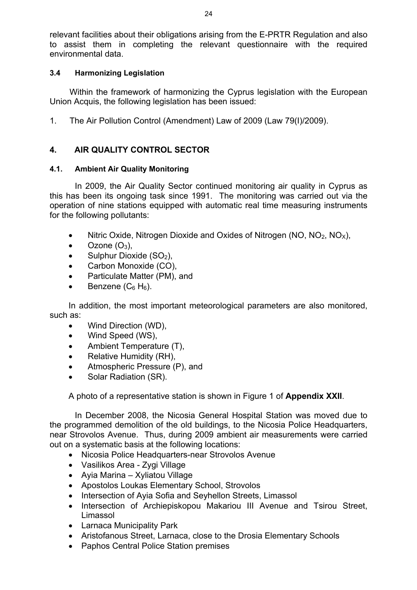relevant facilities about their obligations arising from the E-PRTR Regulation and also to assist them in completing the relevant questionnaire with the required environmental data.

# **3.4 Harmonizing Legislation**

Within the framework of harmonizing the Cyprus legislation with the European Union Acquis, the following legislation has been issued:

1. The Air Pollution Control (Amendment) Law of 2009 (Law 79(I)/2009).

# **4. AIR QUALITY CONTROL SECTOR**

## **4.1. Ambient Air Quality Monitoring**

 In 2009, the Air Quality Sector continued monitoring air quality in Cyprus as this has been its ongoing task since 1991. The monitoring was carried out via the operation of nine stations equipped with automatic real time measuring instruments for the following pollutants:

- Nitric Oxide, Nitrogen Dioxide and Oxides of Nitrogen (NO,  $NO<sub>2</sub>$ , NO<sub>x</sub>),
- Ozone  $(O_3)$ ,
- Sulphur Dioxide  $(SO<sub>2</sub>)$ ,
- Carbon Monoxide (CO),
- Particulate Matter (PM), and
- Benzene  $(C_6 H_6)$ .

In addition, the most important meteorological parameters are also monitored, such as:

- Wind Direction (WD),
- Wind Speed (WS),
- Ambient Temperature (T),
- Relative Humidity (RH),
- Atmospheric Pressure (P), and
- Solar Radiation (SR).

A photo of a representative station is shown in Figure 1 of **Appendix XXII**.

In December 2008, the Nicosia General Hospital Station was moved due to the programmed demolition of the old buildings, to the Nicosia Police Headquarters, near Strovolos Avenue. Thus, during 2009 ambient air measurements were carried out on a systematic basis at the following locations:

- Nicosia Police Headquarters-near Strovolos Avenue
- Vasilikos Area Zygi Village
- Ayia Marina Xyliatou Village
- Apostolos Loukas Elementary School, Strovolos
- Intersection of Ayia Sofia and Seyhellon Streets, Limassol
- Intersection of Archiepiskopou Makariou III Avenue and Tsirou Street, Limassol
- Larnaca Municipality Park
- Aristofanous Street, Larnaca, close to the Drosia Elementary Schools
- Paphos Central Police Station premises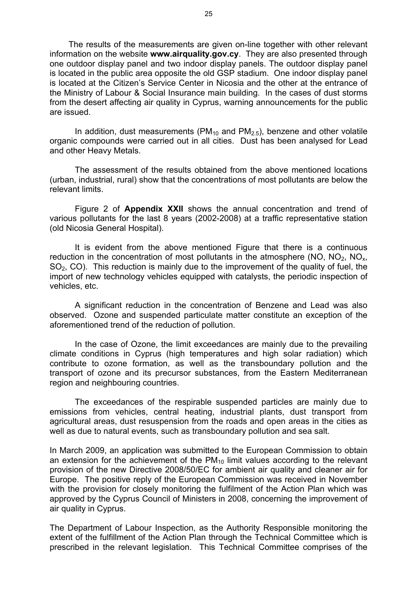The results of the measurements are given on-line together with other relevant information on the website **www.airquality.gov.cy**. They are also presented through one outdoor display panel and two indoor display panels. The outdoor display panel is located in the public area opposite the old GSP stadium. One indoor display panel is located at the Citizen's Service Center in Nicosia and the other at the entrance of the Ministry of Labour & Social Insurance main building. In the cases of dust storms from the desert affecting air quality in Cyprus, warning announcements for the public are issued.

In addition, dust measurements ( $PM_{10}$  and  $PM_{2.5}$ ), benzene and other volatile organic compounds were carried out in all cities. Dust has been analysed for Lead and other Heavy Metals.

The assessment of the results obtained from the above mentioned locations (urban, industrial, rural) show that the concentrations of most pollutants are below the relevant limits.

Figure 2 of **Appendix XXII** shows the annual concentration and trend of various pollutants for the last 8 years (2002-2008) at a traffic representative station (old Nicosia General Hospital).

It is evident from the above mentioned Figure that there is a continuous reduction in the concentration of most pollutants in the atmosphere  $(NO, NO<sub>2</sub>, NO<sub>x</sub>)$ SO2, CO). This reduction is mainly due to the improvement of the quality of fuel, the import of new technology vehicles equipped with catalysts, the periodic inspection of vehicles, etc.

A significant reduction in the concentration of Benzene and Lead was also observed. Ozone and suspended particulate matter constitute an exception of the aforementioned trend of the reduction of pollution.

In the case of Ozone, the limit exceedances are mainly due to the prevailing climate conditions in Cyprus (high temperatures and high solar radiation) which contribute to ozone formation, as well as the transboundary pollution and the transport of ozone and its precursor substances, from the Eastern Mediterranean region and neighbouring countries.

The exceedances of the respirable suspended particles are mainly due to emissions from vehicles, central heating, industrial plants, dust transport from agricultural areas, dust resuspension from the roads and open areas in the cities as well as due to natural events, such as transboundary pollution and sea salt.

In March 2009, an application was submitted to the European Commission to obtain an extension for the achievement of the  $PM_{10}$  limit values according to the relevant provision of the new Directive 2008/50/EC for ambient air quality and cleaner air for Europe. The positive reply of the European Commission was received in November with the provision for closely monitoring the fulfilment of the Action Plan which was approved by the Cyprus Council of Ministers in 2008, concerning the improvement of air quality in Cyprus.

The Department of Labour Inspection, as the Authority Responsible monitoring the extent of the fulfillment of the Action Plan through the Technical Committee which is prescribed in the relevant legislation. This Technical Committee comprises of the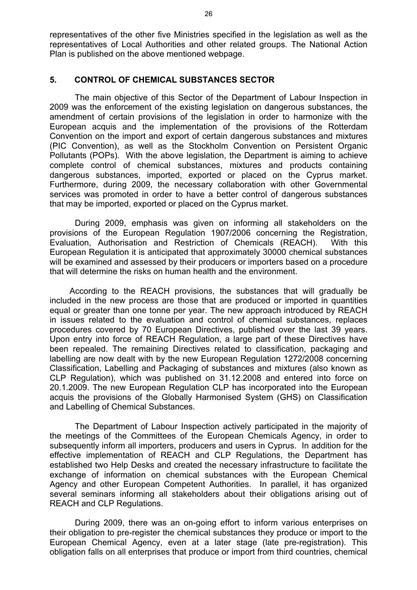representatives of the other five Ministries specified in the legislation as well as the representatives of Local Authorities and other related groups. The National Action Plan is published on the above mentioned webpage.

## **5. CONTROL OF CHEMICAL SUBSTANCES SECTOR**

The main objective of this Sector of the Department of Labour Inspection in 2009 was the enforcement of the existing legislation on dangerous substances, the amendment of certain provisions of the legislation in order to harmonize with the European acquis and the implementation of the provisions of the Rotterdam Convention on the import and export of certain dangerous substances and mixtures (PIC Convention), as well as the Stockholm Convention on Persistent Organic Pollutants (POPs). With the above legislation, the Department is aiming to achieve complete control of chemical substances, mixtures and products containing dangerous substances, imported, exported or placed on the Cyprus market. Furthermore, during 2009, the necessary collaboration with other Governmental services was promoted in order to have a better control of dangerous substances that may be imported, exported or placed on the Cyprus market.

 During 2009, emphasis was given on informing all stakeholders on the provisions of the European Regulation 1907/2006 concerning the Registration, Evaluation, Authorisation and Restriction of Chemicals (REACH). With this European Regulation it is anticipated that approximately 30000 chemical substances will be examined and assessed by their producers or importers based on a procedure that will determine the risks on human health and the environment.

According to the REACH provisions, the substances that will gradually be included in the new process are those that are produced or imported in quantities equal or greater than one tonne per year. The new approach introduced by REACH in issues related to the evaluation and control of chemical substances, replaces procedures covered by 70 European Directives, published over the last 39 years. Upon entry into force of REACH Regulation, a large part of these Directives have been repealed. The remaining Directives related to classification, packaging and labelling are now dealt with by the new European Regulation 1272/2008 concerning Classification, Labelling and Packaging of substances and mixtures (also known as CLP Regulation), which was published on 31.12.2008 and entered into force on 20.1.2009. The new European Regulation CLP has incorporated into the European acquis the provisions of the Globally Harmonised System (GHS) on Classification and Labelling of Chemical Substances.

 The Department of Labour Inspection actively participated in the majority of the meetings of the Committees of the European Chemicals Agency, in order to subsequently inform all importers, producers and users in Cyprus. In addition for the effective implementation of REACH and CLP Regulations, the Department has established two Help Desks and created the necessary infrastructure to facilitate the exchange of information on chemical substances with the European Chemical Agency and other European Competent Authorities. In parallel, it has organized several seminars informing all stakeholders about their obligations arising out of REACH and CLP Regulations.

During 2009, there was an on-going effort to inform various enterprises on their obligation to pre-register the chemical substances they produce or import to the European Chemical Agency, even at a later stage (late pre-registration). This obligation falls on all enterprises that produce or import from third countries, chemical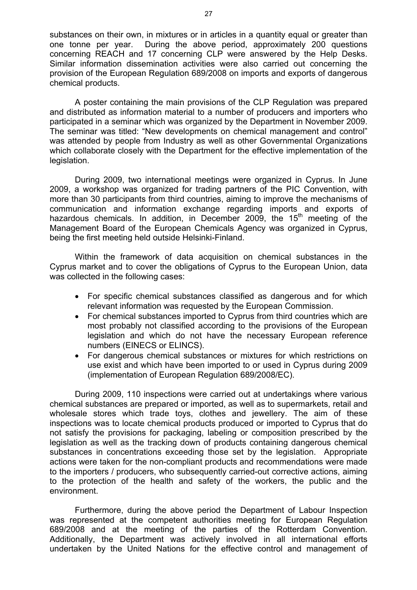substances on their own, in mixtures or in articles in a quantity equal or greater than one tonne per year. During the above period, approximately 200 questions concerning REACH and 17 concerning CLP were answered by the Help Desks. Similar information dissemination activities were also carried out concerning the provision of the European Regulation 689/2008 on imports and exports of dangerous chemical products.

A poster containing the main provisions of the CLP Regulation was prepared and distributed as information material to a number of producers and importers who participated in a seminar which was organized by the Department in November 2009. The seminar was titled: "New developments on chemical management and control" was attended by people from Industry as well as other Governmental Organizations which collaborate closely with the Department for the effective implementation of the legislation.

During 2009, two international meetings were organized in Cyprus. In June 2009, a workshop was organized for trading partners of the PIC Convention, with more than 30 participants from third countries, aiming to improve the mechanisms of communication and information exchange regarding imports and exports of hazardous chemicals. In addition, in December 2009, the  $15<sup>th</sup>$  meeting of the Management Board of the European Chemicals Agency was organized in Cyprus, being the first meeting held outside Helsinki-Finland.

Within the framework of data acquisition on chemical substances in the Cyprus market and to cover the obligations of Cyprus to the European Union, data was collected in the following cases:

- For specific chemical substances classified as dangerous and for which relevant information was requested by the European Commission.
- For chemical substances imported to Cyprus from third countries which are most probably not classified according to the provisions of the European legislation and which do not have the necessary European reference numbers (EINECS or ELINCS).
- For dangerous chemical substances or mixtures for which restrictions on use exist and which have been imported to or used in Cyprus during 2009 (implementation of European Regulation 689/2008/EC).

 During 2009, 110 inspections were carried out at undertakings where various chemical substances are prepared or imported, as well as to supermarkets, retail and wholesale stores which trade toys, clothes and jewellery. The aim of these inspections was to locate chemical products produced or imported to Cyprus that do not satisfy the provisions for packaging, labeling or composition prescribed by the legislation as well as the tracking down of products containing dangerous chemical substances in concentrations exceeding those set by the legislation. Appropriate actions were taken for the non-compliant products and recommendations were made to the importers / producers, who subsequently carried-out corrective actions, aiming to the protection of the health and safety of the workers, the public and the environment.

 Furthermore, during the above period the Department of Labour Inspection was represented at the competent authorities meeting for European Regulation 689/2008 and at the meeting of the parties of the Rotterdam Convention. Additionally, the Department was actively involved in all international efforts undertaken by the United Nations for the effective control and management of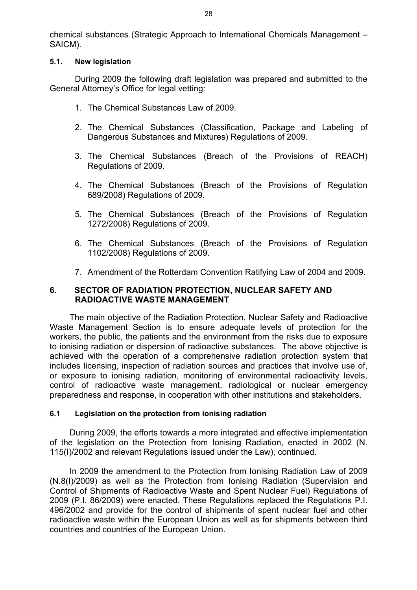chemical substances (Strategic Approach to International Chemicals Management – SAICM).

#### **5.1. New legislation**

 During 2009 the following draft legislation was prepared and submitted to the General Attorney's Office for legal vetting:

- 1. The Chemical Substances Law of 2009.
- 2. The Chemical Substances (Classification, Package and Labeling of Dangerous Substances and Mixtures) Regulations of 2009.
- 3. The Chemical Substances (Breach of the Provisions of REACH) Regulations of 2009.
- 4. The Chemical Substances (Breach of the Provisions of Regulation 689/2008) Regulations of 2009.
- 5. The Chemical Substances (Breach of the Provisions of Regulation 1272/2008) Regulations of 2009.
- 6. The Chemical Substances (Breach of the Provisions of Regulation 1102/2008) Regulations of 2009.
- 7. Amendment of the Rotterdam Convention Ratifying Law of 2004 and 2009.

## **6. SECTOR OF RADIATION PROTECTION, NUCLEAR SAFETY AND RADIOACTIVE WASTE MANAGEMENT**

The main objective of the Radiation Protection, Nuclear Safety and Radioactive Waste Management Section is to ensure adequate levels of protection for the workers, the public, the patients and the environment from the risks due to exposure to ionising radiation or dispersion of radioactive substances. The above objective is achieved with the operation of a comprehensive radiation protection system that includes licensing, inspection of radiation sources and practices that involve use of, or exposure to ionising radiation, monitoring of environmental radioactivity levels, control of radioactive waste management, radiological or nuclear emergency preparedness and response, in cooperation with other institutions and stakeholders.

#### **6.1 Legislation on the protection from ionising radiation**

During 2009, the efforts towards a more integrated and effective implementation of the legislation on the Protection from Ionising Radiation, enacted in 2002 (Ν. 115(Ι)/2002 and relevant Regulations issued under the Law), continued.

In 2009 the amendment to the Protection from Ionising Radiation Law of 2009 (N.8(I)/2009) as well as the Protection from Ionising Radiation (Supervision and Control of Shipments of Radioactive Waste and Spent Nuclear Fuel) Regulations of 2009 (P.I. 86/2009) were enacted. These Regulations replaced the Regulations P.I. 496/2002 and provide for the control of shipments of spent nuclear fuel and other radioactive waste within the European Union as well as for shipments between third countries and countries of the European Union.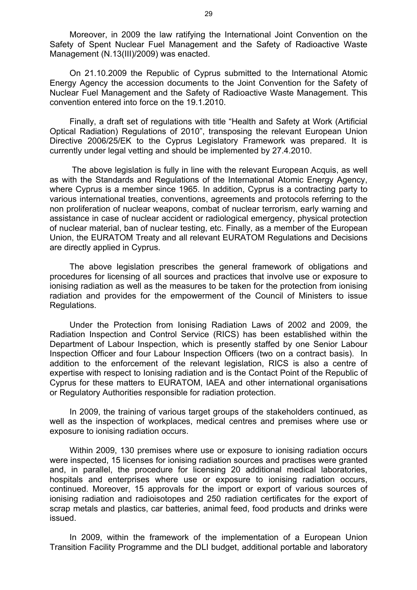Moreover, in 2009 the law ratifying the International Joint Convention on the Safety of Spent Nuclear Fuel Management and the Safety of Radioactive Waste Management (N.13(III)/2009) was enacted.

On 21.10.2009 the Republic of Cyprus submitted to the International Atomic Energy Agency the accession documents to the Joint Convention for the Safety of Nuclear Fuel Management and the Safety of Radioactive Waste Management. This convention entered into force on the 19.1.2010.

Finally, a draft set of regulations with title "Health and Safety at Work (Artificial Optical Radiation) Regulations of 2010", transposing the relevant European Union Directive 2006/25/EK to the Cyprus Legislatory Framework was prepared. It is currently under legal vetting and should be implemented by 27.4.2010.

 The above legislation is fully in line with the relevant European Acquis, as well as with the Standards and Regulations of the International Atomic Energy Agency, where Cyprus is a member since 1965. In addition, Cyprus is a contracting party to various international treaties, conventions, agreements and protocols referring to the non proliferation of nuclear weapons, combat of nuclear terrorism, early warning and assistance in case of nuclear accident or radiological emergency, physical protection of nuclear material, ban of nuclear testing, etc. Finally, as a member of the European Union, the EURATOM Treaty and all relevant EURATOM Regulations and Decisions are directly applied in Cyprus.

The above legislation prescribes the general framework of obligations and procedures for licensing of all sources and practices that involve use or exposure to ionising radiation as well as the measures to be taken for the protection from ionising radiation and provides for the empowerment of the Council of Ministers to issue Regulations.

Under the Protection from Ionising Radiation Laws of 2002 and 2009, the Radiation Inspection and Control Service (RICS) has been established within the Department of Labour Inspection, which is presently staffed by one Senior Labour Inspection Officer and four Labour Inspection Officers (two on a contract basis). In addition to the enforcement of the relevant legislation, RICS is also a centre of expertise with respect to Ionising radiation and is the Contact Point of the Republic of Cyprus for these matters to EURATOM, IAEA and other international organisations or Regulatory Authorities responsible for radiation protection.

In 2009, the training of various target groups of the stakeholders continued, as well as the inspection of workplaces, medical centres and premises where use or exposure to ionising radiation occurs.

Within 2009, 130 premises where use or exposure to ionising radiation occurs were inspected, 15 licenses for ionising radiation sources and practises were granted and, in parallel, the procedure for licensing 20 additional medical laboratories, hospitals and enterprises where use or exposure to ionising radiation occurs, continued. Moreover, 15 approvals for the import or export of various sources of ionising radiation and radioisotopes and 250 radiation certificates for the export of scrap metals and plastics, car batteries, animal feed, food products and drinks were issued.

In 2009, within the framework of the implementation of a European Union Transition Facility Programme and the DLI budget, additional portable and laboratory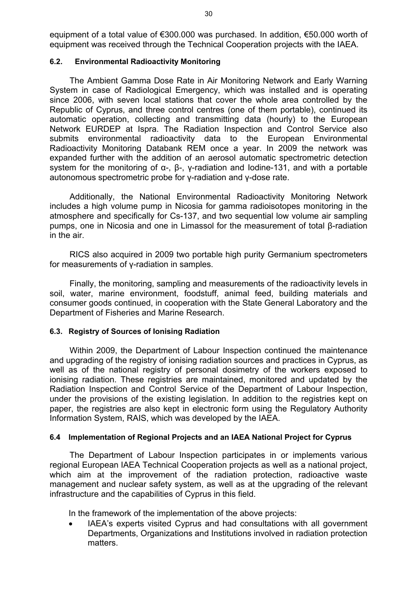equipment of a total value of €300.000 was purchased. In addition, €50.000 worth of equipment was received through the Technical Cooperation projects with the IAEA.

## **6.2. Environmental Radioactivity Monitoring**

The Ambient Gamma Dose Rate in Air Monitoring Network and Early Warning System in case of Radiological Emergency, which was installed and is operating since 2006, with seven local stations that cover the whole area controlled by the Republic of Cyprus, and three control centres (one of them portable), continued its automatic operation, collecting and transmitting data (hourly) to the European Network EURDEP at Ispra. The Radiation Inspection and Control Service also submits environmental radioactivity data to the European Environmental Radioactivity Monitoring Databank REM once a year. In 2009 the network was expanded further with the addition of an aerosol automatic spectrometric detection system for the monitoring of α-, β-, γ-radiation and Iodine-131, and with a portable autonomous spectrometric probe for γ-radiation and γ-dose rate.

Additionally, the National Environmental Radioactivity Monitoring Network includes a high volume pump in Nicosia for gamma radioisotopes monitoring in the atmosphere and specifically for Cs-137, and two sequential low volume air sampling pumps, one in Nicosia and one in Limassol for the measurement of total β-radiation in the air.

RICS also acquired in 2009 two portable high purity Germanium spectrometers for measurements of γ-radiation in samples.

Finally, the monitoring, sampling and measurements of the radioactivity levels in soil, water, marine environment, foodstuff, animal feed, building materials and consumer goods continued, in cooperation with the State General Laboratory and the Department of Fisheries and Marine Research.

## **6.3. Registry of Sources of Ionising Radiation**

Within 2009, the Department of Labour Inspection continued the maintenance and upgrading of the registry of ionising radiation sources and practices in Cyprus, as well as of the national registry of personal dosimetry of the workers exposed to ionising radiation. These registries are maintained, monitored and updated by the Radiation Inspection and Control Service of the Department of Labour Inspection, under the provisions of the existing legislation. In addition to the registries kept on paper, the registries are also kept in electronic form using the Regulatory Authority Information System, RAIS, which was developed by the IAEA.

#### **6.4 Implementation of Regional Projects and an IAEA National Project for Cyprus**

The Department of Labour Inspection participates in or implements various regional European IAEA Technical Cooperation projects as well as a national project, which aim at the improvement of the radiation protection, radioactive waste management and nuclear safety system, as well as at the upgrading of the relevant infrastructure and the capabilities of Cyprus in this field.

In the framework of the implementation of the above projects:

IAEA's experts visited Cyprus and had consultations with all government Departments, Organizations and Institutions involved in radiation protection matters.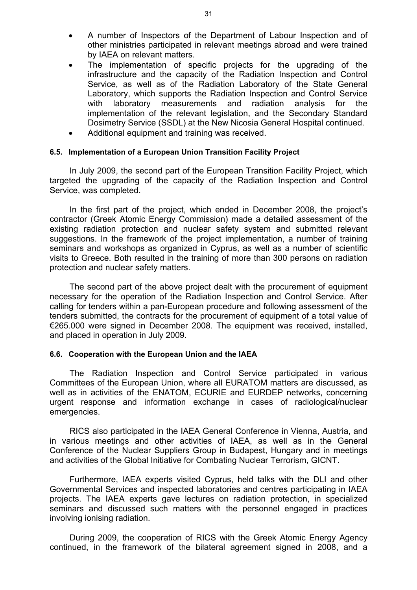- A number of Inspectors of the Department of Labour Inspection and of other ministries participated in relevant meetings abroad and were trained by IAEA on relevant matters.
- The implementation of specific projects for the upgrading of the infrastructure and the capacity of the Radiation Inspection and Control Service, as well as of the Radiation Laboratory of the State General Laboratory, which supports the Radiation Inspection and Control Service with laboratory measurements and radiation analysis for the implementation of the relevant legislation, and the Secondary Standard Dosimetry Service (SSDL) at the New Nicosia General Hospital continued.
- Additional equipment and training was received.

#### **6.5. Implementation of a European Union Transition Facility Project**

In July 2009, the second part of the European Transition Facility Project, which targeted the upgrading of the capacity of the Radiation Inspection and Control Service, was completed.

In the first part of the project, which ended in December 2008, the project's contractor (Greek Atomic Energy Commission) made a detailed assessment of the existing radiation protection and nuclear safety system and submitted relevant suggestions. In the framework of the project implementation, a number of training seminars and workshops as organized in Cyprus, as well as a number of scientific visits to Greece. Both resulted in the training of more than 300 persons on radiation protection and nuclear safety matters.

The second part of the above project dealt with the procurement of equipment necessary for the operation of the Radiation Inspection and Control Service. After calling for tenders within a pan-European procedure and following assessment of the tenders submitted, the contracts for the procurement of equipment of a total value of €265.000 were signed in December 2008. The equipment was received, installed, and placed in operation in July 2009.

#### **6.6. Cooperation with the European Union and the IAEA**

The Radiation Inspection and Control Service participated in various Committees of the European Union, where all EURATOM matters are discussed, as well as in activities of the ENATOM, ECURIE and EURDEP networks, concerning urgent response and information exchange in cases of radiological/nuclear emergencies.

RICS also participated in the IAEA General Conference in Vienna, Austria, and in various meetings and other activities of IAEA, as well as in the General Conference of the Nuclear Suppliers Group in Budapest, Hungary and in meetings and activities of the Global Initiative for Combating Nuclear Terrorism, GICNT.

Furthermore, IAEA experts visited Cyprus, held talks with the DLI and other Governmental Services and inspected laboratories and centres participating in IAEA projects. The IAEA experts gave lectures on radiation protection, in specialized seminars and discussed such matters with the personnel engaged in practices involving ionising radiation.

During 2009, the cooperation of RICS with the Greek Atomic Energy Agency continued, in the framework of the bilateral agreement signed in 2008, and a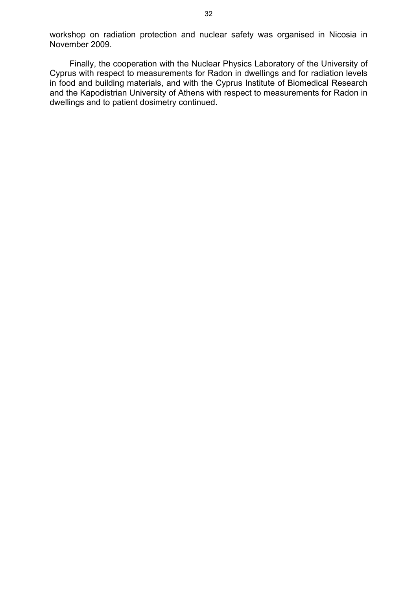workshop on radiation protection and nuclear safety was organised in Nicosia in November 2009.

Finally, the cooperation with the Nuclear Physics Laboratory of the University of Cyprus with respect to measurements for Radon in dwellings and for radiation levels in food and building materials, and with the Cyprus Institute of Biomedical Research and the Kapodistrian University of Athens with respect to measurements for Radon in dwellings and to patient dosimetry continued.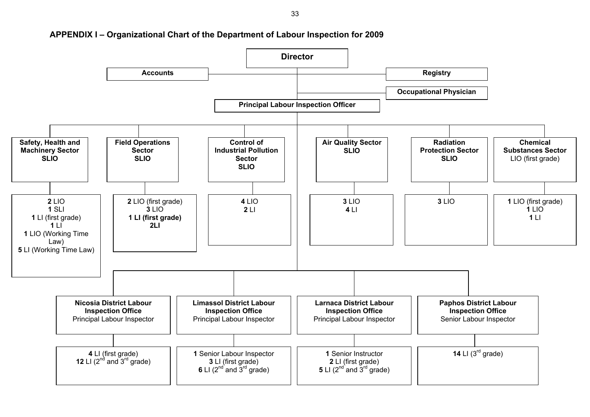

#### **APPENDIX I – Organizational Chart of the Department of Labour Inspection for 2009**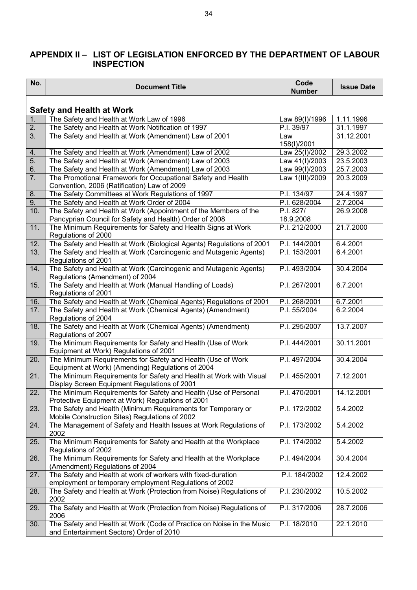#### **APPENDIX II – LIST OF LEGISLATION ENFORCED BY THE DEPARTMENT OF LABOUR INSPECTION**

| No.              | <b>Document Title</b>                                                                                                                  | Code<br><b>Number</b>  | <b>Issue Date</b> |
|------------------|----------------------------------------------------------------------------------------------------------------------------------------|------------------------|-------------------|
|                  | <b>Safety and Health at Work</b>                                                                                                       |                        |                   |
| 1.               | The Safety and Health at Work Law of 1996                                                                                              | Law 89(I)/1996         | 1.11.1996         |
| 2.               | The Safety and Health at Work Notification of 1997                                                                                     | P.I. 39/97             | 31.1.1997         |
| 3.               | The Safety and Health at Work (Amendment) Law of 2001                                                                                  | Law<br>158(I)/2001     | 31.12.2001        |
| 4.               | The Safety and Health at Work (Amendment) Law of 2002                                                                                  | Law 25(I)/2002         | 29.3.2002         |
| 5.               | The Safety and Health at Work (Amendment) Law of 2003                                                                                  | Law 41(I)/2003         | 23.5.2003         |
| 6.               | The Safety and Health at Work (Amendment) Law of 2003                                                                                  | Law 99(I)/2003         | 25.7.2003         |
| $\overline{7}$ . | The Promotional Framework for Occupational Safety and Health<br>Convention, 2006 (Ratification) Law of 2009                            | Law 1(III)/2009        | 20.3.2009         |
| 8.               | The Safety Committees at Work Regulations of 1997                                                                                      | P.I. 134/97            | 24.4.1997         |
| 9.               | The Safety and Health at Work Order of 2004                                                                                            | P.I. 628/2004          | 2.7.2004          |
| 10.              | The Safety and Health at Work (Appointment of the Members of the<br>Pancyprian Council for Safety and Health) Order of 2008            | P.I. 827/<br>18.9.2008 | 26.9.2008         |
| 11.              | The Minimum Requirements for Safety and Health Signs at Work<br>Regulations of 2000                                                    | P.I. 212/2000          | 21.7.2000         |
| 12.              | The Safety and Health at Work (Biological Agents) Regulations of 2001                                                                  | P.I. 144/2001          | 6.4.2001          |
| 13.              | The Safety and Health at Work (Carcinogenic and Mutagenic Agents)                                                                      | P.I. 153/2001          | 6.4.2001          |
|                  | Regulations of 2001                                                                                                                    |                        |                   |
| 14.              | The Safety and Health at Work (Carcinogenic and Mutagenic Agents)<br>Regulations (Amendment) of 2004                                   | P.I. 493/2004          | 30.4.2004         |
| 15.              | The Safety and Health at Work (Manual Handling of Loads)<br>Regulations of 2001                                                        | P.I. 267/2001          | 6.7.2001          |
| 16.              | The Safety and Health at Work (Chemical Agents) Regulations of 2001                                                                    | P.I. 268/2001          | 6.7.2001          |
| 17.              | The Safety and Health at Work (Chemical Agents) (Amendment)<br>Regulations of 2004                                                     | P.I. 55/2004           | 6.2.2004          |
| 18.              | The Safety and Health at Work (Chemical Agents) (Amendment)<br>Regulations of 2007                                                     | P.I. 295/2007          | 13.7.2007         |
| 19.              | The Minimum Requirements for Safety and Health (Use of Work<br>Equipment at Work) Regulations of 2001                                  | P.I. 444/2001          | 30.11.2001        |
| 20.              | The Minimum Requirements for Safety and Health (Use of Work<br>Equipment at Work) (Amending) Regulations of 2004                       | P.I. 497/2004          | 30.4.2004         |
| 21.              | The Minimum Requirements for Safety and Health at Work with Visual<br>Display Screen Equipment Regulations of 2001                     | P.I. 455/2001          | 7.12.2001         |
| 22.              | The Minimum Requirements for Safety and Health (Use of Personal<br>Protective Equipment at Work) Regulations of 2001                   | P.I. 470/2001          | 14.12.2001        |
| 23.              | The Safety and Health (Minimum Requirements for Temporary or<br>Mobile Construction Sites) Regulations of 2002                         | P.I. 172/2002          | 5.4.2002          |
| 24.              | The Management of Safety and Health Issues at Work Regulations of<br>2002                                                              | P.I. 173/2002          | 5.4.2002          |
| 25.              | The Minimum Requirements for Safety and Health at the Workplace<br>Regulations of 2002                                                 | P.I. 174/2002          | 5.4.2002          |
| 26.              | The Minimum Requirements for Safety and Health at the Workplace<br>(Amendment) Regulations of 2004                                     | P.I. 494/2004          | 30.4.2004         |
| 27.              | The Safety and Health at work of workers with fixed-duration                                                                           | P.I. 184/2002          | 12.4.2002         |
| 28.              | employment or temporary employment Regulations of 2002<br>The Safety and Health at Work (Protection from Noise) Regulations of<br>2002 | P.I. 230/2002          | 10.5.2002         |
| 29.              | The Safety and Health at Work (Protection from Noise) Regulations of<br>2006                                                           | P.I. 317/2006          | 28.7.2006         |
| 30.              | The Safety and Health at Work (Code of Practice on Noise in the Music<br>and Entertainment Sectors) Order of 2010                      | P.I. 18/2010           | 22.1.2010         |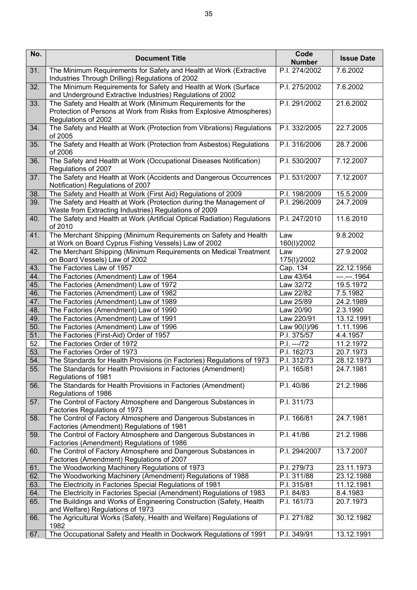| No. | <b>Document Title</b>                                                                                                                                      | Code<br><b>Number</b>    | <b>Issue Date</b>      |
|-----|------------------------------------------------------------------------------------------------------------------------------------------------------------|--------------------------|------------------------|
| 31. | The Minimum Requirements for Safety and Health at Work (Extractive<br>Industries Through Drilling) Regulations of 2002                                     | P.I. 274/2002            | 7.6.2002               |
| 32. | The Minimum Requirements for Safety and Health at Work (Surface<br>and Underground Extractive Industries) Regulations of 2002                              | P.I. 275/2002            | 7.6.2002               |
| 33. | The Safety and Health at Work (Minimum Requirements for the<br>Protection of Persons at Work from Risks from Explosive Atmospheres)<br>Regulations of 2002 | P.I. 291/2002            | 21.6.2002              |
| 34. | The Safety and Health at Work (Protection from Vibrations) Regulations<br>of 2005                                                                          | P.I. 332/2005            | 22.7.2005              |
| 35. | The Safety and Health at Work (Protection from Asbestos) Regulations<br>of 2006                                                                            | P.I. 316/2006            | 28.7.2006              |
| 36. | The Safety and Health at Work (Occupational Diseases Notification)<br>Regulations of 2007                                                                  | P.I. 530/2007            | 7.12.2007              |
| 37. | The Safety and Health at Work (Accidents and Dangerous Occurrences<br>Notification) Regulations of 2007                                                    | P.I. 531/2007            | 7.12.2007              |
| 38. | The Safety and Health at Work (First Aid) Regulations of 2009                                                                                              | P.I. 198/2009            | 15.5.2009              |
| 39. | The Safety and Health at Work (Protection during the Management of<br>Waste from Extracting Industries) Regulations of 2009                                | P.I. 296/2009            | 24.7.2009              |
| 40. | The Safety and Health at Work (Artificial Optical Radiation) Regulations<br>of 2010                                                                        | P.I. 247/2010            | 11.6.2010              |
| 41. | The Merchant Shipping (Minimum Requirements on Safety and Health<br>at Work on Board Cyprus Fishing Vessels) Law of 2002                                   | Law<br>160(I)/2002       | 9.8.2002               |
| 42. | The Merchant Shipping (Minimum Requirements on Medical Treatment<br>on Board Vessels) Law of 2002                                                          | Law<br>175(I)/2002       | 27.9.2002              |
| 43. | The Factories Law of 1957                                                                                                                                  | Cap. 134                 | 22.12.1956             |
| 44. | The Factories (Amendment) Law of 1964                                                                                                                      | Law 43/64                | $--. --. 1964$         |
| 45. | The Factories (Amendment) Law of 1972                                                                                                                      | Law 32/72                | 19.5.1972              |
| 46. | The Factories (Amendment) Law of 1982                                                                                                                      | Law 22/82                | 7.5.1982               |
| 47. | The Factories (Amendment) Law of 1989                                                                                                                      | Law 25/89                | 24.2.1989              |
| 48. | The Factories (Amendment) Law of 1990                                                                                                                      | Law 20/90                | 2.3.1990               |
| 49. | The Factories (Amendment) Law of 1991                                                                                                                      | Law 220/91               | 13.12.1991             |
| 50. | The Factories (Amendment) Law of 1996                                                                                                                      | Law 90(I)/96             | 1.11.1996              |
| 51. | The Factories (First-Aid) Order of 1957                                                                                                                    | P.I. 375/57              | 4.4.1957               |
| 52. | The Factories Order of 1972                                                                                                                                | $P.I. -- 72$             | $11.2.\overline{1972}$ |
| 53. |                                                                                                                                                            | P.I. 162/73              | 20.7.1973              |
|     | The Factories Order of 1973                                                                                                                                |                          |                        |
| 54. | The Standards for Health Provisions (in Factories) Regulations of 1973                                                                                     | P.I. 312/73              | 28.12.1973             |
| 55. | The Standards for Health Provisions in Factories (Amendment)<br>Regulations of 1981                                                                        | P.I. 165/81              | 24.7.1981              |
| 56. | The Standards for Health Provisions in Factories (Amendment)<br>Regulations of 1986                                                                        | P.I. 40/86               | 21.2.1986              |
| 57. | The Control of Factory Atmosphere and Dangerous Substances in<br>Factories Regulations of 1973                                                             | P.I. 311/73              |                        |
| 58. | The Control of Factory Atmosphere and Dangerous Substances in<br>Factories (Amendment) Regulations of 1981                                                 | P.I. 166/81              | 24.7.1981              |
| 59. | The Control of Factory Atmosphere and Dangerous Substances in<br>Factories (Amendment) Regulations of 1986                                                 | P.I. 41/86               | 21.2.1986              |
| 60. | The Control of Factory Atmosphere and Dangerous Substances in<br>Factories (Amendment) Regulations of 2007                                                 | P.I. 294/2007            | 13.7.2007              |
| 61. | The Woodworking Machinery Regulations of 1973                                                                                                              | P.I. 279/73              | 23.11.1973             |
| 62. | The Woodworking Machinery (Amendment) Regulations of 1988                                                                                                  | P.I. 311/88              | 23.12.1988             |
| 63. | The Electricity in Factories Special Regulations of 1981                                                                                                   | P.I. 315/81              | 11.12.1981             |
| 64. | The Electricity in Factories Special (Amendment) Regulations of 1983                                                                                       | $\overline{P.}$ I. 84/83 | 8.4.1983               |
| 65. | The Buildings and Works of Engineering Construction (Safety, Health                                                                                        | P.I. 161/73              | 20.7.1973              |
|     | and Welfare) Regulations of 1973                                                                                                                           |                          |                        |
| 66. | The Agricultural Works (Safety, Health and Welfare) Regulations of<br>1982                                                                                 | P.I. 271/82              | 30.12.1982             |
| 67. | The Occupational Safety and Health in Dockwork Regulations of 1991                                                                                         | P.I. 349/91              | 13.12.1991             |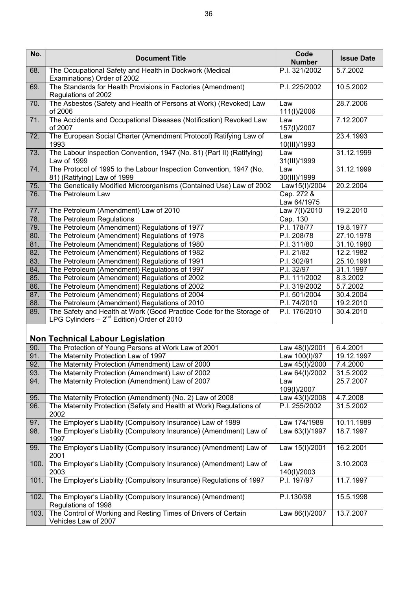| No.  | <b>Document Title</b>                                                                                                  | Code<br><b>Number</b>     | <b>Issue Date</b> |  |  |  |
|------|------------------------------------------------------------------------------------------------------------------------|---------------------------|-------------------|--|--|--|
| 68.  | The Occupational Safety and Health in Dockwork (Medical<br>Examinations) Order of 2002                                 | P.I. 321/2002             | 5.7.2002          |  |  |  |
| 69.  | The Standards for Health Provisions in Factories (Amendment)<br>Regulations of 2002                                    | P.I. 225/2002             | 10.5.2002         |  |  |  |
| 70.  | The Asbestos (Safety and Health of Persons at Work) (Revoked) Law<br>of 2006                                           | Law<br>111(I)/2006        | 28.7.2006         |  |  |  |
| 71.  | The Accidents and Occupational Diseases (Notification) Revoked Law<br>of 2007                                          | Law<br>157(I)/2007        | 7.12.2007         |  |  |  |
| 72.  | The European Social Charter (Amendment Protocol) Ratifying Law of<br>1993                                              | Law<br>10(III)/1993       | 23.4.1993         |  |  |  |
| 73.  | The Labour Inspection Convention, 1947 (No. 81) (Part II) (Ratifying)<br>Law of 1999                                   | Law<br>31(III)/1999       | 31.12.1999        |  |  |  |
| 74.  | The Protocol of 1995 to the Labour Inspection Convention, 1947 (No.<br>81) (Ratifying) Law of 1999                     | Law<br>30(III)/1999       | 31.12.1999        |  |  |  |
| 75.  | The Genetically Modified Microorganisms (Contained Use) Law of 2002                                                    | Law15(I)/2004             | 20.2.2004         |  |  |  |
| 76.  | The Petroleum Law                                                                                                      | Cap. 272 &<br>Law 64/1975 |                   |  |  |  |
| 77.  | The Petroleum (Amendment) Law of 2010                                                                                  | Law 7(I)/2010             | 19.2.2010         |  |  |  |
| 78.  | The Petroleum Regulations                                                                                              | Cap. 130                  |                   |  |  |  |
| 79.  | The Petroleum (Amendment) Regulations of 1977                                                                          | P.I. 178/77               | 19.8.1977         |  |  |  |
| 80.  | The Petroleum (Amendment) Regulations of 1978                                                                          | P.I. 208/78               | 27.10.1978        |  |  |  |
| 81.  | The Petroleum (Amendment) Regulations of 1980                                                                          | P.I. 311/80               | 31.10.1980        |  |  |  |
| 82.  | The Petroleum (Amendment) Regulations of 1982                                                                          | P.I. 21/82                | 12.2.1982         |  |  |  |
| 83.  | The Petroleum (Amendment) Regulations of 1991                                                                          | P.I. 302/91               | 25.10.1991        |  |  |  |
| 84.  | The Petroleum (Amendment) Regulations of 1997                                                                          | P.I. 32/97                | 31.1.1997         |  |  |  |
| 85.  | The Petroleum (Amendment) Regulations of 2002                                                                          | P.I. 111/2002             | 8.3.2002          |  |  |  |
| 86.  | The Petroleum (Amendment) Regulations of 2002                                                                          | P.I. 319/2002             | 5.7.2002          |  |  |  |
| 87.  | The Petroleum (Amendment) Regulations of 2004                                                                          | P.I. 501/2004             | 30.4.2004         |  |  |  |
| 88.  | The Petroleum (Amendment) Regulations of 2010                                                                          | P.I. 74/2010              | 19.2.2010         |  |  |  |
| 89.  | The Safety and Health at Work (Good Practice Code for the Storage of<br>LPG Cylinders $-2^{nd}$ Edition) Order of 2010 | P.I. 176/2010             | 30.4.2010         |  |  |  |
|      | <b>Non Technical Labour Legislation</b>                                                                                |                           |                   |  |  |  |
| 90.  | The Protection of Young Persons at Work Law of 2001                                                                    | Law 48(I)/2001            | 6.4.2001          |  |  |  |
| 91.  | The Maternity Protection Law of 1997                                                                                   | Law 100(I)/97             | 19.12.1997        |  |  |  |
| 92.  | The Maternity Protection (Amendment) Law of 2000                                                                       | Law 45(I)/2000            | 7.4.2000          |  |  |  |
| 93.  | The Maternity Protection (Amendment) Law of 2002                                                                       | Law 64(I)/2002            | 31.5.2002         |  |  |  |
| 94.  | The Maternity Protection (Amendment) Law of 2007                                                                       | Law<br>109(I)/2007        | 25.7.2007         |  |  |  |
| 95.  | The Maternity Protection (Amendment) (No. 2) Law of 2008                                                               | Law 43(I)/2008            | 4.7.2008          |  |  |  |
| 96.  | The Maternity Protection (Safety and Health at Work) Regulations of<br>2002                                            | P.I. 255/2002             | 31.5.2002         |  |  |  |
| 97.  | The Employer's Liability (Compulsory Insurance) Law of 1989                                                            | Law 174/1989              | 10.11.1989        |  |  |  |
| 98.  | The Employer's Liability (Compulsory Insurance) (Amendment) Law of<br>1997                                             | Law 63(I)/1997            | 18.7.1997         |  |  |  |
| 99.  | The Employer's Liability (Compulsory Insurance) (Amendment) Law of<br>2001                                             | Law 15(I)/2001            | 16.2.2001         |  |  |  |
| 100. | The Employer's Liability (Compulsory Insurance) (Amendment) Law of<br>2003                                             | Law<br>140(I)/2003        | 3.10.2003         |  |  |  |
| 101. | The Employer's Liability (Compulsory Insurance) Regulations of 1997                                                    | P.I. 197/97               | 11.7.1997         |  |  |  |
| 102. | The Employer's Liability (Compulsory Insurance) (Amendment)<br>Regulations of 1998                                     | P.I.130/98                | 15.5.1998         |  |  |  |
| 103. | The Control of Working and Resting Times of Drivers of Certain<br>Vehicles Law of 2007                                 | Law 86(I)/2007            | 13.7.2007         |  |  |  |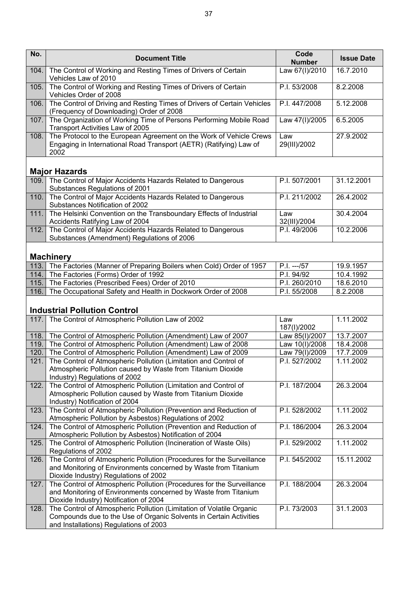| No.  | <b>Document Title</b>                                                                                                                                                                | Code<br><b>Number</b> | <b>Issue Date</b> |
|------|--------------------------------------------------------------------------------------------------------------------------------------------------------------------------------------|-----------------------|-------------------|
| 104. | The Control of Working and Resting Times of Drivers of Certain<br>Vehicles Law of 2010                                                                                               | Law 67(I)/2010        | 16.7.2010         |
| 105. | The Control of Working and Resting Times of Drivers of Certain<br>Vehicles Order of 2008                                                                                             | P.I. 53/2008          | 8.2.2008          |
| 106. | The Control of Driving and Resting Times of Drivers of Certain Vehicles<br>(Frequency of Downloading) Order of 2008                                                                  | P.I. 447/2008         | 5.12.2008         |
| 107. | The Organization of Working Time of Persons Performing Mobile Road<br>Transport Activities Law of 2005                                                                               | Law 47(I)/2005        | 6.5.2005          |
| 108. | The Protocol to the European Agreement on the Work of Vehicle Crews<br>Engaging in International Road Transport (AETR) (Ratifying) Law of<br>2002                                    | Law<br>29(III)/2002   | 27.9.2002         |
|      | <b>Major Hazards</b>                                                                                                                                                                 |                       |                   |
| 109. | The Control of Major Accidents Hazards Related to Dangerous<br>Substances Regulations of 2001                                                                                        | P.I. 507/2001         | 31.12.2001        |
| 110. | The Control of Major Accidents Hazards Related to Dangerous<br>Substances Notification of 2002                                                                                       | P.I. 211/2002         | 26.4.2002         |
| 111. | The Helsinki Convention on the Transboundary Effects of Industrial<br>Accidents Ratifying Law of 2004                                                                                | Law<br>32(III)/2004   | 30.4.2004         |
| 112. | The Control of Major Accidents Hazards Related to Dangerous<br>Substances (Amendment) Regulations of 2006                                                                            | P.I. 49/2006          | 10.2.2006         |
|      | <b>Machinery</b>                                                                                                                                                                     |                       |                   |
|      | 113. The Factories (Manner of Preparing Boilers when Cold) Order of 1957                                                                                                             | P.I. ---/57           | 19.9.1957         |
|      | 114. The Factories (Forms) Order of 1992                                                                                                                                             | P.I. 94/92            | 10.4.1992         |
| 115. | The Factories (Prescribed Fees) Order of 2010                                                                                                                                        | P.I. 260/2010         | 18.6.2010         |
| 116. | The Occupational Safety and Health in Dockwork Order of 2008                                                                                                                         | P.I. 55/2008          | 8.2.2008          |
|      | <b>Industrial Pollution Control</b>                                                                                                                                                  |                       |                   |
| 117. | The Control of Atmospheric Pollution Law of 2002                                                                                                                                     | Law<br>187(I)/2002    | 1.11.2002         |
| 118. | The Control of Atmospheric Pollution (Amendment) Law of 2007                                                                                                                         | Law 85(I)/2007        | 13.7.2007         |
| 119. | The Control of Atmospheric Pollution (Amendment) Law of 2008                                                                                                                         | Law 10(I)/2008        | 18.4.2008         |
| 120. | The Control of Atmospheric Pollution (Amendment) Law of 2009                                                                                                                         | Law 79(I)/2009        | 17.7.2009         |
| 121. | The Control of Atmospheric Pollution (Limitation and Control of                                                                                                                      | P.I. 527/2002         | 1.11.2002         |
|      | Atmospheric Pollution caused by Waste from Titanium Dioxide<br>Industry) Regulations of 2002                                                                                         |                       |                   |
| 122. | The Control of Atmospheric Pollution (Limitation and Control of<br>Atmospheric Pollution caused by Waste from Titanium Dioxide<br>Industry) Notification of 2004                     | P.I. 187/2004         | 26.3.2004         |
| 123. | The Control of Atmospheric Pollution (Prevention and Reduction of<br>Atmospheric Pollution by Asbestos) Regulations of 2002                                                          | P.I. 528/2002         | 1.11.2002         |
| 124. | The Control of Atmospheric Pollution (Prevention and Reduction of<br>Atmospheric Pollution by Asbestos) Notification of 2004                                                         | P.I. 186/2004         | 26.3.2004         |
| 125. | The Control of Atmospheric Pollution (Incineration of Waste Oils)<br>Regulations of 2002                                                                                             | P.I. 529/2002         | 1.11.2002         |
| 126. | The Control of Atmospheric Pollution (Procedures for the Surveillance<br>and Monitoring of Environments concerned by Waste from Titanium<br>Dioxide Industry) Regulations of 2002    | P.I. 545/2002         | 15.11.2002        |
| 127. | The Control of Atmospheric Pollution (Procedures for the Surveillance<br>and Monitoring of Environments concerned by Waste from Titanium<br>Dioxide Industry) Notification of 2004   | P.I. 188/2004         | 26.3.2004         |
| 128. | The Control of Atmospheric Pollution (Limitation of Volatile Organic<br>Compounds due to the Use of Organic Solvents in Certain Activities<br>and Installations) Regulations of 2003 | P.I. 73/2003          | 31.1.2003         |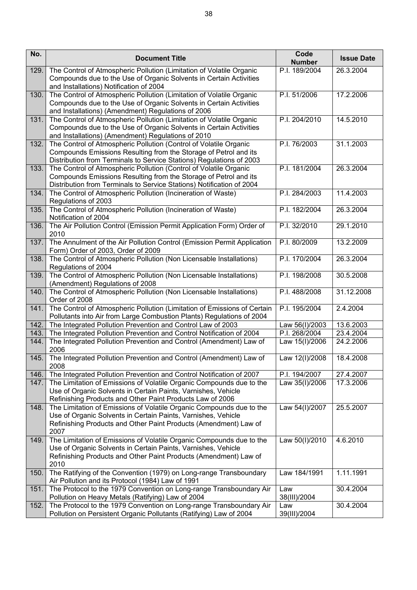| No.  | <b>Document Title</b>                                                                                                                                                                                             | Code<br><b>Number</b> | <b>Issue Date</b> |
|------|-------------------------------------------------------------------------------------------------------------------------------------------------------------------------------------------------------------------|-----------------------|-------------------|
| 129. | The Control of Atmospheric Pollution (Limitation of Volatile Organic<br>Compounds due to the Use of Organic Solvents in Certain Activities<br>and Installations) Notification of 2004                             | P.I. 189/2004         | 26.3.2004         |
| 130. | The Control of Atmospheric Pollution (Limitation of Volatile Organic<br>Compounds due to the Use of Organic Solvents in Certain Activities<br>and Installations) (Amendment) Regulations of 2006                  | P.I. 51/2006          | 17.2.2006         |
| 131. | The Control of Atmospheric Pollution (Limitation of Volatile Organic<br>Compounds due to the Use of Organic Solvents in Certain Activities<br>and Installations) (Amendment) Regulations of 2010                  | P.I. 204/2010         | 14.5.2010         |
| 132. | The Control of Atmospheric Pollution (Control of Volatile Organic<br>Compounds Emissions Resulting from the Storage of Petrol and its<br>Distribution from Terminals to Service Stations) Regulations of 2003     | P.I. 76/2003          | 31.1.2003         |
| 133. | The Control of Atmospheric Pollution (Control of Volatile Organic<br>Compounds Emissions Resulting from the Storage of Petrol and its<br>Distribution from Terminals to Service Stations) Notification of 2004    | P.I. 181/2004         | 26.3.2004         |
| 134. | The Control of Atmospheric Pollution (Incineration of Waste)<br>Regulations of 2003                                                                                                                               | P.I. 284/2003         | 11.4.2003         |
| 135. | The Control of Atmospheric Pollution (Incineration of Waste)<br>Notification of 2004                                                                                                                              | P.I. 182/2004         | 26.3.2004         |
| 136. | The Air Pollution Control (Emission Permit Application Form) Order of<br>2010                                                                                                                                     | P.I. 32/2010          | 29.1.2010         |
| 137. | The Annulment of the Air Pollution Control (Emission Permit Application<br>Form) Order of 2003, Order of 2009                                                                                                     | P.I. 80/2009          | 13.2.2009         |
| 138. | The Control of Atmospheric Pollution (Non Licensable Installations)<br>Regulations of 2004                                                                                                                        | P.I. 170/2004         | 26.3.2004         |
| 139. | The Control of Atmospheric Pollution (Non Licensable Installations)<br>(Amendment) Regulations of 2008                                                                                                            | P.I. 198/2008         | 30.5.2008         |
| 140. | The Control of Atmospheric Pollution (Non Licensable Installations)<br>Order of 2008                                                                                                                              | P.I. 488/2008         | 31.12.2008        |
| 141. | The Control of Atmospheric Pollution (Limitation of Emissions of Certain<br>Pollutants into Air from Large Combustion Plants) Regulations of 2004                                                                 | P.I. 195/2004         | 2.4.2004          |
| 142. | The Integrated Pollution Prevention and Control Law of 2003                                                                                                                                                       | Law 56(I)/2003        | 13.6.2003         |
| 143. | The Integrated Pollution Prevention and Control Notification of 2004                                                                                                                                              | P.I. 268/2004         | 23.4.2004         |
| 144. | The Integrated Pollution Prevention and Control (Amendment) Law of<br>2006                                                                                                                                        | Law 15(I)/2006        | 24.2.2006         |
| 145. | The Integrated Pollution Prevention and Control (Amendment) Law of<br>2008                                                                                                                                        | Law 12(I)/2008        | 18.4.2008         |
| 146. | The Integrated Pollution Prevention and Control Notification of 2007                                                                                                                                              | P.I. 194/2007         | 27.4.2007         |
| 147. | The Limitation of Emissions of Volatile Organic Compounds due to the<br>Use of Organic Solvents in Certain Paints, Varnishes, Vehicle<br>Refinishing Products and Other Paint Products Law of 2006                | Law 35(I)/2006        | 17.3.2006         |
| 148. | The Limitation of Emissions of Volatile Organic Compounds due to the<br>Use of Organic Solvents in Certain Paints, Varnishes, Vehicle<br>Refinishing Products and Other Paint Products (Amendment) Law of<br>2007 | Law 54(I)/2007        | 25.5.2007         |
| 149. | The Limitation of Emissions of Volatile Organic Compounds due to the<br>Use of Organic Solvents in Certain Paints, Varnishes, Vehicle<br>Refinishing Products and Other Paint Products (Amendment) Law of<br>2010 | Law 50(I)/2010        | 4.6.2010          |
| 150. | The Ratifying of the Convention (1979) on Long-range Transboundary<br>Air Pollution and its Protocol (1984) Law of 1991                                                                                           | Law 184/1991          | 1.11.1991         |
| 151. | The Protocol to the 1979 Convention on Long-range Transboundary Air<br>Pollution on Heavy Metals (Ratifying) Law of 2004                                                                                          | Law<br>38(III)/2004   | 30.4.2004         |
| 152. | The Protocol to the 1979 Convention on Long-range Transboundary Air<br>Pollution on Persistent Organic Pollutants (Ratifying) Law of 2004                                                                         | Law<br>39(III)/2004   | 30.4.2004         |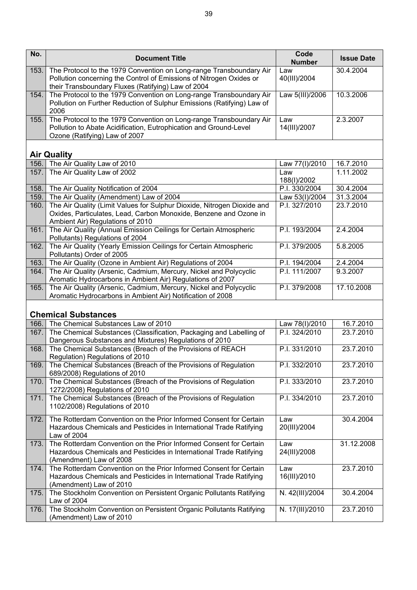| No.  | <b>Document Title</b>                                                                                                                                                                            | Code<br><b>Number</b> | <b>Issue Date</b> |
|------|--------------------------------------------------------------------------------------------------------------------------------------------------------------------------------------------------|-----------------------|-------------------|
| 153. | The Protocol to the 1979 Convention on Long-range Transboundary Air<br>Pollution concerning the Control of Emissions of Nitrogen Oxides or<br>their Transboundary Fluxes (Ratifying) Law of 2004 | Law<br>40(III)/2004   | 30.4.2004         |
| 154. | The Protocol to the 1979 Convention on Long-range Transboundary Air<br>Pollution on Further Reduction of Sulphur Emissions (Ratifying) Law of<br>2006                                            | Law 5(III)/2006       | 10.3.2006         |
| 155. | The Protocol to the 1979 Convention on Long-range Transboundary Air<br>Pollution to Abate Acidification, Eutrophication and Ground-Level<br>Ozone (Ratifying) Law of 2007                        | Law<br>14(III)/2007   | 2.3.2007          |
|      | <b>Air Quality</b>                                                                                                                                                                               |                       |                   |
| 156. | The Air Quality Law of 2010                                                                                                                                                                      | Law 77(I)/2010        | 16.7.2010         |
| 157. | The Air Quality Law of 2002                                                                                                                                                                      | Law<br>188(I)/2002    | 1.11.2002         |
| 158. | The Air Quality Notification of 2004                                                                                                                                                             | P.I. 330/2004         | 30.4.2004         |
| 159. | The Air Quality (Amendment) Law of 2004                                                                                                                                                          | Law 53(I)/2004        | 31.3.2004         |
| 160. | The Air Quality (Limit Values for Sulphur Dioxide, Nitrogen Dioxide and<br>Oxides, Particulates, Lead, Carbon Monoxide, Benzene and Ozone in<br>Ambient Air) Regulations of 2010                 | P.I. 327/2010         | 23.7.2010         |
| 161. | The Air Quality (Annual Emission Ceilings for Certain Atmospheric<br>Pollutants) Regulations of 2004                                                                                             | P.I. 193/2004         | 2.4.2004          |
| 162. | The Air Quality (Yearly Emission Ceilings for Certain Atmospheric<br>Pollutants) Order of 2005                                                                                                   | P.I. 379/2005         | 5.8.2005          |
| 163. | The Air Quality (Ozone in Ambient Air) Regulations of 2004                                                                                                                                       | P.I. 194/2004         | 2.4.2004          |
| 164. | The Air Quality (Arsenic, Cadmium, Mercury, Nickel and Polycyclic<br>Aromatic Hydrocarbons in Ambient Air) Regulations of 2007                                                                   | P.I. 111/2007         | 9.3.2007          |
| 165. | The Air Quality (Arsenic, Cadmium, Mercury, Nickel and Polycyclic<br>Aromatic Hydrocarbons in Ambient Air) Notification of 2008                                                                  | P.I. 379/2008         | 17.10.2008        |
|      | <b>Chemical Substances</b>                                                                                                                                                                       |                       |                   |
| 166. | The Chemical Substances Law of 2010                                                                                                                                                              | Law 78(I)/2010        | 16.7.2010         |
| 167. | The Chemical Substances (Classification, Packaging and Labelling of<br>Dangerous Substances and Mixtures) Regulations of 2010                                                                    | P.I. 324/2010         | 23.7.2010         |
| 168. | The Chemical Substances (Breach of the Provisions of REACH<br>Regulation) Regulations of 2010                                                                                                    | P.I. 331/2010         | 23.7.2010         |
| 169. | The Chemical Substances (Breach of the Provisions of Regulation<br>689/2008) Regulations of 2010                                                                                                 | P.I. 332/2010         | 23.7.2010         |
| 170. | The Chemical Substances (Breach of the Provisions of Regulation<br>1272/2008) Regulations of 2010                                                                                                | P.I. 333/2010         | 23.7.2010         |
| 171. | The Chemical Substances (Breach of the Provisions of Regulation<br>1102/2008) Regulations of 2010                                                                                                | P.I. 334/2010         | 23.7.2010         |
| 172. | The Rotterdam Convention on the Prior Informed Consent for Certain<br>Hazardous Chemicals and Pesticides in International Trade Ratifying<br>Law of 2004                                         | Law<br>20(III)/2004   | 30.4.2004         |
| 173. | The Rotterdam Convention on the Prior Informed Consent for Certain<br>Hazardous Chemicals and Pesticides in International Trade Ratifying<br>(Amendment) Law of 2008                             | Law<br>24(III)/2008   | 31.12.2008        |
| 174. | The Rotterdam Convention on the Prior Informed Consent for Certain<br>Hazardous Chemicals and Pesticides in International Trade Ratifying<br>(Amendment) Law of 2010                             | Law<br>16(III)/2010   | 23.7.2010         |
| 175. | The Stockholm Convention on Persistent Organic Pollutants Ratifying<br>Law of 2004                                                                                                               | N. 42(III)/2004       | 30.4.2004         |
| 176. | The Stockholm Convention on Persistent Organic Pollutants Ratifying<br>(Amendment) Law of 2010                                                                                                   | N. 17(III)/2010       | 23.7.2010         |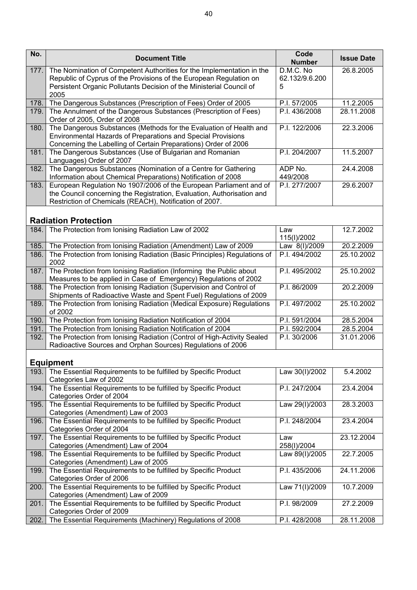| No.  | <b>Document Title</b>                                                                                                                       | Code                        | <b>Issue Date</b> |
|------|---------------------------------------------------------------------------------------------------------------------------------------------|-----------------------------|-------------------|
|      |                                                                                                                                             | <b>Number</b>               |                   |
| 177. | The Nomination of Competent Authorities for the Implementation in the<br>Republic of Cyprus of the Provisions of the European Regulation on | D.M.C. No<br>62.132/9.6.200 | 26.8.2005         |
|      | Persistent Organic Pollutants Decision of the Ministerial Council of                                                                        | 5                           |                   |
|      | 2005                                                                                                                                        |                             |                   |
| 178. | The Dangerous Substances (Prescription of Fees) Order of 2005                                                                               | P.I. 57/2005                | 11.2.2005         |
| 179. | The Annulment of the Dangerous Substances (Prescription of Fees)                                                                            | P.I. 436/2008               | 28.11.2008        |
|      | Order of 2005, Order of 2008                                                                                                                |                             |                   |
| 180. | The Dangerous Substances (Methods for the Evaluation of Health and                                                                          | P.I. 122/2006               | 22.3.2006         |
|      | Environmental Hazards of Preparations and Special Provisions<br>Concerning the Labelling of Certain Preparations) Order of 2006             |                             |                   |
| 181. | The Dangerous Substances (Use of Bulgarian and Romanian                                                                                     | P.I. 204/2007               | 11.5.2007         |
|      | Languages) Order of 2007                                                                                                                    |                             |                   |
| 182. | The Dangerous Substances (Nomination of a Centre for Gathering                                                                              | ADP No.                     | 24.4.2008         |
|      | Information about Chemical Preparations) Notification of 2008                                                                               | 449/2008                    |                   |
| 183. | European Regulation No 1907/2006 of the European Parliament and of                                                                          | P.I. 277/2007               | 29.6.2007         |
|      | the Council concerning the Registration, Evaluation, Authorisation and<br>Restriction of Chemicals (REACH), Notification of 2007.           |                             |                   |
|      |                                                                                                                                             |                             |                   |
|      | <b>Radiation Protection</b>                                                                                                                 |                             |                   |
| 184. | The Protection from Ionising Radiation Law of 2002                                                                                          | Law                         | 12.7.2002         |
|      |                                                                                                                                             | 115(I)/2002                 |                   |
| 185. | The Protection from Ionising Radiation (Amendment) Law of 2009                                                                              | Law 8(I)/2009               | 20.2.2009         |
| 186. | The Protection from Ionising Radiation (Basic Principles) Regulations of<br>2002                                                            | P.I. 494/2002               | 25.10.2002        |
| 187. | The Protection from Ionising Radiation (Informing the Public about                                                                          | P.I. 495/2002               | 25.10.2002        |
|      | Measures to be applied in Case of Emergency) Regulations of 2002                                                                            |                             |                   |
| 188. | The Protection from Ionising Radiation (Supervision and Control of                                                                          | P.I. 86/2009                | 20.2.2009         |
| 189. | Shipments of Radioactive Waste and Spent Fuel) Regulations of 2009<br>The Protection from Ionising Radiation (Medical Exposure) Regulations | P.I. 497/2002               | 25.10.2002        |
|      | of 2002                                                                                                                                     |                             |                   |
| 190. | The Protection from Ionising Radiation Notification of 2004                                                                                 | P.I. 591/2004               | 28.5.2004         |
| 191. | The Protection from Ionising Radiation Notification of 2004                                                                                 | P.I. 592/2004               | 28.5.2004         |
| 192. | The Protection from Ionising Radiation (Control of High-Activity Sealed                                                                     | P.I. 30/2006                | 31.01.2006        |
|      | Radioactive Sources and Orphan Sources) Regulations of 2006                                                                                 |                             |                   |
|      | <b>Equipment</b>                                                                                                                            |                             |                   |
| 193. | The Essential Requirements to be fulfilled by Specific Product                                                                              | Law 30(I)/2002              | 5.4.2002          |
|      | Categories Law of 2002                                                                                                                      |                             |                   |
| 194. | The Essential Requirements to be fulfilled by Specific Product                                                                              | P.I. 247/2004               | 23.4.2004         |
|      | Categories Order of 2004                                                                                                                    |                             |                   |
| 195. | The Essential Requirements to be fulfilled by Specific Product                                                                              | Law 29(I)/2003              | 28.3.2003         |
| 196. | Categories (Amendment) Law of 2003<br>The Essential Requirements to be fulfilled by Specific Product                                        | P.I. 248/2004               | 23.4.2004         |
|      | Categories Order of 2004                                                                                                                    |                             |                   |
| 197. | The Essential Requirements to be fulfilled by Specific Product                                                                              | Law                         | 23.12.2004        |
|      | Categories (Amendment) Law of 2004                                                                                                          | 258(I)/2004                 |                   |
| 198. | The Essential Requirements to be fulfilled by Specific Product                                                                              | Law 89(I)/2005              | 22.7.2005         |
|      | Categories (Amendment) Law of 2005                                                                                                          |                             |                   |
| 199. | The Essential Requirements to be fulfilled by Specific Product                                                                              | P.I. 435/2006               | 24.11.2006        |
| 200. | Categories Order of 2006<br>The Essential Requirements to be fulfilled by Specific Product                                                  | Law 71(I)/2009              | 10.7.2009         |
|      | Categories (Amendment) Law of 2009                                                                                                          |                             |                   |
| 201. | The Essential Requirements to be fulfilled by Specific Product                                                                              | P.I. 98/2009                | 27.2.2009         |
|      | Categories Order of 2009                                                                                                                    |                             |                   |
| 202. | The Essential Requirements (Machinery) Regulations of 2008                                                                                  | P.I. 428/2008               | 28.11.2008        |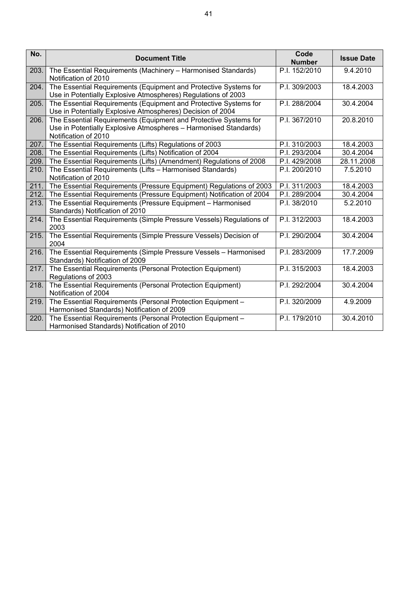| No.  | <b>Document Title</b>                                                                                                                                        | Code<br><b>Number</b> | <b>Issue Date</b> |
|------|--------------------------------------------------------------------------------------------------------------------------------------------------------------|-----------------------|-------------------|
| 203. | The Essential Requirements (Machinery - Harmonised Standards)<br>Notification of 2010                                                                        | P.I. 152/2010         | 9.4.2010          |
| 204. | The Essential Requirements (Equipment and Protective Systems for<br>Use in Potentially Explosive Atmospheres) Regulations of 2003                            | P.I. 309/2003         | 18.4.2003         |
| 205. | The Essential Requirements (Equipment and Protective Systems for<br>Use in Potentially Explosive Atmospheres) Decision of 2004                               | P.I. 288/2004         | 30.4.2004         |
| 206. | The Essential Requirements (Equipment and Protective Systems for<br>Use in Potentially Explosive Atmospheres - Harmonised Standards)<br>Notification of 2010 | P.I. 367/2010         | 20.8.2010         |
| 207. | The Essential Requirements (Lifts) Regulations of 2003                                                                                                       | P.I. 310/2003         | 18.4.2003         |
| 208. | The Essential Requirements (Lifts) Notification of 2004                                                                                                      | P.I. 293/2004         | 30.4.2004         |
| 209. | The Essential Requirements (Lifts) (Amendment) Regulations of 2008                                                                                           | P.I. 429/2008         | 28.11.2008        |
| 210. | The Essential Requirements (Lifts - Harmonised Standards)<br>Notification of 2010                                                                            | P.I. 200/2010         | 7.5.2010          |
| 211. | The Essential Requirements (Pressure Equipment) Regulations of 2003                                                                                          | P.I. 311/2003         | 18.4.2003         |
| 212. | The Essential Requirements (Pressure Equipment) Notification of 2004                                                                                         | P.I. 289/2004         | 30.4.2004         |
| 213. | The Essential Requirements (Pressure Equipment - Harmonised<br>Standards) Notification of 2010                                                               | P.I. 38/2010          | 5.2.2010          |
| 214. | The Essential Requirements (Simple Pressure Vessels) Regulations of<br>2003                                                                                  | P.I. 312/2003         | 18.4.2003         |
| 215. | The Essential Requirements (Simple Pressure Vessels) Decision of<br>2004                                                                                     | P.I. 290/2004         | 30.4.2004         |
| 216. | The Essential Requirements (Simple Pressure Vessels - Harmonised<br>Standards) Notification of 2009                                                          | P.I. 283/2009         | 17.7.2009         |
| 217. | The Essential Requirements (Personal Protection Equipment)<br>Regulations of 2003                                                                            | P.I. 315/2003         | 18.4.2003         |
| 218. | The Essential Requirements (Personal Protection Equipment)<br>Notification of 2004                                                                           | P.I. 292/2004         | 30.4.2004         |
| 219. | The Essential Requirements (Personal Protection Equipment -<br>Harmonised Standards) Notification of 2009                                                    | P.I. 320/2009         | 4.9.2009          |
| 220. | The Essential Requirements (Personal Protection Equipment -<br>Harmonised Standards) Notification of 2010                                                    | P.I. 179/2010         | 30.4.2010         |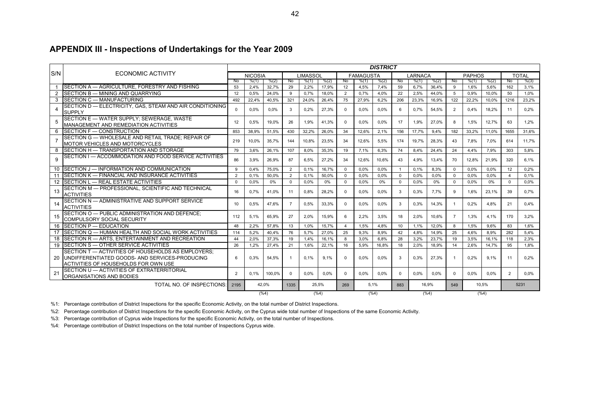#### **APPENDIX III - Inspections of Undertakings for the Year 2009**

|     |                                                                                                         | <b>DISTRICT</b> |                 |               |                |                 |         |                |                  |       |                |         |         |                |               |       |                |              |
|-----|---------------------------------------------------------------------------------------------------------|-----------------|-----------------|---------------|----------------|-----------------|---------|----------------|------------------|-------|----------------|---------|---------|----------------|---------------|-------|----------------|--------------|
| S/N | ECONOMIC ACTIVITY                                                                                       |                 | <b>NICOSIA</b>  |               |                | <b>LIMASSOL</b> |         |                | <b>FAMAGUSTA</b> |       |                | LARNACA |         |                | <b>PAPHOS</b> |       |                | <b>TOTAL</b> |
|     |                                                                                                         | N <sub>0</sub>  | % (1)           | % (2)         | No             | % (1)           | % (2)   | No.            | % (1)            | % (2) | No             | % (1)   | % (2)   | No             | % (1)         | % (2) | No.            | % (3)        |
|     | SECTION A - AGRICULTURE, FORESTRY AND FISHING                                                           | 53              | 2,4%            | 32,7%         | 29             | 2,2%            | 17,9%   | 12             | 4,5%             | 7,4%  | 59             | 6,7%    | 36,4%   | -9             | 1,6%          | 5,6%  | 162            | 3,1%         |
| 2   | SECTION B - MINING AND QUARRYING                                                                        | 12              | 0.5%            | 24,0%         | 9              | 0.7%            | 18.0%   | $\overline{2}$ | 0.7%             | 4.0%  | 22             | 2.5%    | 44,0%   | 5              | 0.9%          | 10.0% | 50             | 1.0%         |
| 3   | SECTION C - MANUFACTURING                                                                               | 492             | 22,4%           | 40,5%         | 321            | 24,0%           | 26,4%   | 75             | 27,9%            | 6,2%  | 206            | 23,3%   | 16,9%   | 122            | 22,2%         | 10,0% | 1216           | 23,2%        |
| 4   | SECTION D - ELECTRICITY, GAS, STEAM AND AIR CONDITIONING<br><b>SUPPLY</b>                               | $\Omega$        | 0.0%            | 0.0%          | $\mathcal{R}$  | 0.2%            | 27,3%   | $\Omega$       | $0.0\%$          | 0.0%  | 6              | 0.7%    | 54.5%   | $\overline{2}$ | 0.4%          | 18.2% | 11             | 0.2%         |
| 5   | SECTION E - WATER SUPPLY; SEWERAGE, WASTE<br><b>MANAGEMENT AND REMEDIATION ACTIVITIES</b>               | 12              | 0.5%            | 19,0%         | 26             | 1.9%            | 41,3%   | $\Omega$       | $0.0\%$          | 0.0%  | 17             | 1,9%    | 27,0%   | 8              | 1.5%          | 12,7% | 63             | 1.2%         |
| 6   | <b>ISECTION F - CONSTRUCTION</b>                                                                        | 853             | 38.9%           | 51.5%         | 430            | 32.2%           | 26.0%   | 34             | 12.6%            | 2.1%  | 156            | 17.7%   | 9.4%    | 182            | 33,2%         | 11.0% | 1655           | 31.6%        |
|     | SECTION G - WHOLESALE AND RETAIL TRADE: REPAIR OF<br><b>MOTOR VEHICLES AND MOTORCYCLES</b>              | 219             | 10.0%           | 35,7%         | 144            | 10,8%           | 23,5%   | 34             | 12,6%            | 5,5%  | 174            | 19,7%   | 28,3%   | 43             | 7.8%          | 7.0%  | 614            | 11,7%        |
| 8   | <b>SECTION H - TRANSPORTATION AND STORAGE</b>                                                           | 79              | 3.6%            | 26,1%         | 107            | 8.0%            | 35,3%   | 19             | 7.1%             | 6,3%  | 74             | 8.4%    | 24,4%   | 24             | 4,4%          | 7.9%  | 303            | 5.8%         |
| 9   | SECTION I - ACCOMMODATION AND FOOD SERVICE ACTIVITIES                                                   | 86              | 3.9%            | 26.9%         | 87             | 6.5%            | 27.2%   | 34             | 12.6%            | 10.6% | 43             | 4.9%    | 13.4%   | 70             | 12,8%         | 21.9% | 320            | 6.1%         |
|     | 10 SECTION J - INFORMATION AND COMMUNICATION                                                            | 9               | 0.4%            | 75.0%         | $\overline{2}$ | 0.1%            | 16,7%   | $\Omega$       | 0.0%             | 0.0%  | $\overline{1}$ | 0.1%    | 8,3%    | $\Omega$       | 0.0%          | 0.0%  | 12             | 0.2%         |
| 11  | SECTION K - FINANCIAL AND INSURANCE ACTIVITIES                                                          | $\overline{2}$  | 0.1%            | 50.0%         | $\overline{2}$ | 0.1%            | 50.0%   | $\Omega$       | 0.0%             | 0.0%  | $\Omega$       | 0.0%    | 0.0%    | $\Omega$       | 0.0%          | 0.0%  | $\overline{4}$ | 0.1%         |
|     | 12 SECTION L - REAL ESTATE ACTIVITIES                                                                   | $\Omega$        | 0.0%            | 0%            | $\Omega$       | 0.0%            | 0%      | $\Omega$       | 0,0%             | 0%    | $\Omega$       | 0.0%    | 0%      | $\Omega$       | 0.0%          | 0%    | $\Omega$       | 0.0%         |
| 13  | SECTION M - PROFESSIONAL, SCIENTIFIC AND TECHNICAL<br><b>ACTIVITIES</b>                                 | 16              | 0.7%            | 41.0%         | 11             | 0.8%            | 28.2%   | $\Omega$       | $0.0\%$          | 0.0%  | 3              | 0.3%    | 7.7%    | <b>q</b>       | 1.6%          | 23.1% | 39             | 0.7%         |
| 14  | SECTION N - ADMINISTRATIVE AND SUPPORT SERVICE<br><b>ACTIVITIES</b>                                     | 10              | 0.5%            | 47.6%         | -7             | 0.5%            | 33,3%   | $\Omega$       | $0.0\%$          | 0.0%  | 3              | 0,3%    | 14,3%   | -1             | 0.2%          | 4.8%  | 21             | 0.4%         |
| 15  | SECTION O - PUBLIC ADMINISTRATION AND DEFENCE:<br><b>COMPULSORY SOCIAL SECURITY</b>                     | 112             | 5,1%            | 65.9%         | 27             | 2.0%            | 15.9%   | 6              | $2.2\%$          | 3.5%  | 18             | 2.0%    | 10.6%   | 7              | 1.3%          | 4.1%  | 170            | 3.2%         |
|     | 16 SECTION P - EDUCATION                                                                                | 48              | 2.2%            | 57.8%         | 13             | 1.0%            | 15,7%   | $\overline{4}$ | 1.5%             | 4.8%  | 10             | 1.1%    | 12.0%   | <sub>8</sub>   | 1.5%          | 9.6%  | 83             | 1.6%         |
|     | 17 SECTION Q - HUMAN HEALTH AND SOCIAL WORK ACTIVITIES                                                  | 114             | 5.2%            | 40,4%         | 76             | 5,7%            | 27,0%   | 25             | 9,3%             | 8,9%  | 42             | 4.8%    | 14,9%   | 25             | 4,6%          | 8.9%  | 282            | 5.4%         |
|     | 18 SECTION R - ARTS, ENTERTAINMENT AND RECREATION                                                       | 44              | 2.0%            | 37,3%         | 19             | 1.4%            | 16,1%   | 8              | 3,0%             | 6,8%  | 28             | 3,2%    | 23,7%   | 19             | 3,5%          | 16,1% | 118            | 2,3%         |
|     | 19 SECTION S - OTHER SERVICE ACTIVITIES                                                                 | 26              | 1.2%            | 27,4%         | 21             | 1.6%            | 22.1%   | 16             | 5,9%             | 16.8% | 18             | 2.0%    | 18,9%   | 14             | 2.6%          | 14,7% | 95             | 1.8%         |
|     | SECTION T - ACTIVITIES OF HOUSEHOLDS AS EMPLOYERS:<br>20 UNDIFFERENTIATED GOODS- AND SERVICES-PRODUCING | 6               | 0.3%            | 54,5%         |                | 0.1%            | 9.1%    | $\Omega$       | $0.0\%$          | 0,0%  | 3              | 0,3%    | 27,3%   | -1             | 0.2%          | 9.1%  | 11             | 0.2%         |
|     | ACTIVITIES OF HOUSEHOLDS FOR OWN USE                                                                    |                 |                 |               |                |                 |         |                |                  |       |                |         |         |                |               |       |                |              |
| 21  | SECTION U - ACTIVITIES OF EXTRATERRITORIAL<br>ORGANISATIONS AND BODIES                                  | 2               | 0.1%            | 100,0%        | $\Omega$       | 0.0%            | $0.0\%$ | $\Omega$       | 0.0%             | 0.0%  | $\Omega$       | $0.0\%$ | 0.0%    | $\Omega$       | 0.0%          | 0.0%  | $\overline{2}$ | 0.0%         |
|     | <b>TOTAL NO. OF INSPECTIONS:</b>                                                                        | 42,0%<br>2195   |                 | 25.5%<br>1335 |                | 5,1%<br>269     |         | 883            | 16,9%            |       | 549            | 10.5%   |         | 5231           |               |       |                |              |
|     |                                                                                                         |                 | $(\%4)$<br>(%4) |               |                |                 |         | $(\%4)$        |                  |       |                |         | $(\%4)$ | $(\%4)$        |               |       |                |              |

%1: Percentage contribution of District Inspections for the specific Economic Activity, on the total number of District Inspections.

%2: Percentage contribution of District Inspections for the specific Economic Activity, on the Cyprus wide total number of Inspections of the same Economic Activity.

%3: Percentage contribution of Cyprus wide Inspections for the specific Economic Activity, on the total number of Inspections.

%4: Percentage contribution of District Inspections on the total number of Inspections Cyprus wide.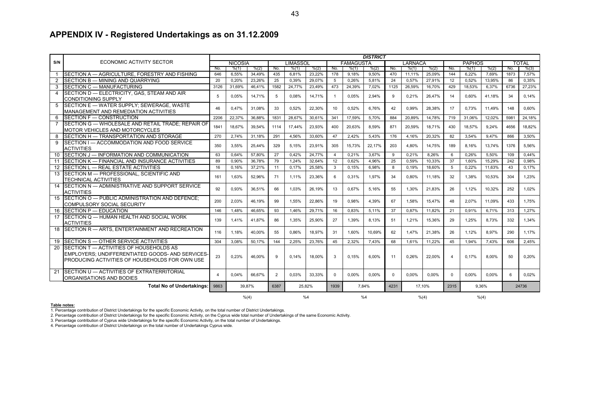#### **APPENDIX IV - Registered Undertakings as on 31.12.2009**

|                |                                                   | <b>DISTRICT</b> |                |        |                |                 |        |                |                  |        |          |         |          |                |               |        |      |              |
|----------------|---------------------------------------------------|-----------------|----------------|--------|----------------|-----------------|--------|----------------|------------------|--------|----------|---------|----------|----------------|---------------|--------|------|--------------|
| S/N            | ECONOMIC ACTIVITY SECTOR                          |                 | <b>NICOSIA</b> |        |                | <b>LIMASSOL</b> |        |                | <b>FAMAGUSTA</b> |        |          | LARNACA |          |                | <b>PAPHOS</b> |        |      | <b>TOTAL</b> |
|                |                                                   | No.             | % (1)          | % (2)  | No.            | % (1)           | % (2)  | No.            | % (1)            | % (2)  | No.      | % (1)   | % (2)    | No.            | % (1)         | % (2)  | No.  | % (3)        |
|                | SECTION A - AGRICULTURE, FORESTRY AND FISHING     | 646             | 6.55%          | 34,49% | 435            | 6,81%           | 23,22% | 178            | 9.18%            | 9,50%  | 470      | 11.11%  | 25.09%   | 144            | 6.22%         | 7.69%  | 1873 | 7.57%        |
| 2              | SECTION B - MINING AND QUARRYING                  | 20              | 0,20%          | 23,26% | 25             | 0,39%           | 29,07% | 5              | 0,26%            | 5,81%  | 24       | 0,57%   | 27,91%   | 12             | 0,52%         | 13,95% | 86   | 0,35%        |
|                | SECTION C - MANUFACTURING                         | 3126            | 31.69%         | 46.41% | 1582           | 24.77%          | 23.49% | 473            | 24.39%           | 7.02%  | 1125     | 26.59%  | 16.70%   | 429            | 18.53%        | 6.37%  | 6736 | 27.23%       |
| $\overline{4}$ | SECTION D - ELECTRICITY, GAS, STEAM AND AIR       | 5               | 0,05%          | 14,71% | 5              | 0,08%           | 14,71% | -1             | 0,05%            | 2,94%  | 9        | 0,21%   | 26,47%   | 14             | 0,60%         | 41,18% | 34   | 0,14%        |
|                | <b>CONDITIONING SUPPLY</b>                        |                 |                |        |                |                 |        |                |                  |        |          |         |          |                |               |        |      |              |
|                | 5 SECTION E - WATER SUPPLY; SEWERAGE, WASTE       | 46              | 0.47%          | 31,08% | 33             | 0.52%           | 22,30% | 10             | 0.52%            | 6.76%  | 42       | 0.99%   | 28,38%   | 17             | 0.73%         | 11.49% | 148  | 0.60%        |
|                | MANAGEMENT AND REMEDIATION ACTIVITIES             |                 |                |        |                |                 |        |                |                  |        |          |         |          |                |               |        |      |              |
|                | 6 SECTION F - CONSTRUCTION                        | 2206            | 22.37%         | 36.88% | 1831           | 28.67%          | 30.61% | 341            | 17,59%           | 5.70%  | 884      | 20.89%  | 14,78%   | 719            | 31.06%        | 12.02% | 5981 | 24.18%       |
|                | SECTION G — WHOLESALE AND RETAIL TRADE: REPAIR OF | 1841            | 18.67%         | 39.54% | 1114           | 17,44%          | 23.93% | 400            | 20.63%           | 8.59%  | 871      | 20.59%  | 18.71%   | 430            | 18.57%        | 9.24%  | 4656 | 18.82%       |
|                | MOTOR VEHICLES AND MOTORCYCLES                    |                 |                |        |                |                 |        |                |                  |        |          |         |          |                |               |        |      |              |
|                | SECTION H - TRANSPORTATION AND STORAGE            | 270             | 2,74%          | 31,18% | 291            | 4,56%           | 33,60% | 47             | 2,42%            | 5,43%  | 176      | 4,16%   | 20,32%   | 82             | 3,54%         | 9,47%  | 866  | 3,50%        |
| 9              | SECTION I - ACCOMMODATION AND FOOD SERVICE        | 350             | 3,55%          | 25,44% | 329            | 5.15%           | 23,91% | 305            | 15.73%           | 22,17% | 203      | 4.80%   | 14,75%   | 189            | 8.16%         | 13.74% | 1376 | 5.56%        |
|                | <b>ACTIVITIES</b>                                 |                 |                |        |                |                 |        |                |                  |        |          |         |          |                |               |        |      |              |
| 10             | SECTION J - INFORMATION AND COMMUNICATION         | 63              | 0.64%          | 57.80% | 27             | 0.42%           | 24.77% | $\overline{4}$ | 0.21%            | 3.67%  | 9        | 0.21%   | 8.26%    | 6              | 0.26%         | 5.50%  | 109  | 0.44%        |
| 11             | SECTION K - FINANCIAL AND INSURANCE ACTIVITIES    | 89              | 0.90%          | 36,78% | 79             | 1.24%           | 32.64% | 12             | 0.62%            | 4.96%  | 25       | 0.59%   | 10,33%   | 37             | 1,60%         | 15,29% | 242  | 0,98%        |
|                | 12 SECTION L - REAL ESTATE ACTIVITIES             | 16              | 0,16%          | 37,21% | 11             | 0,17%           | 25,58% | 3              | 0,15%            | 6,98%  | 8        | 0.19%   | 18,60%   | 5              | 0.22%         | 11,63% | 43   | 0.17%        |
|                | 13 SECTION M - PROFESSIONAL, SCIENTIFIC AND       | 161             | 1.63%          | 52.96% | 71             | 1.11%           | 23.36% | 6              | 0.31%            | 1.97%  | 34       | 0.80%   | 11.18%   | 32             | 1.38%         | 10.53% | 304  | 1.23%        |
|                | <b>TECHNICAL ACTIVITIES</b>                       |                 |                |        |                |                 |        |                |                  |        |          |         |          |                |               |        |      |              |
|                | 14 SECTION N - ADMINISTRATIVE AND SUPPORT SERVICE | 92              | 0,93%          | 36,51% | 66             | 1.03%           | 26,19% | 13             | 0.67%            | 5,16%  | 55       | 1.30%   | 21,83%   | 26             | 1,12%         | 10,32% | 252  | 1.02%        |
|                | <b>ACTIVITIES</b>                                 |                 |                |        |                |                 |        |                |                  |        |          |         |          |                |               |        |      |              |
|                | 15 SECTION O - PUBLIC ADMINISTRATION AND DEFENCE: | 200             | 2,03%          | 46,19% | 99             | 1.55%           | 22,86% | 19             | 0.98%            | 4,39%  | 67       | 1.58%   | 15,47%   | 48             | 2,07%         | 11,09% | 433  | 1.75%        |
|                | COMPULSORY SOCIAL SECURITY                        |                 |                |        |                |                 |        |                |                  |        |          |         |          |                |               |        |      |              |
|                | 16 SECTION P - EDUCATION                          | 146             | 1.48%          | 46.65% | 93             | 1.46%           | 29,71% | 16             | 0,83%            | 5,11%  | 37       | 0,87%   | 11.82%   | 21             | 0,91%         | 6.71%  | 313  | 1.27%        |
|                | 17 SECTION Q - HUMAN HEALTH AND SOCIAL WORK       | 139             | 1,41%          | 41,87% | 86             | 1.35%           | 25,90% | 27             | 1,39%            | 8.13%  | 51       | 1,21%   | 15,36%   | 29             | 1,25%         | 8.73%  | 332  | 1.34%        |
|                | <b>ACTIVITIES</b>                                 |                 |                |        |                |                 |        |                |                  |        |          |         |          |                |               |        |      |              |
|                | 18 SECTION R - ARTS, ENTERTAINMENT AND RECREATION | 116             | 1.18%          | 40.00% | 55             | 0.86%           | 18.97% | 31             | 1.60%            | 10.69% | 62       | 1.47%   | 21.38%   | 26             | 1.12%         | 8.97%  | 290  | 1.17%        |
|                | 19 SECTION S - OTHER SERVICE ACTIVITIES           | 304             | 3,08%          | 50,17% | 144            | 2.25%           | 23,76% | 45             | 2,32%            | 7.43%  | 68       | 1.61%   | 11.22%   | 45             | 1.94%         | 7.43%  | 606  | 2.45%        |
| 20             | SECTION T - ACTIVITIES OF HOUSEHOLDS AS           |                 |                |        |                |                 |        |                |                  |        |          |         |          |                |               |        |      |              |
|                | EMPLOYERS; UNDIFFERENTIATED GOODS- AND SERVICES-  |                 |                |        |                |                 |        |                |                  |        |          |         |          |                |               |        |      |              |
|                | PRODUCING ACTIVITIES OF HOUSEHOLDS FOR OWN USE    | 23              | 0,23%          | 46,00% | 9              | 0.14%           | 18,00% | 3              | 0.15%            | 6.00%  | 11       | 0.26%   | 22,00%   | $\overline{4}$ | 0.17%         | 8.00%  | 50   | 0.20%        |
|                |                                                   |                 |                |        |                |                 |        |                |                  |        |          |         |          |                |               |        |      |              |
|                | 21 SECTION U - ACTIVITIES OF EXTRATERRITORIAL     |                 |                |        |                |                 |        |                |                  |        |          |         |          |                |               |        |      |              |
|                | ORGANISATIONS AND BODIES                          |                 | 0.04%          | 66.67% | $\overline{2}$ | 0.03%           | 33.33% | $\Omega$       | 0.00%            | 0.00%  | $\Omega$ | 0.00%   | $0.00\%$ | $\Omega$       | 0.00%         | 0.00%  | 6    | 0.02%        |
|                | Total No of Undertakings:                         | 9863            |                | 39.87% | 6387           |                 | 25.82% | 1939           |                  | 7.84%  | 4231     |         | 17.10%   | 2315           |               | 9.36%  |      | 24736        |
|                |                                                   |                 |                |        |                |                 |        |                |                  |        |          |         |          |                |               |        |      |              |
|                |                                                   |                 | % (4)          |        |                | %4              |        |                | %4               |        |          | % (4)   |          |                | % (4)         |        |      |              |

#### **Table notes:**

1. Percentage contribution of District Undertakings for the specific Economic Activity, on the total number of District Undertakings.<br>2. Percentage contribution of District Undertakings for the specific Economic Activity,

3. Percentage contribution of Cyprus wide Undertakings for the specific Economic Activity, on the total number of Undertakings.

4. Percentage contribution of District Undertakings on the total number of Undertakings Cyprus wide.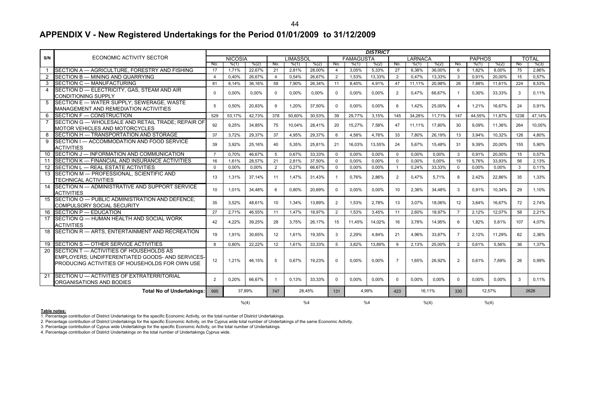#### **APPENDIX V - New Registered Undertakings for the Period 01/01/2009 to 31/12/2009**

|                 |                                                                                                                                               | <b>DISTRICT</b> |                |        |                |                 |        |                |                  |        |                |                |        |                |               |        |      |              |
|-----------------|-----------------------------------------------------------------------------------------------------------------------------------------------|-----------------|----------------|--------|----------------|-----------------|--------|----------------|------------------|--------|----------------|----------------|--------|----------------|---------------|--------|------|--------------|
| S/N             | <b>ECONOMIC ACTIVITY SECTOR</b>                                                                                                               |                 | <b>NICOSIA</b> |        |                | <b>LIMASSOL</b> |        |                | <b>FAMAGUSTA</b> |        |                | <b>LARNACA</b> |        |                | <b>PAPHOS</b> |        |      | <b>TOTAL</b> |
|                 |                                                                                                                                               | No.             | % (1)          | % (2)  | No.            | % (1)           | % (2)  | No.            | % (1)            | % (2)  | No.            | % (1)          | % (2)  | No.            | % (1)         | % (2)  | No.  | % (3)        |
| $\mathbf{1}$    | SECTION A - AGRICULTURE, FORESTRY AND FISHING                                                                                                 | 17              | 1,71%          | 22.67% | 21             | 2,81%           | 28.00% | $\overline{4}$ | 3.05%            | 5,33%  | 27             | 6.38%          | 36,00% | 6              | 1.82%         | 8.00%  | 75   | 2.86%        |
|                 | SECTION B - MINING AND QUARRYING                                                                                                              | $\overline{4}$  | 0.40%          | 26,67% | $\overline{4}$ | 0.54%           | 26.67% | $\overline{2}$ | 1,53%            | 13,33% | $\overline{2}$ | 0,47%          | 13,33% | $\mathbf{3}$   | 0,91%         | 20.00% | 15   | 0,57%        |
| 3               | SECTION C - MANUFACTURING                                                                                                                     | 81              | 8.14%          | 36.16% | 59             | 7.90%           | 26.34% | 11             | 8.40%            | 4,91%  | 47             | 11,11%         | 20.98% | 26             | 7,88%         | 11,61% | 224  | 8.53%        |
| $\overline{4}$  | SECTION D - ELECTRICITY, GAS, STEAM AND AIR                                                                                                   | $\Omega$        | 0.00%          | 0.00%  | $\Omega$       | 0.00%           | 0.00%  | $\Omega$       | 0.00%            | 0,00%  | $\overline{2}$ | 0.47%          | 66.67% | $\overline{1}$ | 0,30%         | 33,33% | 3    | 0.11%        |
|                 | <b>CONDITIONING SUPPLY</b>                                                                                                                    |                 |                |        |                |                 |        |                |                  |        |                |                |        |                |               |        |      |              |
| 5               | SECTION E - WATER SUPPLY; SEWERAGE, WASTE<br>MANAGEMENT AND REMEDIATION ACTIVITIES                                                            | 5               | 0.50%          | 20.83% | <b>q</b>       | 1.20%           | 37.50% | $\Omega$       | 0.00%            | 0.00%  | 6              | 1.42%          | 25,00% | $\overline{4}$ | 1.21%         | 16.67% | 24   | 0.91%        |
| 6               | SECTION F - CONSTRUCTION                                                                                                                      | 529             | 53.17%         | 42,73% | 378            | 50.60%          | 30.53% | 39             | 29.77%           | 3,15%  | 145            | 34,28%         | 11.71% | 147            | 44,55%        | 11.87% | 1238 | 47.14%       |
| $\overline{7}$  | SECTION G - WHOLESALE AND RETAIL TRADE; REPAIR OF<br>MOTOR VEHICLES AND MOTORCYCLES                                                           | 92              | 9.25%          | 34.85% | 75             | 10.04%          | 28.41% | 20             | 15,27%           | 7.58%  | 47             | 11.11%         | 17.80% | 30             | 9.09%         | 11.36% | 264  | 10.05%       |
| 8               | SECTION H - TRANSPORTATION AND STORAGE                                                                                                        | 37              | 3,72%          | 29,37% | 37             | 4,95%           | 29,37% | 6              | 4,58%            | 4,76%  | 33             | 7,80%          | 26,19% | 13             | 3,94%         | 10,32% | 126  | 4,80%        |
| 9               | SECTION I - ACCOMMODATION AND FOOD SERVICE<br><b>ACTIVITIES</b>                                                                               | 39              | 3,92%          | 25,16% | 40             | 5,35%           | 25,81% | 21             | 16,03%           | 13,55% | 24             | 5,67%          | 15,48% | 31             | 9,39%         | 20,00% | 155  | 5,90%        |
| 10              | SECTION J - INFORMATION AND COMMUNICATION                                                                                                     | $\overline{7}$  | 0,70%          | 46,67% | - 5            | 0,67%           | 33,33% | $\Omega$       | 0,00%            | 0,00%  | $\mathbf 0$    | 0.00%          | 0,00%  | 3              | 0,91%         | 20,00% | 15   | 0,57%        |
| 11              | SECTION K - FINANCIAL AND INSURANCE ACTIVITIES                                                                                                | 16              | 1,61%          | 28,57% | 21             | 2,81%           | 37,50% | $\Omega$       | 0.00%            | 0,00%  | $\mathbf 0$    | 0.00%          | 0,00%  | 19             | 5,76%         | 33,93% | 56   | 2,13%        |
| 12 <sup>2</sup> | SECTION L - REAL ESTATE ACTIVITIES                                                                                                            | $\Omega$        | 0.00%          | 0.00%  | $\overline{2}$ | 0.27%           | 66.67% | $\mathbf 0$    | 0.00%            | 0.00%  | $\overline{1}$ | 0.24%          | 33,33% | $\mathbf 0$    | 0.00%         | 0.00%  | 3    | 0.11%        |
| 13              | SECTION M - PROFESSIONAL, SCIENTIFIC AND<br><b>TECHNICAL ACTIVITIES</b>                                                                       | 13              | 1.31%          | 37.14% | 11             | 1.47%           | 31.43% | $\overline{1}$ | 0.76%            | 2.86%  | $\overline{2}$ | 0.47%          | 5.71%  | 8              | 2.42%         | 22.86% | 35   | 1.33%        |
| 14              | SECTION N - ADMINISTRATIVE AND SUPPORT SERVICE<br><b>ACTIVITIES</b>                                                                           | 10              | 1.01%          | 34.48% | 6              | 0.80%           | 20.69% | $\Omega$       | 0.00%            | 0.00%  | 10             | 2.36%          | 34.48% | 3              | 0.91%         | 10,34% | 29   | 1.10%        |
| 15              | SECTION O - PUBLIC ADMINISTRATION AND DEFENCE:<br><b>COMPULSORY SOCIAL SECURITY</b>                                                           | 35              | 3.52%          | 48.61% | 10             | 1.34%           | 13.89% | 2              | 1.53%            | 2.78%  | 13             | 3.07%          | 18.06% | 12             | 3.64%         | 16.67% | 72   | 2.74%        |
| 16              | SECTION P - EDUCATION                                                                                                                         | 27              | 2,71%          | 46,55% | 11             | 1,47%           | 18,97% | 2              | 1,53%            | 3,45%  | 11             | 2,60%          | 18,97% | $\overline{7}$ | 2,12%         | 12,07% | 58   | 2,21%        |
| 17              | SECTION Q - HUMAN HEALTH AND SOCIAL WORK<br><b>ACTIVITIES</b>                                                                                 | 42              | 4,22%          | 39.25% | 28             | 3.75%           | 26,17% | 15             | 11.45%           | 14,02% | 16             | 3.78%          | 14,95% | 6              | 1,82%         | 5.61%  | 107  | 4.07%        |
| 18              | SECTION R - ARTS, ENTERTAINMENT AND RECREATION                                                                                                | 19              | 1.91%          | 30.65% | 12             | 1.61%           | 19.35% | 3              | 2.29%            | 4.84%  | 21             | 4.96%          | 33.87% | $\overline{7}$ | 2.12%         | 11.29% | 62   | 2.36%        |
| 19              | SECTION S - OTHER SERVICE ACTIVITIES                                                                                                          | 8               | 0.80%          | 22.22% | 12             | 1.61%           | 33.33% | -5             | 3.82%            | 13.89% | 9              | 2.13%          | 25.00% | 2              | 0.61%         | 5.56%  | 36   | 1.37%        |
| 20              | SECTION T - ACTIVITIES OF HOUSEHOLDS AS<br>EMPLOYERS: UNDIFFERENTIATED GOODS- AND SERVICES-<br>PRODUCING ACTIVITIES OF HOUSEHOLDS FOR OWN USE | 12              | 1.21%          | 46.15% | 5              | 0.67%           | 19,23% | $\Omega$       | 0.00%            | 0.00%  | $\overline{7}$ | 1.65%          | 26.92% | $\overline{2}$ | 0,61%         | 7,69%  | 26   | 0,99%        |
| 21              | SECTION U - ACTIVITIES OF EXTRATERRITORIAL<br>ORGANISATIONS AND BODIES                                                                        | $\mathcal{P}$   | 0,20%          | 66,67% |                | 0.13%           | 33,33% | $\Omega$       | 0,00%            | 0,00%  | $\Omega$       | 0,00%          | 0,00%  | $\Omega$       | 0,00%         | 0,00%  | 3    | 0,11%        |
|                 | <b>Total No of Undertakings:</b><br>37.89%<br>995                                                                                             |                 |                |        | 747            | 28.45%          |        | 4.99%<br>131   |                  | 423    | 16.11%         |                | 330    | 12.57%         |               | 2626   |      |              |
|                 |                                                                                                                                               |                 | % (4)          |        |                | %4              |        |                | %4               |        |                | % (4)          |        |                | % (4)         |        |      |              |

#### **Table notes:**

1. Percentage contribution of District Undertakings for the specific Economic Activity, on the total number of District Undertakings.

2. Percentage contribution of District Undertakings for the specific Economic Activity, on the Cyprus wide total number of Undertakings of the same Economic Activity.

3. Percentage contribution of Cyprus wide Undertakings for the specific Economic Activity, on the total number of Undertakings.<br>4. Percentage contribution of District Undertakings on the total number of Undertakings Cyprus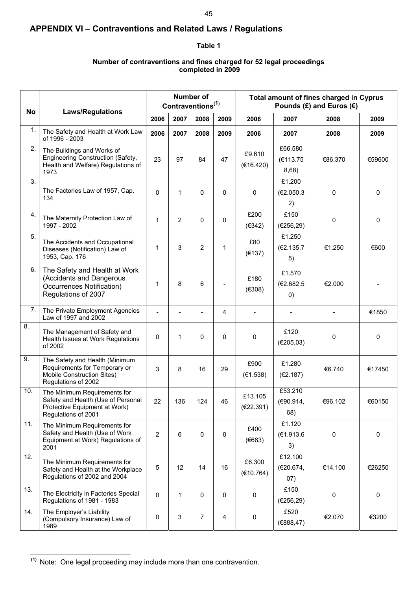### **APPENDIX VI – Contraventions and Related Laws / Regulations**

#### **Table 1**

#### **Number of contraventions and fines charged for 52 legal proceedings completed in 2009**

| No  | <b>Laws/Regulations</b>                                                                                                    |                |      | Number of<br>Contraventions <sup>(1)</sup> |                |                      | Total amount of fines charged in Cyprus |         |              |
|-----|----------------------------------------------------------------------------------------------------------------------------|----------------|------|--------------------------------------------|----------------|----------------------|-----------------------------------------|---------|--------------|
|     |                                                                                                                            | 2006           | 2007 | 2008                                       | 2009           | 2006                 | 2007                                    | 2008    | 2009         |
| 1.  | The Safety and Health at Work Law<br>of 1996 - 2003                                                                        | 2006           | 2007 | 2008                                       | 2009           | 2006                 | 2007                                    | 2008    | 2009         |
| 2.  | The Buildings and Works of<br>Engineering Construction (Safety,<br>Health and Welfare) Regulations of<br>1973              | 23             | 97   | 84                                         | 47             | £9.610<br>(€16.420)  | £66.580<br>(€113.75<br>8,68)            | €86.370 | €59600       |
| 3.  | The Factories Law of 1957, Cap.<br>134                                                                                     | $\Omega$       | 1    | 0                                          | 0              | 0                    | £1.200<br>(€2.050,3<br>2)               | 0       | 0            |
| 4.  | The Maternity Protection Law of<br>1997 - 2002                                                                             | 1              | 2    | 0                                          | $\pmb{0}$      | £200<br>(€342)       | £150<br>(E256, 29)                      | 0       | 0            |
| 5.  | The Accidents and Occupational<br>Diseases (Notification) Law of<br>1953, Cap. 176                                         | 1              | 3    | $\overline{2}$                             | $\mathbf 1$    | £80<br>(E137)        | £1.250<br>(€2.135,7<br>5)               | €1.250  | €600         |
| 6.  | The Safety and Health at Work<br>(Accidents and Dangerous<br>Occurrences Notification)<br>Regulations of 2007              | 1              | 8    | 6                                          | $\overline{a}$ | £180<br>(E308)       | £1.570<br>(€2.682,5<br>(0)              | €2.000  |              |
| 7.  | The Private Employment Agencies<br>Law of 1997 and 2002                                                                    | $\overline{a}$ |      | $\overline{\phantom{a}}$                   | 4              |                      |                                         |         | €1850        |
| 8.  | The Management of Safety and<br>Health Issues at Work Regulations<br>of 2002                                               | 0              | 1    | 0                                          | 0              | 0                    | £120<br>(E205,03)                       | 0       | $\mathbf{0}$ |
| 9.  | The Safety and Health (Minimum<br>Requirements for Temporary or<br>Mobile Construction Sites)<br>Regulations of 2002       | 3              | 8    | 16                                         | 29             | £900<br>(E1.538)     | £1.280<br>(E2.187)                      | €6.740  | €17450       |
| 10. | The Minimum Requirements for<br>Safety and Health (Use of Personal<br>Protective Equipment at Work)<br>Regulations of 2001 | 22             | 136  | 124                                        | 46             | £13.105<br>(€22.391) | £53.210<br>(€90.914,<br>68)             | €96.102 | €60150       |
| 11. | The Minimum Requirements for<br>Safety and Health (Use of Work<br>Equipment at Work) Regulations of<br>2001                | $\overline{2}$ | 6    | 0                                          | 0              | £400<br>(E683)       | £1.120<br>(€1.913,6<br>3)               | 0       | $\mathbf 0$  |
| 12. | The Minimum Requirements for<br>Safety and Health at the Workplace<br>Regulations of 2002 and 2004                         | 5              | 12   | 14                                         | 16             | £6.300<br>(E10.764)  | £12.100<br>(€20.674,<br>(07)            | €14.100 | €26250       |
| 13. | The Electricity in Factories Special<br>Regulations of 1981 - 1983                                                         | 0              | 1    | $\mathbf 0$                                | $\pmb{0}$      | 0                    | £150<br>(€256,29)                       |         | 0            |
| 14. | The Employer's Liability<br>(Compulsory Insurance) Law of<br>1989                                                          | 0              | 3    | 7                                          | 4              | 0                    | £520<br>(€888,47)                       | €2.070  | €3200        |

l  **(1)** Note: One legal proceeding may include more than one contravention.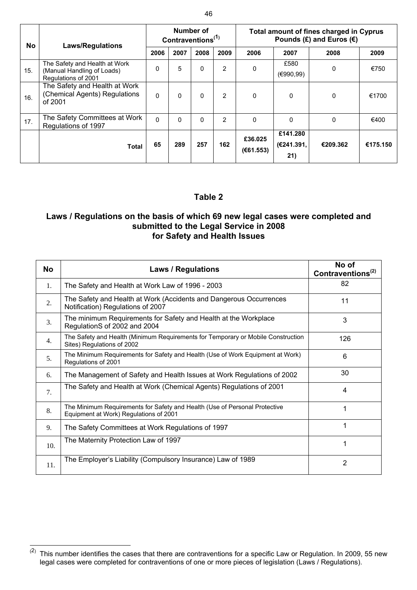| No. | <b>Laws/Regulations</b>                                                            |          |          | Number of<br>Contraventions <sup>(1)</sup> |                | Total amount of fines charged in Cyprus<br>Pounds (£) and Euros ( $\epsilon$ ) |                               |              |          |  |  |
|-----|------------------------------------------------------------------------------------|----------|----------|--------------------------------------------|----------------|--------------------------------------------------------------------------------|-------------------------------|--------------|----------|--|--|
|     |                                                                                    | 2006     | 2007     | 2008                                       | 2009           | 2006                                                                           | 2007                          | 2008         | 2009     |  |  |
| 15. | The Safety and Health at Work<br>(Manual Handling of Loads)<br>Regulations of 2001 | 0        | 5        | 0                                          | $\overline{2}$ | 0                                                                              | £580<br>(€990,99)             | 0            | €750     |  |  |
| 16. | The Safety and Health at Work<br>(Chemical Agents) Regulations<br>of 2001          | $\Omega$ | $\Omega$ | 0                                          | $\overline{2}$ | 0                                                                              | 0                             | 0            | €1700    |  |  |
| 17. | The Safety Committees at Work<br>Regulations of 1997                               | $\Omega$ | $\Omega$ | 0                                          | $\overline{2}$ | $\Omega$                                                                       | $\Omega$                      | $\mathbf{0}$ | €400     |  |  |
|     | <b>Total</b>                                                                       | 65       | 289      | 257                                        | 162            | £36.025<br>(E61.553)                                                           | £141.280<br>(€241.391,<br>21) | €209.362     | €175.150 |  |  |

#### **Table 2**

#### **Laws / Regulations on the basis of which 69 new legal cases were completed and submitted to the Legal Service in 2008 for Safety and Health Issues**

| <b>No</b>      | <b>Laws / Regulations</b>                                                                                            | No of<br>Contraventions <sup>(2)</sup> |
|----------------|----------------------------------------------------------------------------------------------------------------------|----------------------------------------|
| 1.             | The Safety and Health at Work Law of 1996 - 2003                                                                     | 82                                     |
| 2.             | The Safety and Health at Work (Accidents and Dangerous Occurrences<br>Notification) Regulations of 2007              | 11                                     |
| 3.             | The minimum Requirements for Safety and Health at the Workplace<br>RegulationS of 2002 and 2004                      | 3                                      |
| 4.             | The Safety and Health (Minimum Requirements for Temporary or Mobile Construction<br>Sites) Regulations of 2002       | 126                                    |
| 5 <sub>1</sub> | The Minimum Requirements for Safety and Health (Use of Work Equipment at Work)<br>Regulations of 2001                | 6                                      |
| 6.             | The Management of Safety and Health Issues at Work Regulations of 2002                                               | 30                                     |
| 7.             | The Safety and Health at Work (Chemical Agents) Regulations of 2001                                                  | 4                                      |
| 8.             | The Minimum Requirements for Safety and Health (Use of Personal Protective<br>Equipment at Work) Regulations of 2001 |                                        |
| 9.             | The Safety Committees at Work Regulations of 1997                                                                    |                                        |
| 10.            | The Maternity Protection Law of 1997                                                                                 |                                        |
| 11.            | The Employer's Liability (Compulsory Insurance) Law of 1989                                                          | $\overline{2}$                         |

 $\overline{a}^{(2)}$  This number identifies the cases that there are contraventions for a specific Law or Regulation. In 2009, 55 new legal cases were completed for contraventions of one or more pieces of legislation (Laws / Regulations).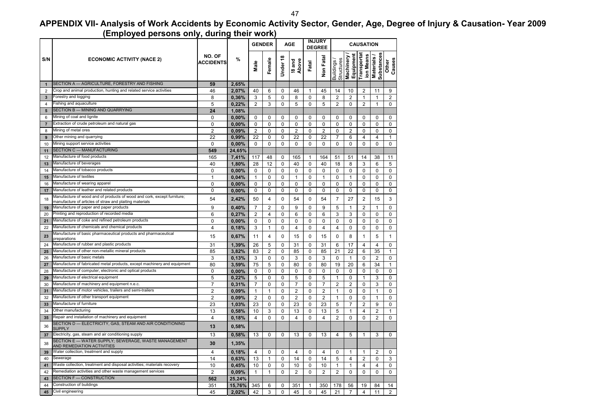### **APPENDIX VII- Analysis of Work Accidents by Economic Activity Sector, Gender, Age, Degree of Injury & Causation- Year 2009 (Employed persons only, during their work)**

| ,,,,,,,,,,,<br><br><br><b>GENDER</b> |                                                                                                                                    |                            |        | <b>AGE</b>     |                | <b>INJURY</b><br><b>DEGREE</b> |                 |             | <b>CAUSATION</b> |                         |                          |                         |                                       |                 |
|--------------------------------------|------------------------------------------------------------------------------------------------------------------------------------|----------------------------|--------|----------------|----------------|--------------------------------|-----------------|-------------|------------------|-------------------------|--------------------------|-------------------------|---------------------------------------|-----------------|
| S/N                                  | <b>ECONOMIC ACTIVITY (NACE 2)</b>                                                                                                  | NO. OF<br><b>ACCIDENTS</b> | %      | Male           | Femal          | Under <sub>18</sub>            | evoqy<br>pue 8i | Fatal       | Non Fata         | Structures<br>Buildings | Machinery /<br>Equipment | Transporta<br>ion Means | <b>Substances</b><br><b>Materials</b> | Other<br>Causes |
| $\mathbf{1}$                         | SECTION A - AGRICULTURE, FORESTRY AND FISHING                                                                                      | 59                         | 2,65%  |                |                |                                |                 |             |                  |                         |                          |                         |                                       |                 |
| $\overline{2}$                       | Crop and animal production, hunting and related service activities                                                                 | 46                         | 2,07%  | 40             | 6              | 0                              | 46              | 1           | 45               | 14                      | 10                       | $\overline{2}$          | 11                                    | 9               |
| 3                                    | Forestry and logging                                                                                                               | 8                          | 0,36%  | 3              | 5              | 0                              | 8               | 0           | 8                | $\overline{2}$          | $\overline{2}$           | 1                       | $\mathbf{1}$                          | $\overline{2}$  |
| $\overline{4}$                       | Fishing and aquaculture                                                                                                            | 5                          | 0,22%  | $\overline{2}$ | 3              | 0                              | 5               | $\mathbf 0$ | 5                | $\overline{2}$          | $\mathbf 0$              | $\overline{2}$          | $\mathbf{1}$                          | $\mathbf 0$     |
| 5                                    | SECTION B - MINING AND QUARRYING                                                                                                   | 24                         | 1,08%  |                |                |                                |                 |             |                  |                         |                          |                         |                                       |                 |
| 6                                    | Mining of coal and lignite                                                                                                         | 0                          | 0,00%  | 0              | 0              | 0                              | 0               | 0           | 0                | 0                       | 0                        | 0                       | 0                                     | 0               |
| $\overline{7}$                       | Extraction of crude petroleum and natural gas                                                                                      | 0                          | 0.00%  | 0              | 0              | 0                              | 0               | 0           | 0                | 0                       | 0                        | $\mathbf 0$             | 0                                     | 0               |
| 8                                    | Mining of metal ores                                                                                                               | $\overline{c}$             | 0,09%  | $\overline{2}$ | 0              | 0                              | 2               | 0           | $\overline{2}$   | 0                       | $\overline{c}$           | $\mathbf 0$             | 0                                     | 0               |
| $\boldsymbol{9}$                     | Other mining and quarrying                                                                                                         | 22                         | 0,99%  | 22             | 0              | $\mathbf 0$                    | 22              | $\mathbf 0$ | 22               | $\overline{7}$          | 6                        | $\overline{4}$          | 4                                     | $\mathbf{1}$    |
| 10                                   | Mining support service activities                                                                                                  | 0                          | 0,00%  | $\mathbf 0$    | 0              | 0                              | 0               | $\mathbf 0$ | 0                | 0                       | $\mathbf 0$              | $\mathbf 0$             | 0                                     | $\mathbf 0$     |
| 11                                   | SECTION C - MANUFACTURING                                                                                                          | 549                        | 24,65% |                |                |                                |                 |             |                  |                         |                          |                         |                                       |                 |
| 12                                   | Manufacture of food products                                                                                                       | 165                        | 7,41%  | 117            | 48             | 0                              | 165             | 1           | 164              | 51                      | 51                       | 14                      | 38                                    | 11              |
| 13                                   | Manufacture of beverages                                                                                                           | 40                         | 1.80%  | 28             | 12             | $\Omega$                       | 40              | $\Omega$    | 40               | 18                      | 8                        | 3                       | 6                                     | 5               |
| 14                                   | Manufacture of tobacco products                                                                                                    | 0                          | 0,00%  | 0              | 0              | 0                              | 0               | 0           | 0                | 0                       | 0                        | $\mathbf 0$             | 0                                     | 0               |
| 15                                   | Manufacture of textiles                                                                                                            | $\mathbf{1}$               | 0,04%  | $\mathbf{1}$   | 0              | 0                              | $\mathbf{1}$    | $\Omega$    | 1                | $\mathbf 0$             | $\mathbf{1}$             | $\mathbf 0$             | 0                                     | 0               |
| 16                                   | Manufacture of wearing apparel                                                                                                     | 0                          | 0,00%  | $\mathbf 0$    | 0              | 0                              | 0               | 0           | 0                | $\mathbf 0$             | 0                        | $\mathbf 0$             | $\mathbf 0$                           | $\mathbf 0$     |
| 17                                   | Manufacture of leather and related products                                                                                        | 0                          | 0,00%  | $\mathbf 0$    | 0              | 0                              | $\mathbf 0$     | $\mathbf 0$ | 0                | $\mathbf 0$             | $\mathbf 0$              | $\mathbf 0$             | $\mathbf 0$                           | $\mathbf 0$     |
| 18                                   | Manufacture of wood and of products of wood and cork, except furniture;<br>manufacture of articles of straw and plaiting materials | 54                         | 2,42%  | 50             | $\overline{4}$ | 0                              | 54              | $\mathbf 0$ | 54               | 7                       | 27                       | $\overline{2}$          | 15                                    | 3               |
| 19                                   | Manufacture of paper and paper products                                                                                            | 9                          | 0,40%  | $\overline{7}$ | $\overline{2}$ | $\mathbf 0$                    | 9               | $\mathbf 0$ | 9                | 5                       | $\mathbf{1}$             | $\overline{2}$          | $\mathbf{1}$                          | $\mathbf 0$     |
| 20                                   | Printing and reproduction of recorded media                                                                                        | 6                          | 0,27%  | $\overline{2}$ | 4              | $\Omega$                       | 6               | $\Omega$    | 6                | 3                       | 3                        | $\mathbf 0$             | 0                                     | $\mathbf 0$     |
| 21                                   | Manufacture of coke and refined petroleum products                                                                                 | 0                          | 0,00%  | 0              | 0              | 0                              | 0               | 0           | 0                | 0                       | 0                        | 0                       | 0                                     | 0               |
| 22                                   | Manufacture of chemicals and chemical products                                                                                     | 4                          | 0,18%  | 3              | $\mathbf{1}$   | 0                              | 4               | $\mathbf 0$ | 4                | 4                       | $\mathbf 0$              | $\mathbf 0$             | 0                                     | $\mathbf 0$     |
| 23                                   | Manufacture of basic pharmaceutical products and pharmaceutical<br>preparations                                                    | 15                         | 0,67%  | 11             | 4              | 0                              | 15              | $\mathbf 0$ | 15               | 0                       | 8                        | $\mathbf{1}$            | 5                                     | $\mathbf{1}$    |
| 24                                   | Manufacture of rubber and plastic products                                                                                         | 31                         | 1,39%  | 26             | 5              | 0                              | 31              | $\mathbf 0$ | 31               | 6                       | 17                       | $\overline{4}$          | 4                                     | $\mathbf 0$     |
| 25                                   | Manufacture of other non-metallic mineral products                                                                                 | 85                         | 3,82%  | 83             | 2              | 0                              | 85              | $\mathbf 0$ | 85               | 21                      | 22                       | 6                       | 35                                    | $\mathbf{1}$    |
| 26                                   | Manufacture of basic metals                                                                                                        | 3                          | 0,13%  | 3              | 0              | 0                              | 3               | $\Omega$    | 3                | 0                       | 1                        | $\mathbf 0$             | $\overline{c}$                        | 0               |
| 27                                   | Manufacture of fabricated metal products, except machinery and equipment                                                           | 80                         | 3,59%  | 75             | 5              | 0                              | 80              | $\mathbf 0$ | 80               | 19                      | 20                       | 6                       | 34                                    | $\mathbf{1}$    |
| 28                                   | Manufacture of computer, electronic and optical products                                                                           | 0                          | 0,00%  | 0              | 0              | 0                              | 0               | 0           | 0                | 0                       | 0                        | 0                       | 0                                     | 0               |
| 29                                   | Manufacture of electrical equipment                                                                                                | 5                          | 0.22%  | 5              | 0              | 0                              | 5               | 0           | 5                | $\mathbf{1}$            | 0                        | $\mathbf{1}$            | 3                                     | 0               |
| 30                                   | Manufacture of machinery and equipment n.e.c                                                                                       | $\overline{7}$             | 0,31%  | $\overline{7}$ | 0              | 0                              | 7               | 0           | 7                | $\overline{2}$          | $\overline{c}$           | $\mathbf 0$             | 3                                     | 0               |
| 31                                   | Manufacture of motor vehicles, trailers and semi-trailers                                                                          | $\overline{2}$             | 0,09%  | $\mathbf{1}$   | 1              | 0                              | $\overline{2}$  | $\mathbf 0$ | 2                | 1                       | $\mathbf 0$              | $\mathbf 0$             | $\mathbf{1}$                          | $\mathbf 0$     |
| 32                                   | Manufacture of other transport equipment                                                                                           | $\overline{c}$             | 0,09%  | $\overline{2}$ | 0              | 0                              | 2               | $\mathbf 0$ | 2                | $\mathbf{1}$            | $\mathbf 0$              | $\mathbf 0$             | 1                                     | 0               |
| 33                                   | Manufacture of furniture                                                                                                           | 23                         | 1,03%  | 23             | 0              | 0                              | 23              | 0           | 23               | 5                       | $\overline{7}$           | $\overline{2}$          | 9                                     | $\mathbf 0$     |
| 34                                   | Other manufacturing                                                                                                                | 13                         | 0,58%  | 10             | 3              | 0                              | 13              | $\mathbf 0$ | 13               | 5                       | $\mathbf{1}$             | $\overline{4}$          | $\overline{2}$                        | $\mathbf{1}$    |
| 35                                   | Repair and installation of machinery and equipment                                                                                 | $\overline{4}$             | 0,18%  | $\overline{4}$ | 0              | $\Omega$                       | 4               | $\Omega$    | $\overline{4}$   | $\overline{2}$          | $\Omega$                 | $\Omega$                | $\overline{2}$                        | $\Omega$        |
| 36                                   | SECTION D - ELECTRICITY, GAS, STEAM AND AIR CONDITIONING<br>SUPPLY                                                                 | 13                         | 0,58%  |                |                |                                |                 |             |                  |                         |                          |                         |                                       |                 |
| 37                                   | Electricity, gas, steam and air conditioning supply                                                                                | 13                         | 0,58%  | 13             | 0              | 0                              | 13              | 0           | 13               | 4                       | 5                        | $\mathbf{1}$            | 3                                     | 0               |
| 38                                   | SECTION E - WATER SUPPLY; SEWERAGE, WASTE MANAGEMENT<br>AND REMEDIATION ACTIVITIES                                                 | 30                         | 1,35%  |                |                |                                |                 |             |                  |                         |                          |                         |                                       |                 |
| 39                                   | Water collection, treatment and supply                                                                                             | 4                          | 0,18%  | 4              | 0              | $\mathbf 0$                    | 4               | 0           | 4                | 0                       | $\mathbf{1}$             | 1                       | $\overline{2}$                        | $\mathbf 0$     |
| 40                                   | Sewerage                                                                                                                           | 14                         | 0,63%  | 13             | 1              | 0                              | 14              | 0           | 14               | 5                       | $\overline{4}$           | $\overline{2}$          | 0                                     | 3               |
| 41                                   | Waste collection, treatment and disposal activities; materials recovery                                                            | 10                         | 0,45%  | 10             | 0              | 0                              | 10              | 0           | 10               | $\mathbf{1}$            | $\mathbf{1}$             | $\overline{4}$          | 4                                     | $\mathbf 0$     |
| 42                                   | Remediation activities and other waste management services                                                                         | 2                          | 0,09%  | $\mathbf{1}$   | $\mathbf{1}$   | 0                              | 2<br>0<br>2     |             | $\overline{c}$   | $\mathbf 0$             | $\mathbf 0$              | 0                       | $\mathbf 0$                           |                 |
| 43                                   | SECTION F - CONSTRUCTION                                                                                                           | 562                        | 25.24% |                |                |                                |                 |             |                  |                         |                          |                         |                                       |                 |
| 44                                   | Construction of buildings                                                                                                          | 351                        | 15,76% | 345            | 6              | 0                              | 351             | 1           | 350              | 178                     | 56                       | 19                      | 84                                    | 14              |
| 45                                   | Civil engineering                                                                                                                  | 45                         | 2,02%  | 42             | 3              | $\mathbf 0$                    | 45              | 0           | 45               | 21                      | $\overline{7}$           | $\overline{4}$          | 11                                    | $\overline{2}$  |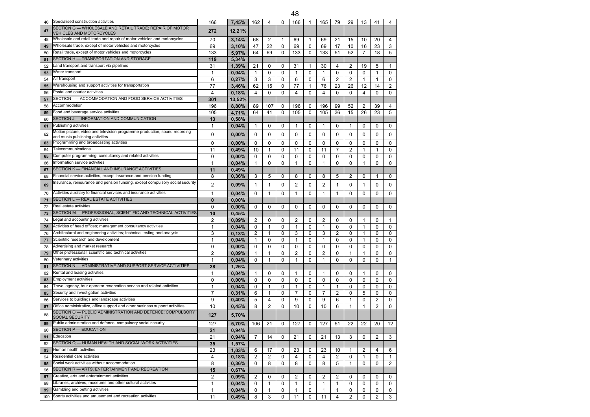| 46       | Specialised construction activities                                                                        | 166                          | 7,45%          | 162                | 4                       | 0      | 166                | 1                 | 165                | 79               | 29               | 13                   | 41                | 4              |
|----------|------------------------------------------------------------------------------------------------------------|------------------------------|----------------|--------------------|-------------------------|--------|--------------------|-------------------|--------------------|------------------|------------------|----------------------|-------------------|----------------|
| 47       | SECTION G - WHOLESALE AND RETAIL TRADE; REPAIR OF MOTOR                                                    | 272                          | 12,21%         |                    |                         |        |                    |                   |                    |                  |                  |                      |                   |                |
|          | <b>VEHICLES AND MOTORCYCLES</b><br>Wholesale and retail trade and repair of motor vehicles and motorcycles | 70                           |                |                    | $\overline{2}$          | 1      | 69                 | $\mathbf{1}$      | 69                 | 21               | 15               | 10                   | 20                |                |
| 48       | Wholesale trade, except of motor vehicles and motorcycles                                                  |                              | 3.14%          | 68                 |                         |        |                    |                   |                    |                  |                  |                      |                   | 4              |
| 49       | Retail trade, except of motor vehicles and motorcycles                                                     | 69<br>133                    | 3,10%          | 47                 | 22                      | 0<br>0 | 69                 | 0<br>0            | 69                 | 17               | 10<br>52         | 16<br>$\overline{7}$ | 23                | 3<br>5         |
| 50       | SECTION H — TRANSPORTATION AND STORAGE                                                                     | 119                          | 5,97%<br>5,34% | 64                 | 69                      |        | 133                |                   | 133                | 51               |                  |                      | 18                |                |
| 51       | and transport and transport via pipelines.                                                                 |                              |                |                    |                         |        |                    |                   |                    |                  |                  |                      |                   |                |
| 52<br>53 | Water transport                                                                                            | 31<br>$\mathbf{1}$           | 1,39%<br>0,04% | 21<br>$\mathbf{1}$ | 0<br>$\mathbf 0$        | 0<br>0 | 31<br>$\mathbf{1}$ | -1<br>$\mathbf 0$ | 30<br>$\mathbf{1}$ | 4<br>$\mathbf 0$ | 2<br>$\mathbf 0$ | 19<br>$\mathbf 0$    | 5<br>$\mathbf{1}$ | 1<br>0         |
| 54       | Air transport                                                                                              | 6                            | 0,27%          | 3                  | 3                       | 0      | 6                  | $\mathbf 0$       | 6                  | $\overline{2}$   | $\overline{2}$   | 1                    | $\mathbf{1}$      | 0              |
|          | Warehousing and support activities for transportation                                                      | 77                           |                | 62                 | 15                      | 0      | 77                 | 1                 | 76                 | 23               | 26               | 12                   | 14                | $\overline{2}$ |
| 55<br>56 | Postal and courier activities                                                                              | 4                            | 3,46%<br>0,18% | 4                  | $\mathbf 0$             | 0      | 4                  | $\mathbf 0$       | 4                  | $\mathbf 0$      | $\mathbf 0$      | $\overline{4}$       | 0                 | 0              |
| 57       | SECTION I — ACCOMMODATION AND FOOD SERVICE ACTIVITIES                                                      | 301                          | 13.52%         |                    |                         |        |                    |                   |                    |                  |                  |                      |                   |                |
| 58       | Accommodation                                                                                              | 196                          | 8,80%          | 89                 | 107                     | 0      | 196                | 0                 | 196                | 99               | 52               | 2                    | 39                | 4              |
| 59       | Food and beverage service activities                                                                       | 105                          | 4.71%          | 64                 | 41                      | 0      | 105                | $\mathbf 0$       | 105                | 36               | 15               | 26                   | 23                | 5              |
| 60       | SECTION J - INFORMATION AND COMMUNICATION                                                                  | 13                           | 0,58%          |                    |                         |        |                    |                   |                    |                  |                  |                      |                   |                |
| 61       | Publishing activities                                                                                      | $\mathbf{1}$                 | 0,04%          | 1                  | 0                       | 0      | 1                  | 0                 | 1                  | 0                | $\mathbf{1}$     | 0                    | 0                 | 0              |
|          | Motion picture, video and television programme production, sound recording                                 |                              |                |                    |                         |        |                    |                   |                    |                  |                  |                      |                   |                |
| 62       | and music publishing activities                                                                            | 0                            | 0,00%          | 0                  | 0                       | 0      | 0                  | 0                 | 0                  | 0                | 0                | 0                    | 0                 | 0              |
| 63       | Programming and broadcasting activities                                                                    | 0                            | 0,00%          | 0                  | 0                       | 0      | 0                  | 0                 | 0                  | 0                | 0                | 0                    | 0                 | 0              |
| 64       | Telecommunications                                                                                         | 11                           | 0,49%          | 10                 | $\mathbf{1}$            | 0      | 11                 | $\mathbf 0$       | 11                 | $\overline{7}$   | $\overline{2}$   | $\mathbf{1}$         | $\mathbf{1}$      | 0              |
| 65       | Computer programming, consultancy and related activities                                                   | 0                            | 0,00%          | 0                  | 0                       | 0      | 0                  | 0                 | 0                  | 0                | 0                | 0                    | 0                 | 0              |
| 66       | nformation service activities                                                                              | $\mathbf{1}$                 | 0,04%          | 1                  | 0                       | 0      | 1                  | 0                 | 1                  | 0                | 0                | 1                    | 0                 | $\mathbf 0$    |
| 67       | SECTION K — FINANCIAL AND INSURANCE ACTIVITIES                                                             | 11                           | 0,49%          |                    |                         |        |                    |                   |                    |                  |                  |                      |                   |                |
| 68       | Financial service activities, except insurance and pension funding                                         | 8                            | 0,36%          | 3                  | 5                       | 0      | 8                  | 0                 | 8                  | 5                | $\overline{2}$   | 0                    | 1                 | 0              |
| 69       | nsurance, reinsurance and pension funding, except compulsory social security                               | 2                            | 0,09%          | 1                  | $\mathbf{1}$            | 0      | 2                  | 0                 | 2                  | 1                | 0                | 1                    | 0                 | 0              |
|          | Activities auxiliary to financial services and insurance activities                                        |                              |                |                    |                         |        |                    |                   |                    |                  |                  |                      |                   |                |
| 70       | SECTION L — REAL ESTATE ACTIVITIES                                                                         | $\mathbf{1}$<br>$\mathbf{0}$ | 0,04%          | 0                  | $\mathbf{1}$            | 0      | 1                  | 0                 | 1                  | 1                | 0                | 0                    | 0                 | 0              |
| 71<br>72 | Real estate activities                                                                                     | $\mathbf 0$                  | 0,00%<br>0,00% | 0                  | 0                       | 0      |                    | 0                 | 0                  | 0                | 0                |                      | 0                 | 0              |
| 73       | SECTION M — PROFESSIONAL, SCIENTIFIC AND TECHNICAL ACTIVITIES                                              | 10                           | 0,45%          |                    |                         |        | 0                  |                   |                    |                  |                  | 0                    |                   |                |
| 74       | egal and accounting activities.                                                                            | $\overline{2}$               | 0,09%          | 2                  | 0                       | 0      | 2                  | 0                 | 2                  | 0                | 0                | 1                    | 0                 | 1              |
| 75       | Activities of head offices; management consultancy activities                                              | 1                            | 0,04%          | 0                  | $\mathbf{1}$            | 0      | 1                  | $\mathbf 0$       | 1                  | $\mathbf 0$      | 0                | 1                    | 0                 | 0              |
| 76       | Architectural and engineering activities; technical testing and analysis                                   | 3                            | 0,13%          | 2                  | $\mathbf{1}$            | 0      | 3                  | 0                 | 3                  | 2                | 0                | 1                    | 0                 | 0              |
| 77       | Scientific research and development                                                                        | $\mathbf{1}$                 | 0,04%          | 1                  | 0                       | 0      | 1                  | $\mathbf 0$       | 1                  | 0                | $\mathbf 0$      | $\mathbf{1}$         | 0                 | 0              |
| 78       | Advertising and market research                                                                            | 0                            | 0,00%          | 0                  | 0                       | 0      | 0                  | 0                 | 0                  | 0                | 0                | 0                    | 0                 | 0              |
| 79       | Other professional, scientific and technical activities                                                    | 2                            | 0.09%          | 1                  | $\mathbf{1}$            | 0      | 2                  | 0                 | $\overline{2}$     | 0                | $\mathbf{1}$     | $\mathbf{1}$         | 0                 | 0              |
| 80       | Veterinary activities                                                                                      | $\mathbf{1}$                 | 0,04%          | 0                  | $\mathbf{1}$            | 0      | 1                  | 0                 | 1                  | 0                | 0                | 0                    | 0                 | 1              |
| 81       | SECTION N - ADMINISTRATIVE AND SUPPORT SERVICE ACTIVITIES                                                  | 28                           | 1,26%          |                    |                         |        |                    |                   |                    |                  |                  |                      |                   |                |
| 82       | Rental and leasing activities                                                                              | 1                            | 0,04%          | 1                  | 0                       | 0      | 1                  | 0                 | 1                  | 0                | 0                | 1                    | 0                 | 0              |
| 83       | Employment activities                                                                                      | 0                            | 0,00%          | 0                  | 0                       | 0      | 0                  | 0                 | 0                  | 0                | 0                | 0                    | 0                 | 0              |
| 84       | Travel agency, tour operator reservation service and related activities                                    | $\mathbf{1}$                 | 0,04%          | 0                  | $\mathbf{1}$            | 0      | $\mathbf{1}$       | $\mathbf 0$       | 1                  | $\mathbf{1}$     | $\mathbf 0$      | 0                    | 0                 | 0              |
| 85       | Security and investigation activities                                                                      | 7                            | 0,31%          | 6                  | $\mathbf{1}$            | 0      | 7                  | 0                 | 7                  | 2                | 0                | 5                    | 0                 | 0              |
| 86       | Services to buildings and landscape activities                                                             | 9                            | 0,40%          | 5                  | $\overline{4}$          | 0      | 9                  | $\mathbf 0$       | 9                  | 6                | $\mathbf{1}$     | 0                    | $\overline{2}$    | 0              |
| 87       | Office administrative, office support and other business support activities                                | 10                           | 0,45%          | 8                  | $\overline{2}$          | 0      | 10                 | $\mathbf 0$       | 10                 | 6                | $\mathbf{1}$     | $\mathbf{1}$         | $\overline{2}$    | 0              |
|          | SECTION O - PUBLIC ADMINISTRATION AND DEFENCE; COMPULSORY                                                  |                              |                |                    |                         |        |                    |                   |                    |                  |                  |                      |                   |                |
| 88       | SOCIAL SECURITY                                                                                            | 127                          | 5,70%          |                    |                         |        |                    |                   |                    |                  |                  |                      |                   |                |
| 89       | Public administration and defence; compulsory social security                                              | 127                          | 5,70%          | 106                | 21                      | 0      | 127                | 0                 | 127                | 51               | 22               | 22                   | 20                | 12             |
| 90       | SECTION P - EDUCATION                                                                                      | 21                           | 0.94%          |                    |                         |        |                    |                   |                    |                  |                  |                      |                   |                |
| 91       | Education                                                                                                  | 21                           | 0,94%          | 7                  | 14                      | 0      | 21                 | 0                 | 21                 | 13               | 3                | 0                    | 2                 | 3              |
| 92       | SECTION Q - HUMAN HEALTH AND SOCIAL WORK ACTIVITIES                                                        | 35                           | 1,57%          |                    |                         |        |                    |                   |                    |                  |                  |                      |                   |                |
| 93       | Human health activities                                                                                    | 23                           | 1,03%          | 6                  | 17                      | 0      | 23                 | 0                 | 23                 | 10               | $\mathbf{1}$     | 2                    | 4                 | 6              |
| 94       | Residential care activities                                                                                | 4                            | 0,18%          | 2                  | $\overline{\mathbf{c}}$ | 0      | 4                  | 0                 | 4                  | 2                | 0                | 1                    | 0                 | 1              |
| 95       | Social work activities without accommodation                                                               | 8                            | 0,36%          | 0                  | 8                       | 0      | 8                  | 0                 | 8                  | 5                | $\mathbf{1}$     | 0                    | 0                 | 2              |
| 96       | SECTION R - ARTS, ENTERTAINMENT AND RECREATION                                                             | 15                           | 0,67%          |                    |                         |        |                    |                   |                    |                  |                  |                      |                   |                |
| 97       | Creative, arts and entertainment activities                                                                | $\overline{c}$               | $0,09\%$       | 2                  | 0                       | 0      | 2                  | 0                 | 2                  | $\overline{2}$   | 0                | 0                    | 0                 | 0              |
| 98       | Libraries, archives, museums and other cultural activities                                                 | $\mathbf{1}$                 | 0,04%          | 0                  | 1                       | 0      | 1                  | 0                 | 1                  | 1                | 0                | 0                    | 0                 | 0              |
| 99       | Gambling and betting activities                                                                            | $\mathbf{1}$                 | 0,04%          | 0                  | $\mathbf{1}$            | 0      | $\mathbf{1}$       | 0                 | 1                  | 1                | 0                | 0                    | 0                 | 0              |
| 100      | Sports activities and amusement and recreation activities                                                  | 11                           | 0,49%          | 8                  | 3                       | 0      | 11                 | 0                 | 11                 | $\overline{4}$   | $\overline{2}$   | 0                    | $\overline{2}$    | 3              |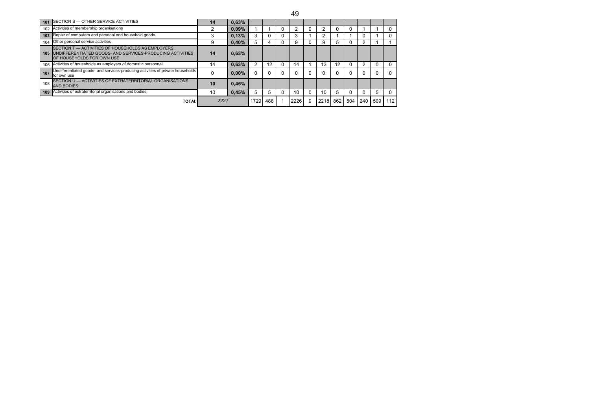|     |                                                                                                                                                             |      |          |          |     | 49   |   |      |     |     |     |     |          |
|-----|-------------------------------------------------------------------------------------------------------------------------------------------------------------|------|----------|----------|-----|------|---|------|-----|-----|-----|-----|----------|
|     | 101 SECTION S - OTHER SERVICE ACTIVITIES                                                                                                                    | 14   | 0,63%    |          |     |      |   |      |     |     |     |     |          |
|     | 102 Activities of membership organisations                                                                                                                  |      | 0.09%    |          |     | ົ    |   |      |     |     |     |     | 0        |
| 103 | Repair of computers and personal and household goods                                                                                                        |      | 0.13%    | 3        |     | 3    |   |      |     |     |     |     | 0        |
| 104 | Other personal service activities                                                                                                                           | 9    | 0.40%    | 5        |     | 9    |   | 9    | h.  |     |     |     |          |
| 105 | <b>ISECTION T — ACTIVITIES OF HOUSEHOLDS AS EMPLOYERS:</b><br>UNDIFFERENTIATED GOODS- AND SERVICES-PRODUCING ACTIVITIES<br><b>OF HOUSEHOLDS FOR OWN USE</b> | 14   | 0,63%    |          |     |      |   |      |     |     |     |     |          |
|     | 106 Activities of households as employers of domestic personnel                                                                                             | 14   | 0.63%    |          | 12  | 14   |   | 13   | 12  |     |     |     | $\Omega$ |
| 107 | Undifferentiated goods- and services-producing activities of private households<br>for own use                                                              | C    | $0.00\%$ | $\Omega$ |     |      |   |      |     |     |     |     | $\Omega$ |
| 108 | SECTION U - ACTIVITIES OF EXTRATERRITORIAL ORGANISATIONS<br><b>AND BODIES</b>                                                                               | 10   | 0,45%    |          |     |      |   |      |     |     |     |     |          |
|     | 109 Activities of extraterritorial organisations and bodies                                                                                                 | 10   | 0.45%    | 5        | 5   | 10   |   | 10   | 5.  |     |     | 5   | $\Omega$ |
|     | <b>TOTAI:</b>                                                                                                                                               | 2227 |          | 1729     | 488 | 2226 | 9 | 2218 | 862 | 504 | 240 | 509 | 112      |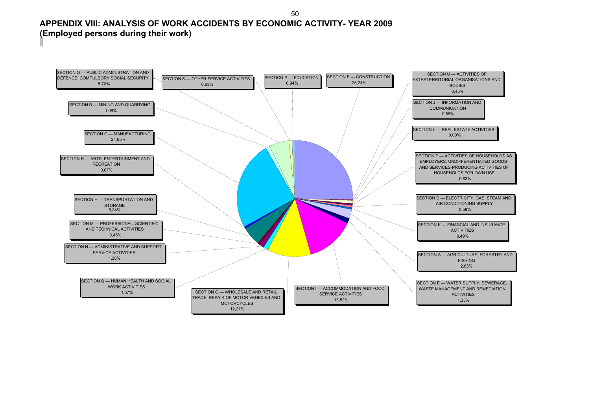#### **APPENDIX VIII: ANALYSIS OF WORK ACCIDENTS BY ECONOMIC ACTIVITY- YEAR 2009 (Employed persons during their work)**

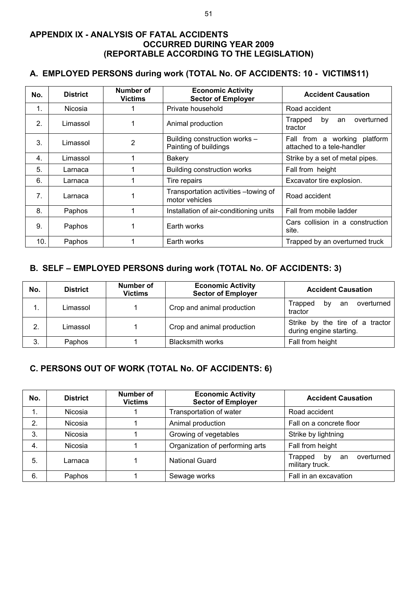#### **APPENDIX IX - ANALYSIS OF FATAL ACCIDENTS OCCURRED DURING YEAR 2009 (REPORTABLE ACCORDING TO THE LEGISLATION)**

#### **A. EMPLOYED PERSONS during work (TOTAL No. OF ACCIDENTS: 10 - VICTIMS11)**

| No.          | <b>District</b> | Number of<br><b>Victims</b> | <b>Economic Activity</b><br><b>Sector of Employer</b>   | <b>Accident Causation</b>                                  |
|--------------|-----------------|-----------------------------|---------------------------------------------------------|------------------------------------------------------------|
| 1.           | <b>Nicosia</b>  |                             | Private household                                       | Road accident                                              |
| 2.           | Limassol        |                             | Animal production                                       | overturned<br>Trapped<br>by<br>an<br>tractor               |
| 3.           | Limassol        | 2                           | Building construction works -<br>Painting of buildings  | Fall from a working platform<br>attached to a tele-handler |
| $\mathbf{4}$ | Limassol        |                             | <b>Bakery</b>                                           | Strike by a set of metal pipes.                            |
| 5.           | Larnaca         |                             | <b>Building construction works</b>                      | Fall from height                                           |
| 6.           | Larnaca         |                             | Tire repairs                                            | Excavator tire explosion.                                  |
| 7.           | Larnaca         |                             | Transportation activities - towing of<br>motor vehicles | Road accident                                              |
| 8.           | Paphos          |                             | Installation of air-conditioning units                  | Fall from mobile ladder                                    |
| 9.           | Paphos          |                             | Earth works                                             | Cars collision in a construction<br>site.                  |
| 10.          | Paphos          |                             | Earth works                                             | Trapped by an overturned truck                             |

#### **B. SELF – EMPLOYED PERSONS during work (TOTAL No. OF ACCIDENTS: 3)**

| No. | <b>District</b> | Number of<br><b>Victims</b> | <b>Economic Activity</b><br><b>Sector of Employer</b> | <b>Accident Causation</b>                                  |
|-----|-----------------|-----------------------------|-------------------------------------------------------|------------------------------------------------------------|
|     | Limassol        |                             | Crop and animal production                            | overturned<br>Trapped<br>bv<br>an<br>tractor               |
| 2.  | Limassol        |                             | Crop and animal production                            | Strike by the tire of a tractor<br>during engine starting. |
| 3.  | Paphos          |                             | <b>Blacksmith works</b>                               | Fall from height                                           |

### **C. PERSONS OUT OF WORK (TOTAL No. OF ACCIDENTS: 6)**

| No. | <b>District</b> | <b>Number of</b><br>Victims | <b>Economic Activity</b><br><b>Sector of Employer</b> | <b>Accident Causation</b>                            |
|-----|-----------------|-----------------------------|-------------------------------------------------------|------------------------------------------------------|
| 1.  | <b>Nicosia</b>  |                             | Transportation of water                               | Road accident                                        |
| 2.  | Nicosia         |                             | Animal production                                     | Fall on a concrete floor                             |
| 3.  | Nicosia         |                             | Growing of vegetables                                 | Strike by lightning                                  |
| 4.  | Nicosia         |                             | Organization of performing arts                       | Fall from height                                     |
| 5.  | Larnaca         |                             | <b>National Guard</b>                                 | overturned<br>Trapped<br>by<br>an<br>military truck. |
| 6.  | Paphos          |                             | Sewage works                                          | Fall in an excavation                                |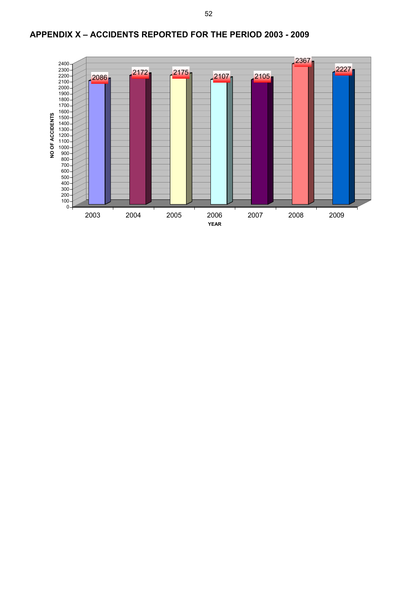

## **APPENDIX Χ – ACCIDENTS REPORTED FOR THE PERIOD 2003 - 2009**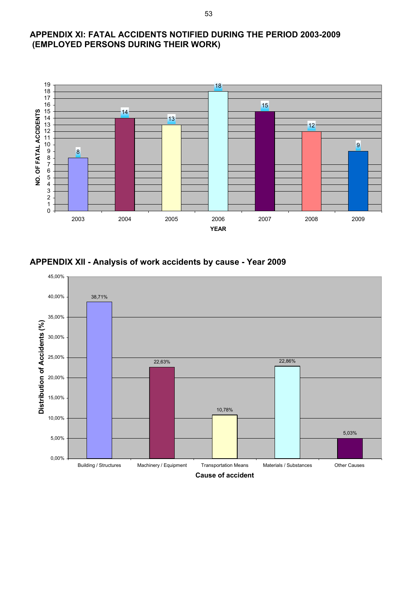#### **APPENDIX ΧI: FATAL ACCIDENTS NOTIFIED DURING THE PERIOD 2003-2009 (EMPLOYED PERSONS DURING THEIR WORK)**



#### **APPENDIX XII - Analysis of work accidents by cause - Year 2009**

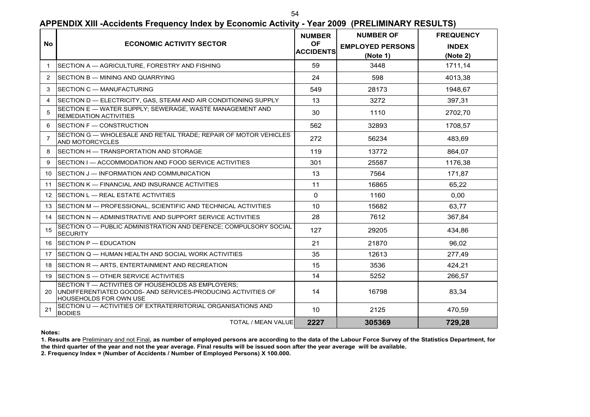54

|                   |                                                                                                                                                     | <b>NUMBER</b>                 | <b>NUMBER OF</b>                    | <b>FREQUENCY</b>         |
|-------------------|-----------------------------------------------------------------------------------------------------------------------------------------------------|-------------------------------|-------------------------------------|--------------------------|
| <b>No</b>         | <b>ECONOMIC ACTIVITY SECTOR</b>                                                                                                                     | <b>OF</b><br><b>ACCIDENTS</b> | <b>EMPLOYED PERSONS</b><br>(Note 1) | <b>INDEX</b><br>(Note 2) |
| $\mathbf{1}$      | SECTION A - AGRICULTURE. FORESTRY AND FISHING                                                                                                       | 59                            | 3448                                | 1711,14                  |
| 2                 | SECTION B - MINING AND QUARRYING                                                                                                                    | 24                            | 598                                 | 4013,38                  |
| 3                 | SECTION C — MANUFACTURING                                                                                                                           | 549                           | 28173                               | 1948.67                  |
| 4                 | SECTION D — ELECTRICITY, GAS, STEAM AND AIR CONDITIONING SUPPLY                                                                                     | 13                            | 3272                                | 397.31                   |
| 5                 | SECTION E - WATER SUPPLY; SEWERAGE, WASTE MANAGEMENT AND<br><b>REMEDIATION ACTIVITIES</b>                                                           | 30                            | 1110                                | 2702,70                  |
| 6                 | <b>ISECTION F - CONSTRUCTION</b>                                                                                                                    | 562                           | 32893                               | 1708,57                  |
| 7                 | SECTION G - WHOLESALE AND RETAIL TRADE; REPAIR OF MOTOR VEHICLES<br>AND MOTORCYCLES                                                                 | 272                           | 56234                               | 483,69                   |
| 8                 | SECTION H - TRANSPORTATION AND STORAGE                                                                                                              | 119                           | 13772                               | 864,07                   |
| 9                 | SECTION I — ACCOMMODATION AND FOOD SERVICE ACTIVITIES                                                                                               | 301                           | 25587                               | 1176,38                  |
| 10                | SECTION J - INFORMATION AND COMMUNICATION                                                                                                           | 13                            | 7564                                | 171,87                   |
| 11                | SECTION K - FINANCIAL AND INSURANCE ACTIVITIES                                                                                                      | 11                            | 16865                               | 65,22                    |
| $12 \overline{ }$ | SECTION L — REAL ESTATE ACTIVITIES                                                                                                                  | $\Omega$                      | 1160                                | 0,00                     |
| 13                | SECTION M - PROFESSIONAL, SCIENTIFIC AND TECHNICAL ACTIVITIES                                                                                       | 10                            | 15682                               | 63,77                    |
| 14                | <b>ISECTION N — ADMINISTRATIVE AND SUPPORT SERVICE ACTIVITIES</b>                                                                                   | 28                            | 7612                                | 367.84                   |
| 15                | SECTION O - PUBLIC ADMINISTRATION AND DEFENCE; COMPULSORY SOCIAL<br><b>SECURITY</b>                                                                 | 127                           | 29205                               | 434,86                   |
|                   | 16 SECTION P - EDUCATION                                                                                                                            | 21                            | 21870                               | 96,02                    |
| 17                | ISECTION Q — HUMAN HEALTH AND SOCIAL WORK ACTIVITIES                                                                                                | 35                            | 12613                               | 277,49                   |
| 18                | SECTION R - ARTS, ENTERTAINMENT AND RECREATION                                                                                                      | 15                            | 3536                                | 424,21                   |
|                   | 19 SECTION S - OTHER SERVICE ACTIVITIES                                                                                                             | 14                            | 5252                                | 266,57                   |
| 20.               | SECTION T - ACTIVITIES OF HOUSEHOLDS AS EMPLOYERS;<br>UNDIFFERENTIATED GOODS- AND SERVICES-PRODUCING ACTIVITIES OF<br><b>HOUSEHOLDS FOR OWN USE</b> | 14                            | 16798                               | 83,34                    |
| 21                | SECTION U - ACTIVITIES OF EXTRATERRITORIAL ORGANISATIONS AND<br><b>BODIES</b>                                                                       | 10                            | 2125                                | 470,59                   |
|                   | <b>TOTAL / MEAN VALUE</b>                                                                                                                           | 2227                          | 305369                              | 729,28                   |

#### **APPENDIX XIII -Accidents Frequency Index by Economic Activity - Year 2009 (PRELIMINARY RESULTS)**

**Notes:**

**1. Results are** Preliminary and not Final**, as number of employed persons are according to the data of the Labour Force Survey of the Statistics Department, for** 

**the third quarter of the year and not the year average. Final results will be issued soon after the year average will be available.** 

**2. Frequency Index = (Number of Accidents / Number of Employed Persons) Χ 100.000.**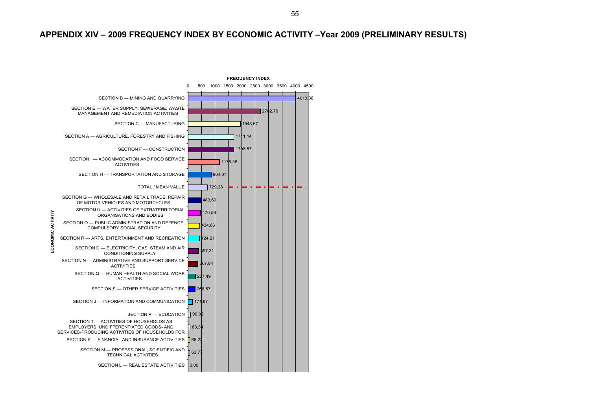#### **APPENDIX XIV – 2009 FREQUENCY INDEX BY ECONOMIC ACTIVITY –Year 2009 (PRELIMINARY RESULTS)**

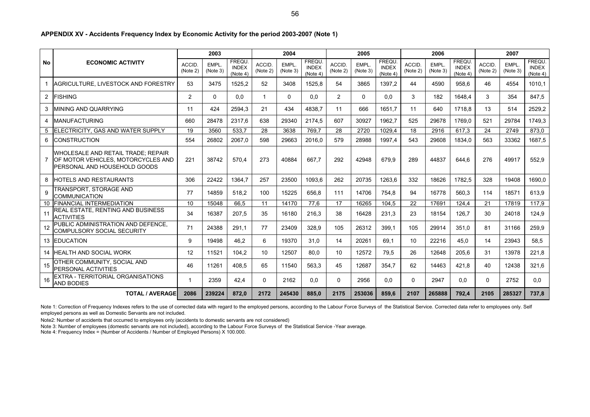|  |  |  | APPENDIX XV - Accidents Frequency Index by Economic Activity for the period 2003-2007 (Note 1) |  |
|--|--|--|------------------------------------------------------------------------------------------------|--|
|--|--|--|------------------------------------------------------------------------------------------------|--|

|                |                                                                                                          |                    | 2003              |                                          |                    | 2004              |                                    |                          | 2005              |                                          |                    | 2006                    |                                          |                    | 2007                    |                                    |
|----------------|----------------------------------------------------------------------------------------------------------|--------------------|-------------------|------------------------------------------|--------------------|-------------------|------------------------------------|--------------------------|-------------------|------------------------------------------|--------------------|-------------------------|------------------------------------------|--------------------|-------------------------|------------------------------------|
| <b>No</b>      | <b>ECONOMIC ACTIVITY</b>                                                                                 | ACCID.<br>(Note 2) | EMPL.<br>(Note 3) | <b>FREQU</b><br><b>INDEX</b><br>(Note 4) | ACCID.<br>(Note 2) | EMPL.<br>(Note 3) | FREQU.<br><b>INDEX</b><br>(Note 4) | <b>ACCID</b><br>(Note 2) | EMPL.<br>(Note 3) | <b>FREQU</b><br><b>INDEX</b><br>(Note 4) | ACCID.<br>(Note 2) | <b>EMPL</b><br>(Note 3) | <b>FREQU</b><br><b>INDEX</b><br>(Note 4) | ACCID.<br>(Note 2) | <b>EMPL</b><br>(Note 3) | FREQU.<br><b>INDEX</b><br>(Note 4) |
|                | AGRICULTURE, LIVESTOCK AND FORESTRY                                                                      | 53                 | 3475              | 1525,2                                   | 52                 | 3408              | 1525,8                             | 54                       | 3865              | 1397.2                                   | 44                 | 4590                    | 958,6                                    | 46                 | 4554                    | 1010.1                             |
| $\overline{2}$ | <b>FISHING</b>                                                                                           | $\overline{2}$     | $\Omega$          | 0.0                                      | $\overline{1}$     | $\Omega$          | 0,0                                | 2                        | $\mathbf{0}$      | 0.0                                      | 3                  | 182                     | 1648.4                                   | 3                  | 354                     | 847,5                              |
| 3              | MINING AND QUARRYING                                                                                     | 11                 | 424               | 2594.3                                   | 21                 | 434               | 4838.7                             | 11                       | 666               | 1651.7                                   | 11                 | 640                     | 1718.8                                   | 13                 | 514                     | 2529,2                             |
| 4              | <b>MANUFACTURING</b>                                                                                     | 660                | 28478             | 2317.6                                   | 638                | 29340             | 2174.5                             | 607                      | 30927             | 1962.7                                   | 525                | 29678                   | 1769.0                                   | 521                | 29784                   | 1749.3                             |
|                | 5 ELECTRICITY, GAS AND WATER SUPPLY                                                                      | 19                 | 3560              | 533,7                                    | 28                 | 3638              | 769,7                              | 28                       | 2720              | 1029.4                                   | 18                 | 2916                    | 617,3                                    | 24                 | 2749                    | 873,0                              |
| 6              | <b>CONSTRUCTION</b>                                                                                      | 554                | 26802             | 2067,0                                   | 598                | 29663             | 2016,0                             | 579                      | 28988             | 1997,4                                   | 543                | 29608                   | 1834,0                                   | 563                | 33362                   | 1687,5                             |
|                | WHOLESALE AND RETAIL TRADE; REPAIR<br>OF MOTOR VEHICLES, MOTORCYCLES AND<br>PERSONAL AND HOUSEHOLD GOODS | 221                | 38742             | 570.4                                    | 273                | 40884             | 667.7                              | 292                      | 42948             | 679.9                                    | 289                | 44837                   | 644.6                                    | 276                | 49917                   | 552.9                              |
| 8              | HOTELS AND RESTAURANTS                                                                                   | 306                | 22422             | 1364.7                                   | 257                | 23500             | 1093.6                             | 262                      | 20735             | 1263.6                                   | 332                | 18626                   | 1782.5                                   | 328                | 19408                   | 1690.0                             |
| 9              | TRANSPORT, STORAGE AND<br><b>COMMUNICATION</b>                                                           | 77                 | 14859             | 518.2                                    | 100                | 15225             | 656.8                              | 111                      | 14706             | 754.8                                    | 94                 | 16778                   | 560.3                                    | 114                | 18571                   | 613.9                              |
|                | 10 FINANCIAL INTERMEDIATION                                                                              | 10                 | 15048             | 66.5                                     | 11                 | 14170             | 77,6                               | 17                       | 16265             | 104.5                                    | 22                 | 17691                   | 124.4                                    | 21                 | 17819                   | 117.9                              |
| 11             | REAL ESTATE, RENTING AND BUSINESS<br><b>ACTIVITIES</b>                                                   | 34                 | 16387             | 207.5                                    | 35                 | 16180             | 216,3                              | 38                       | 16428             | 231,3                                    | 23                 | 18154                   | 126,7                                    | 30                 | 24018                   | 124.9                              |
| 12             | PUBLIC ADMINISTRATION AND DEFENCE.<br>COMPULSORY SOCIAL SECURITY                                         | 71                 | 24388             | 291.1                                    | 77                 | 23409             | 328.9                              | 105                      | 26312             | 399.1                                    | 105                | 29914                   | 351.0                                    | 81                 | 31166                   | 259.9                              |
|                | <b>13 EDUCATION</b>                                                                                      | 9                  | 19498             | 46.2                                     | 6                  | 19370             | 31.0                               | 14                       | 20261             | 69.1                                     | 10                 | 22216                   | 45.0                                     | 14                 | 23943                   | 58.5                               |
| 14             | <b>HEALTH AND SOCIAL WORK</b>                                                                            | 12                 | 11521             | 104.2                                    | 10                 | 12507             | 80.0                               | 10                       | 12572             | 79.5                                     | 26                 | 12648                   | 205.6                                    | 31                 | 13978                   | 221.8                              |
| 15             | OTHER COMMUNITY, SOCIAL AND<br>PERSONAL ACTIVITIES                                                       | 46                 | 11261             | 408.5                                    | 65                 | 11540             | 563.3                              | 45                       | 12687             | 354.7                                    | 62                 | 14463                   | 421.8                                    | 40                 | 12438                   | 321.6                              |
| 16             | EXTRA - TERRITORIAL ORGANISATIONS<br><b>AND BODIES</b>                                                   | 1                  | 2359              | 42.4                                     | $\Omega$           | 2162              | 0.0                                | $\mathbf{0}$             | 2956              | 0.0                                      | $\mathbf{0}$       | 2947                    | 0.0                                      | $\Omega$           | 2752                    | 0.0                                |
|                | <b>TOTAL / AVERAGE</b>                                                                                   | 2086               | 239224            | 872.0                                    | 2172               | 245430            | 885.0                              | 2175                     | 253036            | 859.6                                    | 2107               | 265888                  | 792,4                                    | 2105               | 285327                  | 737.8                              |

Note 1: Correction of Frequency Indexes refers to the use of corrected data with regard to the employed persons, according to the Labour Force Surveys of the Statistical Service. Corrected data refer to employees only. Sel employed persons as well as Domestic Servants are not included.

Note2: Number of accidents that occurred to employees only (accidents to domestic servants are not considered)

Note 3: Number of employees (domestic servants are not included), according to the Labour Force Surveys of the Statistical Service -Year average.

Note 4: Frequency Index = (Number of Accidents / Number of Employed Persons) Χ 100.000.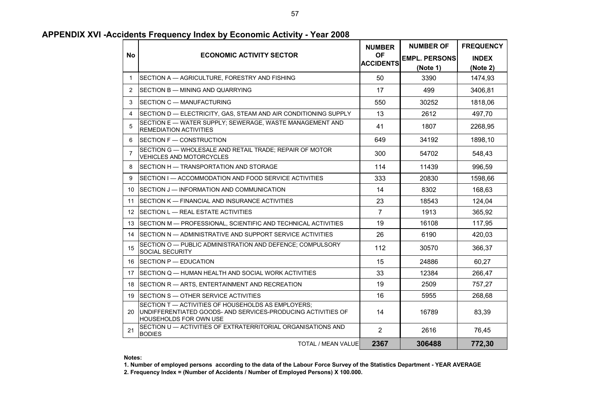|                |                                                                                                                                                       | <b>NUMBER</b>                 | <b>NUMBER OF</b>     | <b>FREQUENCY</b> |
|----------------|-------------------------------------------------------------------------------------------------------------------------------------------------------|-------------------------------|----------------------|------------------|
| <b>No</b>      | <b>ECONOMIC ACTIVITY SECTOR</b>                                                                                                                       | <b>OF</b><br><b>ACCIDENTS</b> | <b>EMPL. PERSONS</b> | <b>INDEX</b>     |
|                |                                                                                                                                                       |                               | (Note 1)             | (Note 2)         |
| $\mathbf{1}$   | SECTION A - AGRICULTURE, FORESTRY AND FISHING                                                                                                         | 50                            | 3390                 | 1474,93          |
| 2              | SECTION B - MINING AND QUARRYING                                                                                                                      | 17                            | 499                  | 3406,81          |
| 3              | SECTION C — MANUFACTURING                                                                                                                             | 550                           | 30252                | 1818,06          |
| 4              | SECTION D — ELECTRICITY, GAS, STEAM AND AIR CONDITIONING SUPPLY                                                                                       | 13                            | 2612                 | 497,70           |
| 5              | SECTION E - WATER SUPPLY; SEWERAGE, WASTE MANAGEMENT AND<br><b>REMEDIATION ACTIVITIES</b>                                                             | 41                            | 1807                 | 2268,95          |
| 6              | SECTION F - CONSTRUCTION                                                                                                                              | 649                           | 34192                | 1898,10          |
| $\overline{7}$ | SECTION G - WHOLESALE AND RETAIL TRADE; REPAIR OF MOTOR<br><b>VEHICLES AND MOTORCYCLES</b>                                                            | 300                           | 54702                | 548,43           |
| 8              | <b>ISECTION H — TRANSPORTATION AND STORAGE</b>                                                                                                        | 114                           | 11439                | 996,59           |
| 9              | SECTION I — ACCOMMODATION AND FOOD SERVICE ACTIVITIES                                                                                                 | 333                           | 20830                | 1598,66          |
| 10             | ISECTION J — INFORMATION AND COMMUNICATION                                                                                                            | 14                            | 8302                 | 168,63           |
| 11             | SECTION K — FINANCIAL AND INSURANCE ACTIVITIES                                                                                                        | 23                            | 18543                | 124,04           |
| 12             | <b>ISECTION L — REAL ESTATE ACTIVITIES</b>                                                                                                            | $\overline{7}$                | 1913                 | 365,92           |
| 13             | ISECTION M — PROFESSIONAL. SCIENTIFIC AND TECHNICAL ACTIVITIES                                                                                        | 19                            | 16108                | 117,95           |
| 14             | ISECTION N — ADMINISTRATIVE AND SUPPORT SERVICE ACTIVITIES                                                                                            | 26                            | 6190                 | 420,03           |
| 15             | ISECTION O — PUBLIC ADMINISTRATION AND DEFENCE: COMPULSORY<br><b>SOCIAL SECURITY</b>                                                                  | 112                           | 30570                | 366,37           |
| 16             | $ISECTION P - EDUCATION$                                                                                                                              | 15                            | 24886                | 60,27            |
| 17             | ISECTION Q — HUMAN HEALTH AND SOCIAL WORK ACTIVITIES                                                                                                  | 33                            | 12384                | 266,47           |
| 18             | SECTION R - ARTS, ENTERTAINMENT AND RECREATION                                                                                                        | 19                            | 2509                 | 757,27           |
| 19             | <b>ISECTION S - OTHER SERVICE ACTIVITIES</b>                                                                                                          | 16                            | 5955                 | 268,68           |
| 20             | SECTION T - ACTIVITIES OF HOUSEHOLDS AS EMPLOYERS;<br>UNDIFFERENTIATED GOODS- AND SERVICES-PRODUCING ACTIVITIES OF<br><b>I</b> HOUSEHOLDS FOR OWN USE | 14                            | 16789                | 83,39            |
| 21             | SECTION U - ACTIVITIES OF EXTRATERRITORIAL ORGANISATIONS AND<br><b>BODIES</b>                                                                         | $\overline{2}$                | 2616                 | 76,45            |
|                | TOTAL / MEAN VALUE                                                                                                                                    | 2367                          | 306488               | 772,30           |

#### **APPENDIX XVI -Accidents Frequency Index by Economic Activity - Year 2008**

#### **Notes:**

**1. Number of employed persons according to the data of the Labour Force Survey of the Statistics Department - YEAR AVERAGE**

**2. Frequency Index = (Number of Accidents / Number of Employed Persons) Χ 100.000.**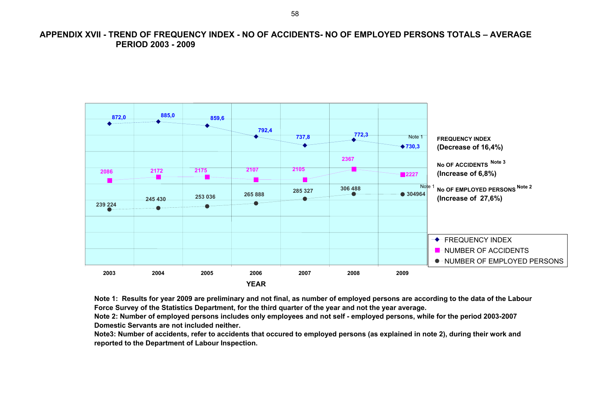**APPENDIX XVII - TREND OF FREQUENCY INDEX - NO OF ACCIDENTS- NO OF EMPLOYED PERSONS TOTALS – AVERAGE PERIOD 2003 - 2009** 



**Note 1: Results for year 2009 are preliminary and not final, as number of employed persons are according to the data of the Labour Force Survey of the Statistics Department, for the third quarter of the year and not the year average.** 

**Note 2: Number of employed persons includes only employees and not self - employed persons, while for the period 2003-2007 Domestic Servants are not included neither.**

**Note3: Number of accidents, refer to accidents that occured to employed persons (as explained in note 2), during their work and reported to the Department of Labour Inspection.**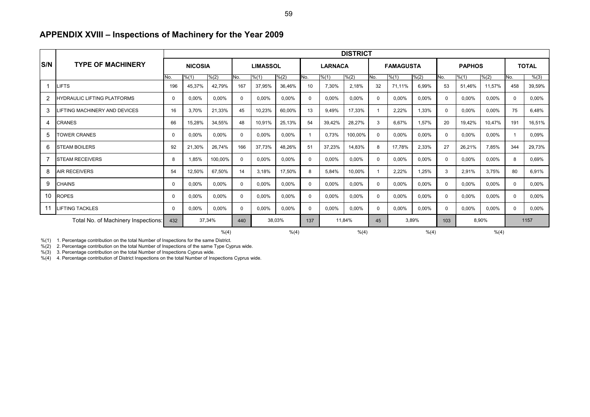|     |                                      | <b>DISTRICT</b> |                |          |                 |        |                |          |        |                  |          |               |               |              |          |              |              |          |
|-----|--------------------------------------|-----------------|----------------|----------|-----------------|--------|----------------|----------|--------|------------------|----------|---------------|---------------|--------------|----------|--------------|--------------|----------|
| S/N | <b>TYPE OF MACHINERY</b>             |                 | <b>NICOSIA</b> |          | <b>LIMASSOL</b> |        | <b>LARNACA</b> |          |        | <b>FAMAGUSTA</b> |          |               | <b>PAPHOS</b> |              |          | <b>TOTAL</b> |              |          |
|     |                                      | No.             | % (1)          | % (2)    | No.             | % (1)  | % (2)          | No.      | % (1)  | % (2)            | No.      | $\sqrt{6(1)}$ | % (2)         | No.          | % (1)    | % (2)        | No.          | % (3)    |
|     | LIFTS                                | 196             | 45,37%         | 42,79%   | 167             | 37,95% | 36,46%         | 10       | 7,30%  | 2,18%            | 32       | 71,11%        | 6,99%         | 53           | 51,46%   | 11,57%       | 458          | 39,59%   |
| 2   | <b>HYDRAULIC LIFTING PLATFORMS</b>   | $\Omega$        | 0,00%          | 0,00%    | $\Omega$        | 0,00%  | 0,00%          | $\Omega$ | 0,00%  | 0,00%            | $\Omega$ | 0,00%         | 0,00%         | $\mathbf{0}$ | 0,00%    | 0,00%        | $\mathbf{0}$ | 0,00%    |
| 3   | <b>LIFTING MACHINERY AND DEVICES</b> | 16              | 3,70%          | 21,33%   | 45              | 10,23% | 60,00%         | 13       | 9.49%  | 17,33%           |          | 2,22%         | 1,33%         | $\Omega$     | 0,00%    | 0,00%        | 75           | 6,48%    |
| 4   | CRANES                               | 66              | 15,28%         | 34,55%   | 48              | 10,91% | 25,13%         | 54       | 39,42% | 28,27%           | 3        | 6,67%         | 1,57%         | 20           | 19,42%   | 10,47%       | 191          | 16,51%   |
| 5   | <b>TOWER CRANES</b>                  | $\Omega$        | 0,00%          | 0,00%    | $\Omega$        | 0,00%  | 0,00%          |          | 0,73%  | 100,00%          | $\Omega$ | 0,00%         | 0,00%         | $\mathbf{0}$ | 0,00%    | 0,00%        |              | 0,09%    |
| 6   | <b>STEAM BOILERS</b>                 | 92              | 21,30%         | 26,74%   | 166             | 37,73% | 48,26%         | 51       | 37,23% | 14,83%           | 8        | 17,78%        | 2,33%         | 27           | 26,21%   | 7,85%        | 344          | 29,73%   |
| 7   | <b>STEAM RECEIVERS</b>               | 8               | 1,85%          | 100,00%  | $\Omega$        | 0.00%  | 0,00%          | $\Omega$ | 0,00%  | 0,00%            | $\Omega$ | 0.00%         | 0,00%         | $\mathbf{0}$ | 0,00%    | 0,00%        | 8            | 0,69%    |
| 8   | <b>AIR RECEIVERS</b>                 | 54              | 12,50%         | 67,50%   | 14              | 3.18%  | 17,50%         | 8        | 5.84%  | 10,00%           |          | 2.22%         | 1.25%         | 3            | 2.91%    | 3.75%        | 80           | 6.91%    |
| 9   | <b>CHAINS</b>                        | $\Omega$        | 0.00%          | $0.00\%$ | $\Omega$        | 0.00%  | 0.00%          | $\Omega$ | 0.00%  | 0.00%            | $\Omega$ | 0.00%         | 0.00%         | $\mathbf{0}$ | $0.00\%$ | 0.00%        | $\mathbf{0}$ | $0.00\%$ |
| 10  | <b>ROPES</b>                         | $\Omega$        | 0,00%          | 0,00%    | $\Omega$        | 0,00%  | 0,00%          | $\Omega$ | 0,00%  | 0,00%            | $\Omega$ | 0,00%         | 0,00%         | $\Omega$     | 0,00%    | 0,00%        | $\Omega$     | 0,00%    |
| 11  | <b>LIFTING TACKLES</b>               | $\Omega$        | 0,00%          | $0.00\%$ | $\Omega$        | 0.00%  | $0.00\%$       | $\Omega$ | 0,00%  | 0.00%            | $\Omega$ | 0,00%         | 0,00%         | $\mathbf{0}$ | 0,00%    | 0,00%        | $\mathbf{0}$ | 0,00%    |
|     | Total No. of Machinery Inspections:  | 432             |                | 37,34%   | 38,03%<br>440   |        | 137            | 11,84%   |        | 3,89%<br>45      |          | 103           | 8,90%         |              | 1157     |              |              |          |
|     |                                      |                 |                | % (4)    | % (4)           |        |                |          |        | % (4)            | % (4)    |               |               | % (4)        |          |              |              |          |

#### **APPENDIX XVIII – Inspections of Machinery for the Year 2009**

%(1) 1. Percentage contribution on the total Number of Inspections for the same District.

%(2) 2. Percentage contribution on the total Number of Inspections of the same Type Cyprus wide.

%(3) 3. Percentage contribution on the total Number of Inspections Cyprus wide.

%(4) 4. Percentage contribution of District Inspections on the total Number of Inspections Cyprus wide.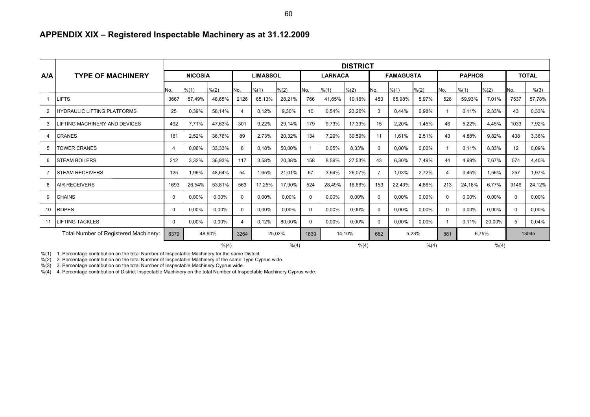#### **APPENDIX XIX – Registered Inspectable Machinery as at 31.12.2009**

|                |                                       | <b>DISTRICT</b>       |          |        |                       |                 |        |                |        |              |                  |          |          |               |        |        |              |        |
|----------------|---------------------------------------|-----------------------|----------|--------|-----------------------|-----------------|--------|----------------|--------|--------------|------------------|----------|----------|---------------|--------|--------|--------------|--------|
| A/A            | <b>TYPE OF MACHINERY</b>              | <b>NICOSIA</b>        |          |        |                       | <b>LIMASSOL</b> |        | <b>LARNACA</b> |        |              | <b>FAMAGUSTA</b> |          |          | <b>PAPHOS</b> |        |        | <b>TOTAL</b> |        |
|                |                                       | No.                   | % (1)    | % (2)  | No.                   | % (1)           | % (2)  | No.            | % (1)  | % (2)        | No.              | % (1)    | % (2)    | No.           | % (1)  | % (2)  | No.          | % (3)  |
| -1             | LIFTS                                 | 3667                  | 57,49%   | 48,65% | 2126                  | 65,13%          | 28,21% | 766            | 41,65% | 10,16%       | 450              | 65,98%   | 5,97%    | 528           | 59,93% | 7,01%  | 7537         | 57,78% |
| 2              | <b>HYDRAULIC LIFTING PLATFORMS</b>    | 25                    | 0,39%    | 58.14% | $\boldsymbol{\Delta}$ | 0.12%           | 9.30%  | 10             | 0,54%  | 23,26%       | 3                | 0.44%    | 6,98%    |               | 0.11%  | 2,33%  | 43           | 0,33%  |
| 3              | <b>IFTING MACHINERY AND DEVICES</b>   | 492                   | 7,71%    | 47,63% | 301                   | 9,22%           | 29,14% | 179            | 9,73%  | 17,33%       | 15               | 2,20%    | 1,45%    | 46            | 5,22%  | 4,45%  | 1033         | 7,92%  |
| 4              | CRANES                                | 161                   | 2,52%    | 36.76% | 89                    | 2,73%           | 20,32% | 134            | 7,29%  | 30,59%       | 11               | 1.61%    | 2,51%    | 43            | 4.88%  | 9.82%  | 438          | 3,36%  |
| 5              | <b>TOWER CRANES</b>                   | $\boldsymbol{\Delta}$ | 0,06%    | 33,33% | 6                     | 0.18%           | 50,00% |                | 0,05%  | 8,33%        | $\Omega$         | 0,00%    | 0,00%    |               | 0,11%  | 8,33%  | 12           | 0,09%  |
| 6              | <b>STEAM BOILERS</b>                  | 212                   | 3,32%    | 36,93% | 117                   | 3,58%           | 20,38% | 158            | 8,59%  | 27,53%       | 43               | 6,30%    | 7.49%    | 44            | 4,99%  | 7,67%  | 574          | 4,40%  |
| $\overline{7}$ | <b>STEAM RECEIVERS</b>                | 125                   | 1.96%    | 48.64% | 54                    | 1.65%           | 21.01% | 67             | 3.64%  | 26,07%       | 7                | 1.03%    | 2.72%    | 4             | 0.45%  | 1,56%  | 257          | 1.97%  |
| 8              | <b>AIR RECEIVERS</b>                  | 1693                  | 26,54%   | 53,81% | 563                   | 17,25%          | 17,90% | 524            | 28,49% | 16,66%       | 153              | 22.43%   | 4,86%    | 213           | 24,18% | 6.77%  | 3146         | 24,12% |
| 9              | <b>CHAINS</b>                         | $\Omega$              | 0.00%    | 0,00%  | $\Omega$              | 0.00%           | 0,00%  | $\Omega$       | 0.00%  | 0,00%        | $\Omega$         | 0,00%    | 0,00%    | $\Omega$      | 0,00%  | 0,00%  | $\Omega$     | 0,00%  |
| 10             | <b>ROPES</b>                          | $\Omega$              | 0,00%    | 0,00%  | $\Omega$              | 0,00%           | 0,00%  | $\Omega$       | 0,00%  | $0.00\%$     | $\Omega$         | 0,00%    | $0.00\%$ | $\Omega$      | 0,00%  | 0,00%  | $\Omega$     | 0,00%  |
| 11             | <b>LIFTING TACKLES</b>                | 0                     | $0.00\%$ | 0.00%  | $\boldsymbol{\Delta}$ | 0.12%           | 80.00% | $\Omega$       | 0.00%  | $0.00\%$     | $\Omega$         | $0.00\%$ | $0.00\%$ |               | 0.11%  | 20.00% | 5            | 0.04%  |
|                | Total Number of Registered Machinery: | 6379                  |          | 48.90% | 3264                  | 25,02%          |        | 14.10%<br>1839 |        | 5,23%<br>682 |                  | 881      | 6,75%    |               | 13045  |        |              |        |
|                |                                       |                       |          | % (4)  | % (4)                 |                 |        | % (4)          |        |              |                  |          | % (4)    |               | % (4)  |        |              |        |

%(1) 1. Percentage contribution on the total Number of Inspectable Machinery for the same District.

%(2) 2. Percentage contribution on the total Number of Inspectable Machinery of the same Type Cyprus wide.

%(3) 3. Percentage contribution on the total Number of Inspectable Machinery Cyprus wide.

%(4) 4. Percentage contribution of District Inspectable Machinery on the total Number of Inspectable Machinery Cyprus wide.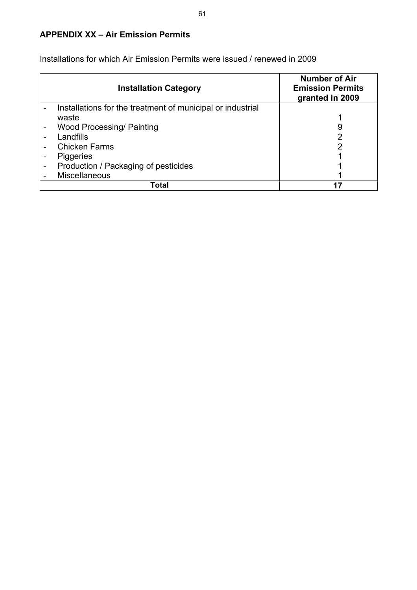## **APPENDIX XX – Air Emission Permits**

| <b>Installation Category</b>                                     | <b>Number of Air</b><br><b>Emission Permits</b><br>granted in 2009 |
|------------------------------------------------------------------|--------------------------------------------------------------------|
| Installations for the treatment of municipal or industrial       |                                                                    |
| waste                                                            |                                                                    |
| <b>Wood Processing/ Painting</b>                                 | 9                                                                  |
| Landfills                                                        |                                                                    |
| <b>Chicken Farms</b>                                             |                                                                    |
| <b>Piggeries</b>                                                 |                                                                    |
| Production / Packaging of pesticides<br>$\overline{\phantom{0}}$ |                                                                    |
| <b>Miscellaneous</b>                                             |                                                                    |
| Total                                                            |                                                                    |

Installations for which Air Emission Permits were issued / renewed in 2009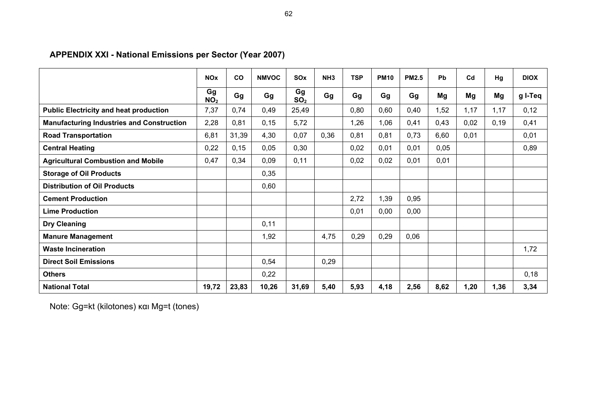# **APPENDIX XXI - National Emissions per Sector (Year 2007)**

|                                                  | <b>NO<sub>x</sub></b> | CO    | <b>NMVOC</b> | SO <sub>x</sub>       | NH <sub>3</sub> | <b>TSP</b> | <b>PM10</b> | <b>PM2.5</b> | <b>Pb</b> | C <sub>d</sub> | Hg    | <b>DIOX</b> |
|--------------------------------------------------|-----------------------|-------|--------------|-----------------------|-----------------|------------|-------------|--------------|-----------|----------------|-------|-------------|
|                                                  | Gg<br>NO <sub>2</sub> | Gg    | Gg           | Gg<br>SO <sub>2</sub> | Gg              | Gg         | Gg          | Gg           | Mg        | Mg             | Mg    | g I-Teq     |
| <b>Public Electricity and heat production</b>    | 7,37                  | 0,74  | 0,49         | 25,49                 |                 | 0,80       | 0,60        | 0,40         | 1,52      | 1,17           | 1,17  | 0, 12       |
| <b>Manufacturing Industries and Construction</b> | 2,28                  | 0,81  | 0, 15        | 5,72                  |                 | 1,26       | 1,06        | 0,41         | 0,43      | 0,02           | 0, 19 | 0,41        |
| <b>Road Transportation</b>                       | 6,81                  | 31,39 | 4,30         | 0,07                  | 0,36            | 0,81       | 0,81        | 0,73         | 6,60      | 0,01           |       | 0,01        |
| <b>Central Heating</b>                           | 0,22                  | 0, 15 | 0,05         | 0,30                  |                 | 0,02       | 0,01        | 0,01         | 0,05      |                |       | 0,89        |
| <b>Agricultural Combustion and Mobile</b>        | 0,47                  | 0,34  | 0,09         | 0,11                  |                 | 0,02       | 0,02        | 0,01         | 0,01      |                |       |             |
| <b>Storage of Oil Products</b>                   |                       |       | 0,35         |                       |                 |            |             |              |           |                |       |             |
| <b>Distribution of Oil Products</b>              |                       |       | 0,60         |                       |                 |            |             |              |           |                |       |             |
| <b>Cement Production</b>                         |                       |       |              |                       |                 | 2,72       | 1,39        | 0,95         |           |                |       |             |
| <b>Lime Production</b>                           |                       |       |              |                       |                 | 0,01       | 0,00        | 0,00         |           |                |       |             |
| <b>Dry Cleaning</b>                              |                       |       | 0,11         |                       |                 |            |             |              |           |                |       |             |
| <b>Manure Management</b>                         |                       |       | 1,92         |                       | 4,75            | 0,29       | 0,29        | 0,06         |           |                |       |             |
| <b>Waste Incineration</b>                        |                       |       |              |                       |                 |            |             |              |           |                |       | 1,72        |
| <b>Direct Soil Emissions</b>                     |                       |       | 0,54         |                       | 0,29            |            |             |              |           |                |       |             |
| <b>Others</b>                                    |                       |       | 0,22         |                       |                 |            |             |              |           |                |       | 0,18        |
| <b>National Total</b>                            | 19,72                 | 23,83 | 10,26        | 31,69                 | 5,40            | 5,93       | 4,18        | 2,56         | 8,62      | 1,20           | 1,36  | 3,34        |

Note: Gg=kt (kilotones) και Mg=t (tones)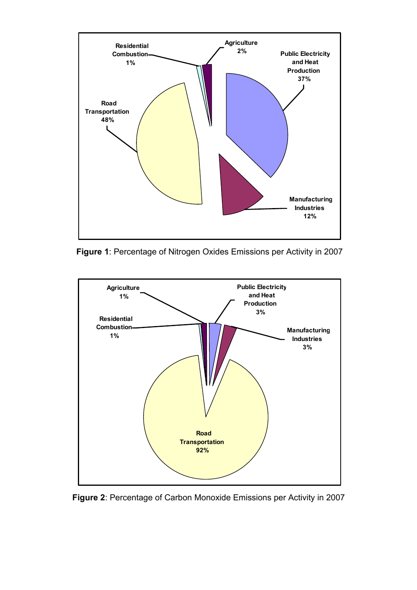

**Figure 1**: Percentage of Nitrogen Oxides Emissions per Activity in 2007



**Figure 2**: Percentage of Carbon Monoxide Emissions per Activity in 2007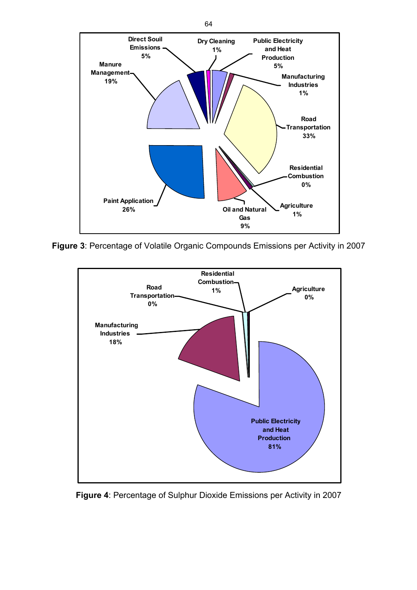

**Figure 3**: Percentage of Volatile Organic Compounds Emissions per Activity in 2007



**Figure 4**: Percentage of Sulphur Dioxide Emissions per Activity in 2007

64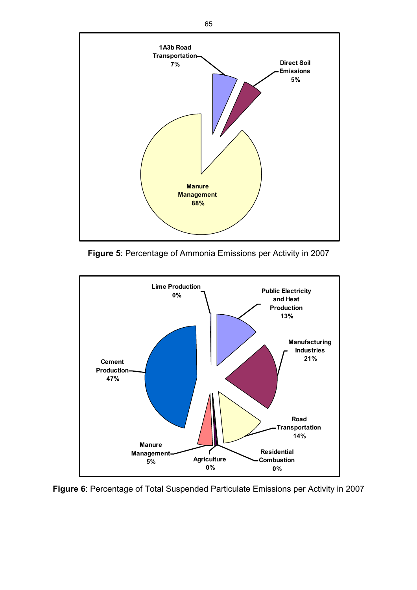

**Figure 5**: Percentage of Ammonia Emissions per Activity in 2007



**Figure 6**: Percentage of Total Suspended Particulate Emissions per Activity in 2007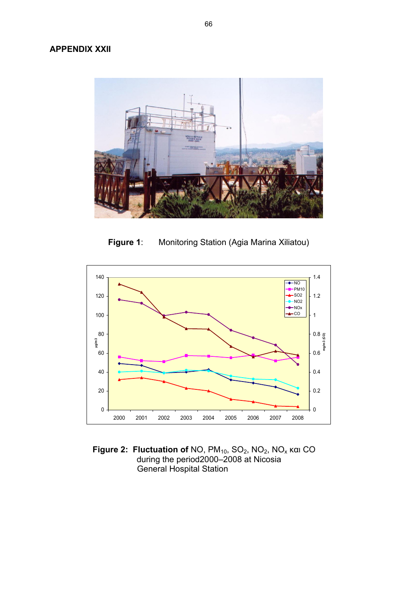

**Figure 1**: Monitoring Station (Agia Marina Xiliatou)



**Figure 2: Fluctuation of NO, PM<sub>10</sub>, SO<sub>2</sub>, NO<sub>2</sub>, NO<sub>x</sub> και CO** during the period2000–2008 at Nicosia General Hospital Station